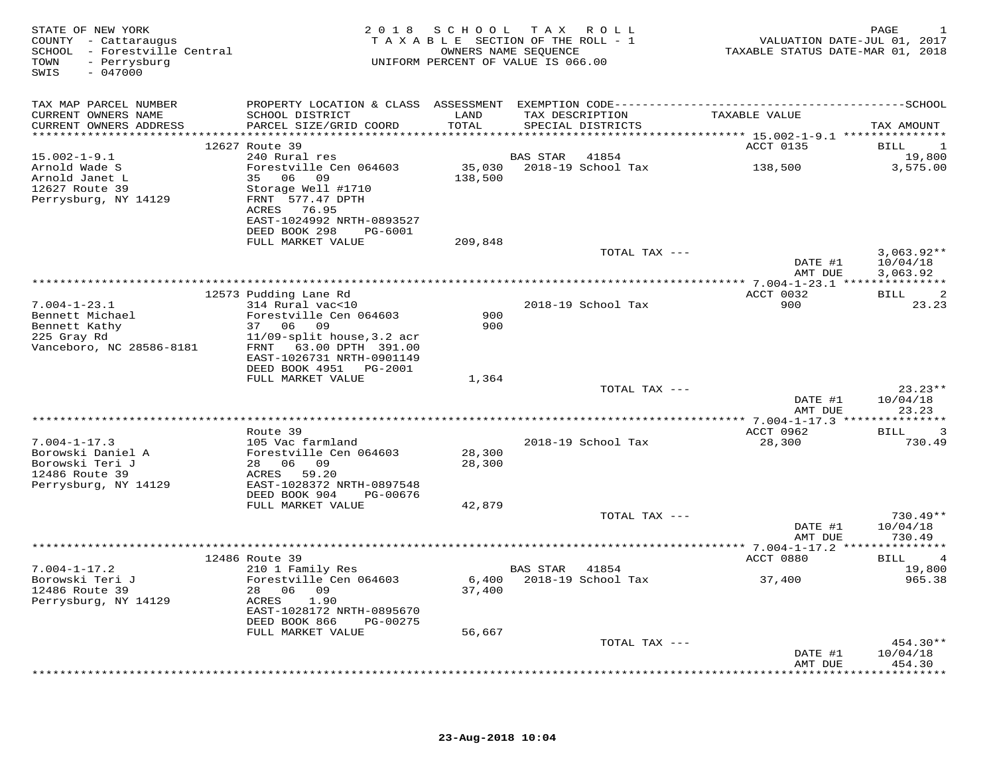| STATE OF NEW YORK<br>COUNTY - Cattaraugus<br>SCHOOL - Forestville Central<br>- Perrysburg<br>TOWN<br>SWIS<br>$-047000$ |                                                         |                  | 2018 SCHOOL TAX ROLL<br>TAXABLE SECTION OF THE ROLL - 1<br>OWNERS NAME SEQUENCE<br>UNIFORM PERCENT OF VALUE IS 066.00 | VALUATION DATE-JUL 01, 2017<br>TAXABLE STATUS DATE-MAR 01, 2018 | PAGE<br>1                     |
|------------------------------------------------------------------------------------------------------------------------|---------------------------------------------------------|------------------|-----------------------------------------------------------------------------------------------------------------------|-----------------------------------------------------------------|-------------------------------|
| TAX MAP PARCEL NUMBER                                                                                                  |                                                         |                  |                                                                                                                       |                                                                 |                               |
| CURRENT OWNERS NAME<br>CURRENT OWNERS ADDRESS                                                                          | SCHOOL DISTRICT<br>PARCEL SIZE/GRID COORD               | LAND<br>TOTAL    | TAX DESCRIPTION<br>SPECIAL DISTRICTS                                                                                  | TAXABLE VALUE                                                   | TAX AMOUNT                    |
|                                                                                                                        |                                                         |                  |                                                                                                                       |                                                                 |                               |
| $15.002 - 1 - 9.1$                                                                                                     | 12627 Route 39<br>240 Rural res                         |                  | BAS STAR<br>41854                                                                                                     | ACCT 0135                                                       | BILL<br>-1<br>19,800          |
| Arnold Wade S                                                                                                          | Forestville Cen 064603                                  |                  | 35,030 2018-19 School Tax                                                                                             | 138,500                                                         | 3,575.00                      |
| Arnold Janet L                                                                                                         | 35 06 09                                                | 138,500          |                                                                                                                       |                                                                 |                               |
| 12627 Route 39                                                                                                         | Storage Well #1710                                      |                  |                                                                                                                       |                                                                 |                               |
| Perrysburg, NY 14129                                                                                                   | FRNT 577.47 DPTH<br>ACRES 76.95                         |                  |                                                                                                                       |                                                                 |                               |
|                                                                                                                        | EAST-1024992 NRTH-0893527                               |                  |                                                                                                                       |                                                                 |                               |
|                                                                                                                        | DEED BOOK 298<br>PG-6001                                |                  |                                                                                                                       |                                                                 |                               |
|                                                                                                                        | FULL MARKET VALUE                                       | 209,848          |                                                                                                                       |                                                                 |                               |
|                                                                                                                        |                                                         |                  | TOTAL TAX ---                                                                                                         | DATE #1                                                         | $3,063.92**$<br>10/04/18      |
|                                                                                                                        |                                                         |                  |                                                                                                                       | AMT DUE                                                         | 3,063.92                      |
|                                                                                                                        | 12573 Pudding Lane Rd                                   |                  |                                                                                                                       | ACCT 0032                                                       | BILL<br>-2                    |
| $7.004 - 1 - 23.1$                                                                                                     | 314 Rural vac<10                                        |                  | 2018-19 School Tax                                                                                                    | 900                                                             | 23.23                         |
| Bennett Michael                                                                                                        | Forestville Cen 064603                                  | 900              |                                                                                                                       |                                                                 |                               |
| Bennett Kathy                                                                                                          | 37 06 09                                                | 900              |                                                                                                                       |                                                                 |                               |
| 225 Gray Rd                                                                                                            | $11/09$ -split house, 3.2 acr<br>FRNT 63.00 DPTH 391.00 |                  |                                                                                                                       |                                                                 |                               |
| Vanceboro, NC 28586-8181                                                                                               | EAST-1026731 NRTH-0901149                               |                  |                                                                                                                       |                                                                 |                               |
|                                                                                                                        | DEED BOOK 4951 PG-2001                                  |                  |                                                                                                                       |                                                                 |                               |
|                                                                                                                        | FULL MARKET VALUE                                       | 1,364            |                                                                                                                       |                                                                 |                               |
|                                                                                                                        |                                                         |                  | TOTAL TAX ---                                                                                                         |                                                                 | $23.23**$                     |
|                                                                                                                        |                                                         |                  |                                                                                                                       | DATE #1<br>AMT DUE                                              | 10/04/18<br>23.23             |
|                                                                                                                        |                                                         |                  |                                                                                                                       |                                                                 |                               |
|                                                                                                                        | Route 39                                                |                  |                                                                                                                       | ACCT 0962                                                       | 3<br>BILL                     |
| $7.004 - 1 - 17.3$                                                                                                     | 105 Vac farmland                                        |                  | 2018-19 School Tax                                                                                                    | 28,300                                                          | 730.49                        |
| Borowski Daniel A<br>Borowski Teri J                                                                                   | Forestville Cen 064603<br>28 06 09                      | 28,300<br>28,300 |                                                                                                                       |                                                                 |                               |
| 12486 Route 39                                                                                                         | ACRES<br>59.20                                          |                  |                                                                                                                       |                                                                 |                               |
| Perrysburg, NY 14129                                                                                                   | EAST-1028372 NRTH-0897548                               |                  |                                                                                                                       |                                                                 |                               |
|                                                                                                                        | DEED BOOK 904<br>PG-00676                               |                  |                                                                                                                       |                                                                 |                               |
|                                                                                                                        | FULL MARKET VALUE                                       | 42,879           |                                                                                                                       |                                                                 |                               |
|                                                                                                                        |                                                         |                  | TOTAL TAX ---                                                                                                         | DATE #1                                                         | $730.49**$<br>10/04/18        |
|                                                                                                                        |                                                         |                  |                                                                                                                       | AMT DUE                                                         | 730.49                        |
|                                                                                                                        |                                                         |                  | *****************************                                                                                         | *********** 7.004-1-17.2 ****************                       |                               |
|                                                                                                                        | 12486 Route 39                                          |                  |                                                                                                                       | ACCT 0880                                                       | <b>BILL</b><br>$\overline{4}$ |
| $7.004 - 1 - 17.2$                                                                                                     | 210 1 Family Res                                        |                  | BAS STAR 41854                                                                                                        |                                                                 | 19,800                        |
| Borowski Teri J<br>12486 Route 39                                                                                      | Forestville Cen 064603<br>28 06 09                      | 37,400           | 6,400 2018-19 School Tax                                                                                              | 37,400                                                          | 965.38                        |
| Perrysburg, NY 14129                                                                                                   | ACRES<br>1.90                                           |                  |                                                                                                                       |                                                                 |                               |
|                                                                                                                        | EAST-1028172 NRTH-0895670                               |                  |                                                                                                                       |                                                                 |                               |
|                                                                                                                        | DEED BOOK 866<br>PG-00275                               |                  |                                                                                                                       |                                                                 |                               |
|                                                                                                                        | FULL MARKET VALUE                                       | 56,667           |                                                                                                                       |                                                                 |                               |
|                                                                                                                        |                                                         |                  | TOTAL TAX ---                                                                                                         | DATE #1                                                         | 454.30**<br>10/04/18          |
|                                                                                                                        |                                                         |                  |                                                                                                                       | AMT DUE                                                         | 454.30                        |
|                                                                                                                        |                                                         |                  |                                                                                                                       |                                                                 | *********                     |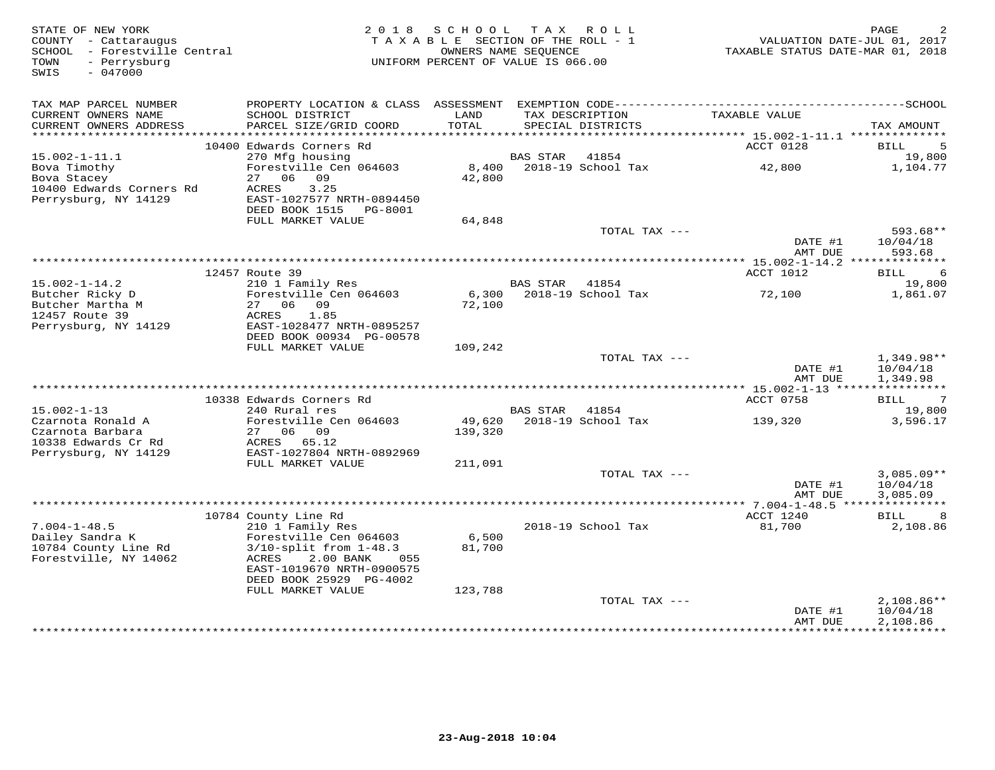| STATE OF NEW YORK<br>COUNTY - Cattaraugus<br>SCHOOL - Forestville Central<br>TOWN<br>- Perrysburg<br>SWIS<br>$-047000$ | 2 0 1 8                                                   | S C H O O L<br>TAXABLE SECTION OF THE ROLL - 1<br>UNIFORM PERCENT OF VALUE IS 066.00 | OWNERS NAME SEQUENCE | TAX ROLL                             | TAXABLE STATUS DATE-MAR 01, 2018 | PAGE<br>VALUATION DATE-JUL 01, 2017 |
|------------------------------------------------------------------------------------------------------------------------|-----------------------------------------------------------|--------------------------------------------------------------------------------------|----------------------|--------------------------------------|----------------------------------|-------------------------------------|
| TAX MAP PARCEL NUMBER                                                                                                  |                                                           |                                                                                      |                      |                                      |                                  |                                     |
| CURRENT OWNERS NAME<br>CURRENT OWNERS ADDRESS                                                                          | SCHOOL DISTRICT<br>PARCEL SIZE/GRID COORD                 | LAND<br>TOTAL                                                                        |                      | TAX DESCRIPTION<br>SPECIAL DISTRICTS | TAXABLE VALUE                    | TAX AMOUNT                          |
|                                                                                                                        | 10400 Edwards Corners Rd                                  |                                                                                      |                      |                                      | ACCT 0128                        | <b>BILL</b><br>5                    |
| $15.002 - 1 - 11.1$                                                                                                    | 270 Mfg housing                                           |                                                                                      | BAS STAR             | 41854                                |                                  | 19,800                              |
| Bova Timothy                                                                                                           | Forestville Cen 064603                                    | 8,400                                                                                |                      | 2018-19 School Tax                   | 42,800                           | 1,104.77                            |
| Bova Stacey                                                                                                            | 27 06 09                                                  | 42,800                                                                               |                      |                                      |                                  |                                     |
| 10400 Edwards Corners Rd                                                                                               | 3.25<br>ACRES                                             |                                                                                      |                      |                                      |                                  |                                     |
| Perrysburg, NY 14129                                                                                                   | EAST-1027577 NRTH-0894450                                 |                                                                                      |                      |                                      |                                  |                                     |
|                                                                                                                        | DEED BOOK 1515 PG-8001                                    |                                                                                      |                      |                                      |                                  |                                     |
|                                                                                                                        | FULL MARKET VALUE                                         | 64,848                                                                               |                      | TOTAL TAX ---                        |                                  | 593.68**                            |
|                                                                                                                        |                                                           |                                                                                      |                      |                                      | DATE #1                          | 10/04/18                            |
|                                                                                                                        |                                                           |                                                                                      |                      |                                      | AMT DUE                          | 593.68                              |
|                                                                                                                        |                                                           |                                                                                      |                      |                                      |                                  |                                     |
|                                                                                                                        | 12457 Route 39                                            |                                                                                      |                      |                                      | ACCT 1012                        | <b>BILL</b><br>6                    |
| $15.002 - 1 - 14.2$                                                                                                    | 210 1 Family Res                                          |                                                                                      | <b>BAS STAR</b>      | 41854                                |                                  | 19,800                              |
| Butcher Ricky D                                                                                                        | Forestville Cen 064603                                    | 6,300                                                                                |                      | 2018-19 School Tax                   | 72,100                           | 1,861.07                            |
| Butcher Martha M<br>12457 Route 39                                                                                     | 27 06 09<br>1.85<br>ACRES                                 | 72,100                                                                               |                      |                                      |                                  |                                     |
| Perrysburg, NY 14129                                                                                                   | EAST-1028477 NRTH-0895257                                 |                                                                                      |                      |                                      |                                  |                                     |
|                                                                                                                        | DEED BOOK 00934 PG-00578                                  |                                                                                      |                      |                                      |                                  |                                     |
|                                                                                                                        | FULL MARKET VALUE                                         | 109,242                                                                              |                      |                                      |                                  |                                     |
|                                                                                                                        |                                                           |                                                                                      |                      | TOTAL TAX ---                        |                                  | $1,349.98**$                        |
|                                                                                                                        |                                                           |                                                                                      |                      |                                      | DATE #1<br>AMT DUE               | 10/04/18<br>1,349.98                |
|                                                                                                                        |                                                           |                                                                                      |                      |                                      | ************* 15.002-1-13 *****  | ***********                         |
| $15.002 - 1 - 13$                                                                                                      | 10338 Edwards Corners Rd<br>240 Rural res                 |                                                                                      | <b>BAS STAR</b>      | 41854                                | ACCT 0758                        | $7\phantom{.0}$<br>BILL<br>19,800   |
| Czarnota Ronald A                                                                                                      | Forestville Cen 064603                                    | 49,620                                                                               |                      | 2018-19 School Tax                   | 139,320                          | 3,596.17                            |
| Czarnota Barbara                                                                                                       | 27 06 09                                                  | 139,320                                                                              |                      |                                      |                                  |                                     |
| 10338 Edwards Cr Rd                                                                                                    | ACRES 65.12                                               |                                                                                      |                      |                                      |                                  |                                     |
| Perrysburg, NY 14129                                                                                                   | EAST-1027804 NRTH-0892969                                 |                                                                                      |                      |                                      |                                  |                                     |
|                                                                                                                        | FULL MARKET VALUE                                         | 211,091                                                                              |                      |                                      |                                  |                                     |
|                                                                                                                        |                                                           |                                                                                      |                      | TOTAL TAX ---                        | DATE #1                          | $3,085.09**$<br>10/04/18            |
|                                                                                                                        |                                                           |                                                                                      |                      |                                      | AMT DUE                          | 3,085.09                            |
|                                                                                                                        |                                                           |                                                                                      |                      |                                      |                                  |                                     |
|                                                                                                                        | 10784 County Line Rd                                      |                                                                                      |                      |                                      | ACCT 1240                        | BILL<br>8                           |
| $7.004 - 1 - 48.5$                                                                                                     | 210 1 Family Res                                          |                                                                                      |                      | 2018-19 School Tax                   | 81,700                           | 2,108.86                            |
| Dailey Sandra K                                                                                                        | Forestville Cen 064603                                    | 6,500                                                                                |                      |                                      |                                  |                                     |
| 10784 County Line Rd                                                                                                   | $3/10$ -split from $1-48.3$<br>ACRES<br>2.00 BANK<br>0.55 | 81,700                                                                               |                      |                                      |                                  |                                     |
| Forestville, NY 14062                                                                                                  | EAST-1019670 NRTH-0900575                                 |                                                                                      |                      |                                      |                                  |                                     |
|                                                                                                                        | DEED BOOK 25929 PG-4002                                   |                                                                                      |                      |                                      |                                  |                                     |
|                                                                                                                        | FULL MARKET VALUE                                         | 123,788                                                                              |                      |                                      |                                  |                                     |
|                                                                                                                        |                                                           |                                                                                      |                      | TOTAL TAX ---                        |                                  | $2,108.86**$                        |
|                                                                                                                        |                                                           |                                                                                      |                      |                                      | DATE #1                          | 10/04/18                            |
|                                                                                                                        |                                                           |                                                                                      |                      |                                      | AMT DUE                          | 2,108.86                            |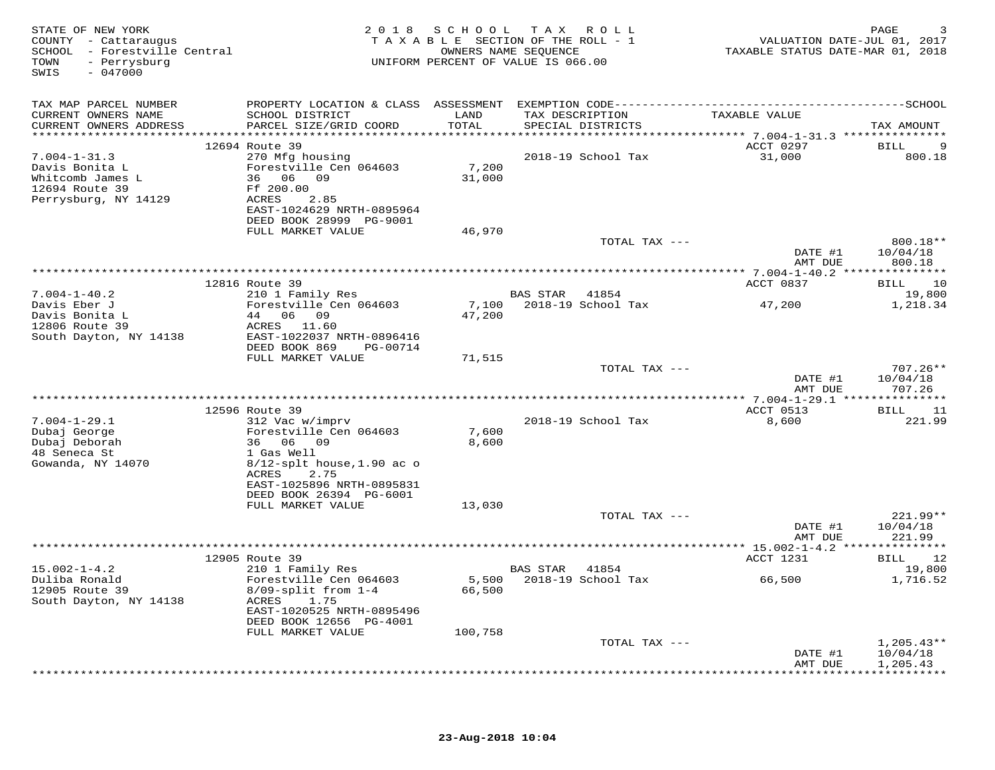| STATE OF NEW YORK<br>COUNTY - Cattaraugus<br>SCHOOL - Forestville Central<br>- Perrysburg<br>TOWN<br>$-047000$<br>SWIS |                                                                                                                                                                                                 |                   | 2018 SCHOOL TAX ROLL<br>TAXABLE SECTION OF THE ROLL - 1<br>OWNERS NAME SEQUENCE<br>UNIFORM PERCENT OF VALUE IS 066.00 | VALUATION DATE-JUL 01, 2017<br>TAXABLE STATUS DATE-MAR 01, 2018 | PAGE                                                   |
|------------------------------------------------------------------------------------------------------------------------|-------------------------------------------------------------------------------------------------------------------------------------------------------------------------------------------------|-------------------|-----------------------------------------------------------------------------------------------------------------------|-----------------------------------------------------------------|--------------------------------------------------------|
| TAX MAP PARCEL NUMBER<br>CURRENT OWNERS NAME<br>CURRENT OWNERS ADDRESS                                                 | SCHOOL DISTRICT<br>PARCEL SIZE/GRID COORD                                                                                                                                                       | LAND<br>TOTAL     | TAX DESCRIPTION<br>SPECIAL DISTRICTS                                                                                  | TAXABLE VALUE                                                   | TAX AMOUNT                                             |
| $7.004 - 1 - 31.3$<br>Davis Bonita L<br>Whitcomb James L<br>12694 Route 39<br>Perrysburg, NY 14129                     | 12694 Route 39<br>270 Mfg housing<br>Forestville Cen 064603<br>36 06 09<br>Ff 200.00<br>2.85<br>ACRES<br>EAST-1024629 NRTH-0895964<br>DEED BOOK 28999 PG-9001                                   | 7,200<br>31,000   | 2018-19 School Tax                                                                                                    | ACCT 0297<br>31,000                                             | 9<br>BILL<br>800.18                                    |
|                                                                                                                        | FULL MARKET VALUE                                                                                                                                                                               | 46,970            | TOTAL TAX ---                                                                                                         | DATE #1                                                         | 800.18**<br>10/04/18                                   |
|                                                                                                                        |                                                                                                                                                                                                 |                   |                                                                                                                       | AMT DUE                                                         | 800.18                                                 |
|                                                                                                                        | 12816 Route 39                                                                                                                                                                                  |                   |                                                                                                                       | ACCT 0837                                                       | 10<br>BILL                                             |
| $7.004 - 1 - 40.2$<br>Davis Eber J<br>Davis Bonita L<br>12806 Route 39<br>South Dayton, NY 14138                       | 210 1 Family Res<br>Forestville Cen 064603<br>44 06 09<br>ACRES 11.60<br>EAST-1022037 NRTH-0896416<br>DEED BOOK 869<br>PG-00714                                                                 | 7,100<br>47,200   | BAS STAR<br>41854<br>2018-19 School Tax                                                                               | 47,200                                                          | 19,800<br>1,218.34                                     |
|                                                                                                                        | FULL MARKET VALUE                                                                                                                                                                               | 71,515            | TOTAL TAX ---                                                                                                         | DATE #1                                                         | $707.26**$<br>10/04/18                                 |
|                                                                                                                        |                                                                                                                                                                                                 |                   |                                                                                                                       | AMT DUE                                                         | 707.26                                                 |
| $7.004 - 1 - 29.1$<br>Dubaj George<br>Dubaj Deborah<br>48 Seneca St<br>Gowanda, NY 14070                               | 12596 Route 39<br>312 Vac w/imprv<br>Forestville Cen 064603<br>36 06 09<br>1 Gas Well<br>$8/12$ -splt house, 1.90 ac o<br>ACRES<br>2.75<br>EAST-1025896 NRTH-0895831<br>DEED BOOK 26394 PG-6001 | 7,600<br>8,600    | 2018-19 School Tax                                                                                                    | ACCT 0513<br>8,600                                              | <b>BILL</b><br>11<br>221.99                            |
|                                                                                                                        | FULL MARKET VALUE                                                                                                                                                                               | 13,030            | TOTAL TAX ---                                                                                                         | DATE #1                                                         | 221.99**<br>10/04/18                                   |
|                                                                                                                        |                                                                                                                                                                                                 |                   |                                                                                                                       | AMT DUE                                                         | 221.99                                                 |
|                                                                                                                        | 12905 Route 39                                                                                                                                                                                  |                   |                                                                                                                       | ACCT 1231                                                       | <b>BILL</b><br>12                                      |
| $15.002 - 1 - 4.2$<br>Duliba Ronald<br>12905 Route 39<br>South Dayton, NY 14138                                        | 210 1 Family Res<br>Forestville Cen 064603<br>$8/09$ -split from $1-4$<br>ACRES<br>1.75<br>EAST-1020525 NRTH-0895496<br>DEED BOOK 12656 PG-4001<br>FULL MARKET VALUE                            | 66,500<br>100,758 | BAS STAR 41854<br>5,500 2018-19 School Tax                                                                            | 66,500                                                          | 19,800<br>1,716.52                                     |
|                                                                                                                        |                                                                                                                                                                                                 |                   | TOTAL TAX ---                                                                                                         |                                                                 | $1,205.43**$                                           |
|                                                                                                                        |                                                                                                                                                                                                 |                   |                                                                                                                       | DATE #1<br>AMT DUE<br>**************                            | 10/04/18<br>1,205.43<br><b>. * * * * * * * * * *</b> * |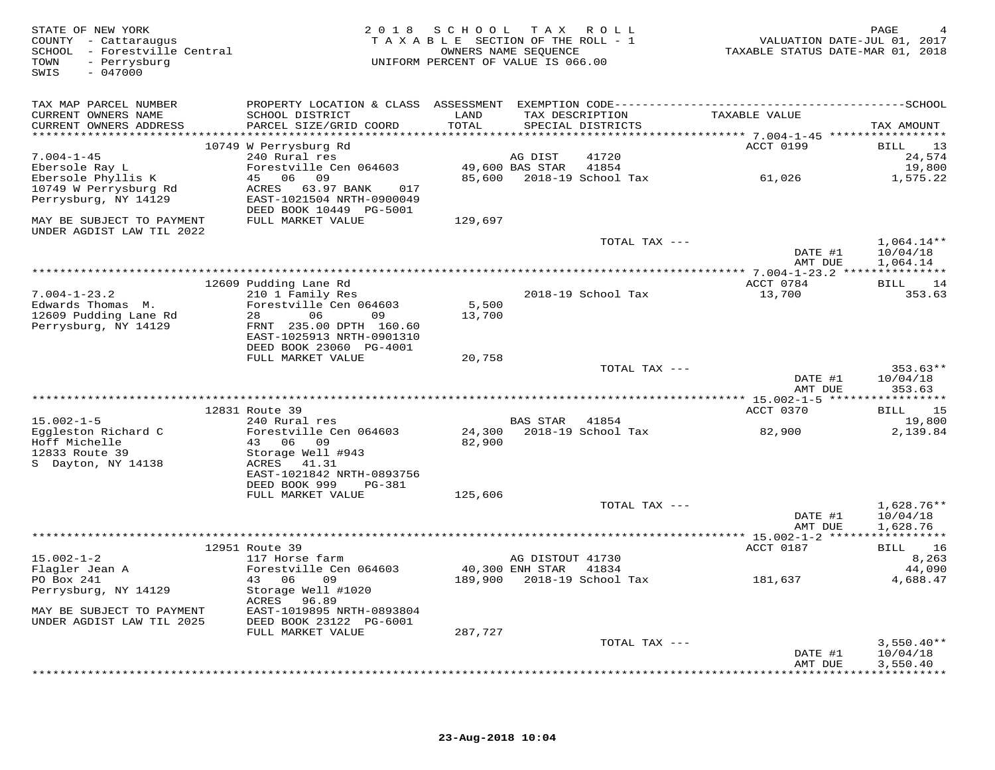| STATE OF NEW YORK<br>COUNTY - Cattaraugus<br>SCHOOL - Forestville Central<br>- Perrysburg<br>TOWN<br>$-047000$<br>SWIS |                                                                                 | 2018 SCHOOL TAX ROLL<br>TAXABLE SECTION OF THE ROLL - 1<br>OWNERS NAME SEOUENCE<br>UNIFORM PERCENT OF VALUE IS 066.00 |                  |                                      | VALUATION DATE-JUL 01, 2017<br>TAXABLE STATUS DATE-MAR 01, 2018 | PAGE                     |
|------------------------------------------------------------------------------------------------------------------------|---------------------------------------------------------------------------------|-----------------------------------------------------------------------------------------------------------------------|------------------|--------------------------------------|-----------------------------------------------------------------|--------------------------|
| TAX MAP PARCEL NUMBER                                                                                                  |                                                                                 |                                                                                                                       |                  |                                      |                                                                 |                          |
| CURRENT OWNERS NAME<br>CURRENT OWNERS ADDRESS                                                                          | SCHOOL DISTRICT<br>PARCEL SIZE/GRID COORD                                       | LAND<br>TOTAL                                                                                                         |                  | TAX DESCRIPTION<br>SPECIAL DISTRICTS | TAXABLE VALUE                                                   | TAX AMOUNT               |
|                                                                                                                        | 10749 W Perrysburg Rd                                                           |                                                                                                                       |                  |                                      | ACCT 0199                                                       | 13<br>BILL               |
| $7.004 - 1 - 45$                                                                                                       | 240 Rural res                                                                   |                                                                                                                       | AG DIST          | 41720                                |                                                                 | 24,574                   |
| Ebersole Ray L                                                                                                         | Forestville Cen 064603                                                          |                                                                                                                       | 49,600 BAS STAR  | 41854                                |                                                                 | 19,800                   |
| Ebersole Phyllis K                                                                                                     | 45 06 09                                                                        |                                                                                                                       |                  | 85,600 2018-19 School Tax            | 61,026                                                          | 1,575.22                 |
| 10749 W Perrysburg Rd<br>Perrysburg, NY 14129                                                                          | ACRES 63.97 BANK<br>017<br>EAST-1021504 NRTH-0900049<br>DEED BOOK 10449 PG-5001 |                                                                                                                       |                  |                                      |                                                                 |                          |
| MAY BE SUBJECT TO PAYMENT                                                                                              | FULL MARKET VALUE                                                               | 129,697                                                                                                               |                  |                                      |                                                                 |                          |
| UNDER AGDIST LAW TIL 2022                                                                                              |                                                                                 |                                                                                                                       |                  |                                      |                                                                 |                          |
|                                                                                                                        |                                                                                 |                                                                                                                       |                  | TOTAL TAX ---                        | DATE #1                                                         | $1,064.14**$<br>10/04/18 |
|                                                                                                                        |                                                                                 |                                                                                                                       |                  |                                      | AMT DUE                                                         | 1,064.14                 |
|                                                                                                                        |                                                                                 |                                                                                                                       |                  |                                      |                                                                 |                          |
|                                                                                                                        | 12609 Pudding Lane Rd                                                           |                                                                                                                       |                  |                                      | ACCT 0784                                                       | BILL 14                  |
| $7.004 - 1 - 23.2$<br>Edwards Thomas M.                                                                                | 210 1 Family Res<br>Forestville Cen 064603                                      | 5,500                                                                                                                 |                  | 2018-19 School Tax                   | 13,700                                                          | 353.63                   |
| 12609 Pudding Lane Rd                                                                                                  | 06<br>28<br>09                                                                  | 13,700                                                                                                                |                  |                                      |                                                                 |                          |
| Perrysburg, NY 14129                                                                                                   | FRNT 235.00 DPTH 160.60                                                         |                                                                                                                       |                  |                                      |                                                                 |                          |
|                                                                                                                        | EAST-1025913 NRTH-0901310                                                       |                                                                                                                       |                  |                                      |                                                                 |                          |
|                                                                                                                        | DEED BOOK 23060 PG-4001                                                         |                                                                                                                       |                  |                                      |                                                                 |                          |
|                                                                                                                        | FULL MARKET VALUE                                                               | 20,758                                                                                                                |                  |                                      |                                                                 |                          |
|                                                                                                                        |                                                                                 |                                                                                                                       |                  | TOTAL TAX ---                        | DATE #1                                                         | $353.63**$<br>10/04/18   |
|                                                                                                                        |                                                                                 |                                                                                                                       |                  |                                      | AMT DUE                                                         | 353.63                   |
|                                                                                                                        |                                                                                 |                                                                                                                       |                  |                                      |                                                                 |                          |
|                                                                                                                        | 12831 Route 39                                                                  |                                                                                                                       |                  |                                      | ACCT 0370                                                       | 15<br>BILL               |
| $15.002 - 1 - 5$                                                                                                       | 240 Rural res                                                                   |                                                                                                                       | <b>BAS STAR</b>  | 41854                                |                                                                 | 19,800                   |
| Eggleston Richard C<br>Hoff Michelle                                                                                   | Forestville Cen 064603<br>43 06 09                                              | 82,900                                                                                                                |                  | 24,300 2018-19 School Tax            | 82,900                                                          | 2,139.84                 |
| 12833 Route 39                                                                                                         | Storage Well #943                                                               |                                                                                                                       |                  |                                      |                                                                 |                          |
| S Dayton, NY 14138                                                                                                     | ACRES 41.31                                                                     |                                                                                                                       |                  |                                      |                                                                 |                          |
|                                                                                                                        | EAST-1021842 NRTH-0893756                                                       |                                                                                                                       |                  |                                      |                                                                 |                          |
|                                                                                                                        | DEED BOOK 999<br>PG-381                                                         |                                                                                                                       |                  |                                      |                                                                 |                          |
|                                                                                                                        | FULL MARKET VALUE                                                               | 125,606                                                                                                               |                  |                                      |                                                                 |                          |
|                                                                                                                        |                                                                                 |                                                                                                                       |                  | TOTAL TAX ---                        | DATE #1                                                         | $1,628.76**$<br>10/04/18 |
|                                                                                                                        |                                                                                 |                                                                                                                       |                  |                                      | AMT DUE                                                         | 1,628.76                 |
|                                                                                                                        |                                                                                 |                                                                                                                       |                  |                                      |                                                                 |                          |
|                                                                                                                        | 12951 Route 39                                                                  |                                                                                                                       |                  |                                      | ACCT 0187                                                       | BILL 16                  |
| $15.002 - 1 - 2$                                                                                                       | 117 Horse farm                                                                  |                                                                                                                       | AG DISTOUT 41730 |                                      |                                                                 | 8,263                    |
| Flagler Jean A                                                                                                         | Forestville Cen 064603<br>43 06<br>09                                           | 40,300 ENH STAR 41834                                                                                                 |                  |                                      |                                                                 | 44,090                   |
| PO Box 241<br>Perrysburg, NY 14129                                                                                     | Storage Well #1020                                                              |                                                                                                                       |                  | 189,900    2018-19    School Tax     | 181,637                                                         | 4,688.47                 |
|                                                                                                                        | ACRES 96.89                                                                     |                                                                                                                       |                  |                                      |                                                                 |                          |
| MAY BE SUBJECT TO PAYMENT                                                                                              | EAST-1019895 NRTH-0893804                                                       |                                                                                                                       |                  |                                      |                                                                 |                          |
| UNDER AGDIST LAW TIL 2025                                                                                              | DEED BOOK 23122 PG-6001<br>FULL MARKET VALUE                                    | 287,727                                                                                                               |                  |                                      |                                                                 |                          |
|                                                                                                                        |                                                                                 |                                                                                                                       |                  | TOTAL TAX ---                        |                                                                 | $3,550.40**$             |
|                                                                                                                        |                                                                                 |                                                                                                                       |                  |                                      | DATE #1                                                         | 10/04/18                 |
|                                                                                                                        |                                                                                 |                                                                                                                       |                  |                                      | AMT DUE                                                         | 3,550.40                 |
|                                                                                                                        |                                                                                 |                                                                                                                       |                  |                                      |                                                                 |                          |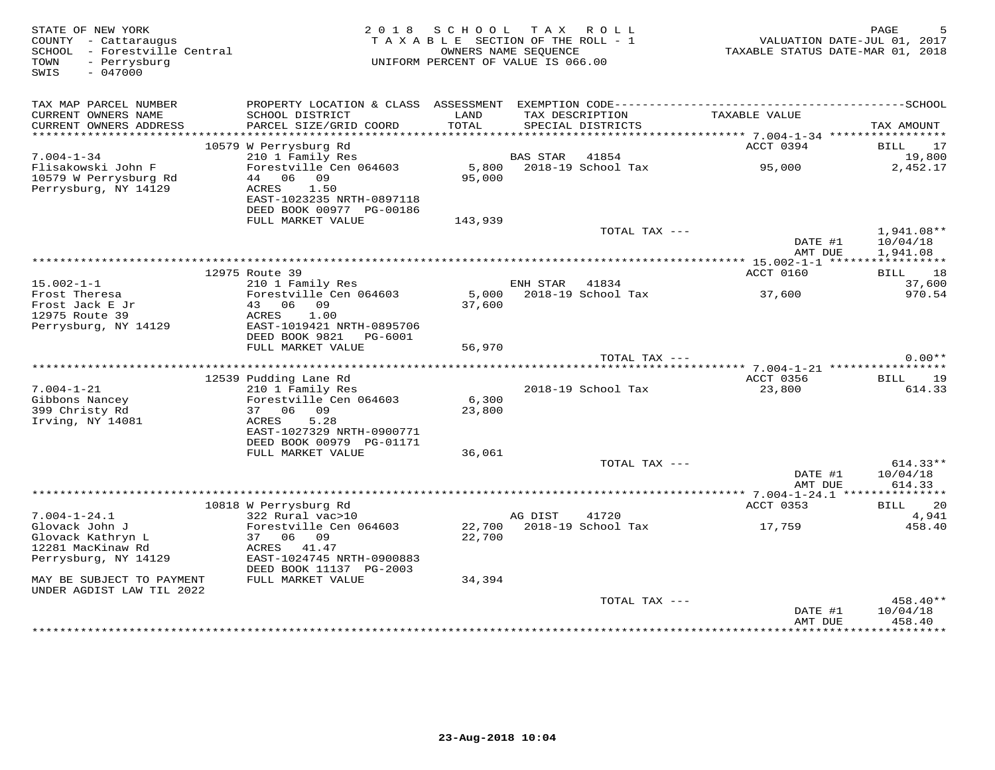| STATE OF NEW YORK<br>COUNTY - Cattaraugus<br>SCHOOL - Forestville Central<br>- Perrysburg<br>TOWN<br>$-047000$<br>SWIS | 2 0 1 8                                               | SCHOOL<br>TAXABLE SECTION OF THE ROLL - 1<br>OWNERS NAME SEQUENCE<br>UNIFORM PERCENT OF VALUE IS 066.00 | T A X           | R O L L                              | TAXABLE STATUS DATE-MAR 01, 2018              | PAGE<br>VALUATION DATE-JUL 01, 2017 |
|------------------------------------------------------------------------------------------------------------------------|-------------------------------------------------------|---------------------------------------------------------------------------------------------------------|-----------------|--------------------------------------|-----------------------------------------------|-------------------------------------|
| TAX MAP PARCEL NUMBER                                                                                                  |                                                       |                                                                                                         |                 |                                      |                                               |                                     |
| CURRENT OWNERS NAME<br>CURRENT OWNERS ADDRESS                                                                          | SCHOOL DISTRICT<br>PARCEL SIZE/GRID COORD             | LAND<br>TOTAL                                                                                           |                 | TAX DESCRIPTION<br>SPECIAL DISTRICTS | TAXABLE VALUE                                 | TAX AMOUNT                          |
|                                                                                                                        | 10579 W Perrysburg Rd                                 |                                                                                                         |                 |                                      | ACCT 0394                                     | BILL<br>17                          |
| $7.004 - 1 - 34$                                                                                                       | 210 1 Family Res                                      |                                                                                                         | <b>BAS STAR</b> | 41854                                |                                               | 19,800                              |
| Flisakowski John F                                                                                                     | Forestville Cen 064603                                | 5,800                                                                                                   |                 | 2018-19 School Tax                   | 95,000                                        | 2,452.17                            |
| 10579 W Perrysburg Rd<br>Perrysburg, NY 14129                                                                          | 44 06 09<br>1.50<br>ACRES                             | 95,000                                                                                                  |                 |                                      |                                               |                                     |
|                                                                                                                        | EAST-1023235 NRTH-0897118<br>DEED BOOK 00977 PG-00186 |                                                                                                         |                 |                                      |                                               |                                     |
|                                                                                                                        | FULL MARKET VALUE                                     | 143,939                                                                                                 |                 |                                      |                                               |                                     |
|                                                                                                                        |                                                       |                                                                                                         |                 | TOTAL TAX ---                        |                                               | 1,941.08**                          |
|                                                                                                                        |                                                       |                                                                                                         |                 |                                      | DATE #1<br>AMT DUE                            | 10/04/18<br>1,941.08                |
|                                                                                                                        | ******************                                    |                                                                                                         |                 |                                      |                                               | ***********                         |
| $15.002 - 1 - 1$                                                                                                       | 12975 Route 39<br>210 1 Family Res                    |                                                                                                         | ENH STAR        | 41834                                | ACCT 0160                                     | <b>BILL</b><br>18<br>37,600         |
| Frost Theresa                                                                                                          | Forestville Cen 064603                                | 5,000                                                                                                   |                 | 2018-19 School Tax                   | 37,600                                        | 970.54                              |
| Frost Jack E Jr<br>12975 Route 39                                                                                      | 06<br>09<br>43<br>ACRES<br>1.00                       | 37,600                                                                                                  |                 |                                      |                                               |                                     |
| Perrysburg, NY 14129                                                                                                   | EAST-1019421 NRTH-0895706                             |                                                                                                         |                 |                                      |                                               |                                     |
|                                                                                                                        | DEED BOOK 9821<br>PG-6001                             |                                                                                                         |                 |                                      |                                               |                                     |
|                                                                                                                        | FULL MARKET VALUE                                     | 56,970                                                                                                  |                 |                                      |                                               |                                     |
|                                                                                                                        |                                                       |                                                                                                         |                 | TOTAL TAX ---                        |                                               | $0.00**$                            |
|                                                                                                                        | 12539 Pudding Lane Rd                                 |                                                                                                         |                 |                                      | ******* 7.004-1-21 *************<br>ACCT 0356 | 19<br>BILL                          |
| $7.004 - 1 - 21$                                                                                                       | 210 1 Family Res                                      |                                                                                                         |                 | 2018-19 School Tax                   | 23,800                                        | 614.33                              |
| Gibbons Nancey                                                                                                         | Forestville Cen 064603                                | 6,300                                                                                                   |                 |                                      |                                               |                                     |
| 399 Christy Rd                                                                                                         | 37 06 09                                              | 23,800                                                                                                  |                 |                                      |                                               |                                     |
| Irving, NY 14081                                                                                                       | ACRES<br>5.28                                         |                                                                                                         |                 |                                      |                                               |                                     |
|                                                                                                                        | EAST-1027329 NRTH-0900771                             |                                                                                                         |                 |                                      |                                               |                                     |
|                                                                                                                        | DEED BOOK 00979 PG-01171                              |                                                                                                         |                 |                                      |                                               |                                     |
|                                                                                                                        | FULL MARKET VALUE                                     | 36,061                                                                                                  |                 | TOTAL TAX ---                        |                                               | $614.33**$                          |
|                                                                                                                        |                                                       |                                                                                                         |                 |                                      | DATE #1                                       | 10/04/18                            |
|                                                                                                                        |                                                       |                                                                                                         |                 |                                      | AMT DUE                                       | 614.33                              |
|                                                                                                                        |                                                       |                                                                                                         |                 |                                      |                                               |                                     |
|                                                                                                                        | 10818 W Perrysburg Rd                                 |                                                                                                         |                 |                                      | ACCT 0353                                     | 20<br>BILL                          |
| $7.004 - 1 - 24.1$                                                                                                     | 322 Rural vac>10                                      |                                                                                                         | AG DIST         | 41720<br>2018-19 School Tax          |                                               | 4,941<br>458.40                     |
| Glovack John J<br>Glovack Kathryn L                                                                                    | Forestville Cen 064603<br>37<br>06<br>09              | 22,700<br>22,700                                                                                        |                 |                                      | 17,759                                        |                                     |
| 12281 MacKinaw Rd                                                                                                      | ACRES 41.47                                           |                                                                                                         |                 |                                      |                                               |                                     |
| Perrysburg, NY 14129                                                                                                   | EAST-1024745 NRTH-0900883                             |                                                                                                         |                 |                                      |                                               |                                     |
|                                                                                                                        | DEED BOOK 11137 PG-2003                               |                                                                                                         |                 |                                      |                                               |                                     |
| MAY BE SUBJECT TO PAYMENT                                                                                              | FULL MARKET VALUE                                     | 34,394                                                                                                  |                 |                                      |                                               |                                     |
| UNDER AGDIST LAW TIL 2022                                                                                              |                                                       |                                                                                                         |                 | TOTAL TAX ---                        |                                               | 458.40**                            |
|                                                                                                                        |                                                       |                                                                                                         |                 |                                      | DATE #1                                       | 10/04/18                            |
|                                                                                                                        |                                                       |                                                                                                         |                 |                                      | AMT DUE                                       | 458.40<br>*********                 |
|                                                                                                                        |                                                       |                                                                                                         |                 |                                      |                                               |                                     |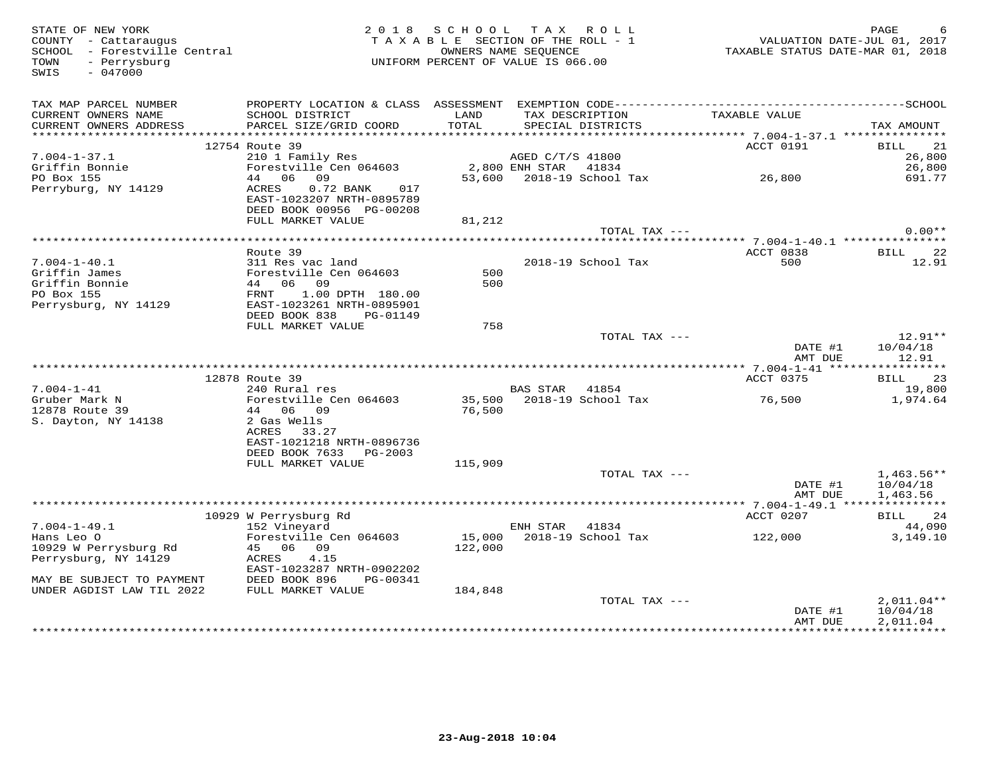| STATE OF NEW YORK<br>COUNTY - Cattaraugus<br>SCHOOL - Forestville Central<br>- Perrysburg<br>TOWN<br>$-047000$<br>SWIS |                                                                                 |               | 2018 SCHOOL TAX ROLL<br>UNIFORM PERCENT OF VALUE IS 066.00 |                                      | T A X A B L E SECTION OF THE ROLL - 1 WALUATION DATE-JUL 01, 2017<br>T A X A B L E SECTION OF THE ROLL - 1 VALUATION DATE-JUL 01, 2018 | PAGE                 |
|------------------------------------------------------------------------------------------------------------------------|---------------------------------------------------------------------------------|---------------|------------------------------------------------------------|--------------------------------------|----------------------------------------------------------------------------------------------------------------------------------------|----------------------|
| TAX MAP PARCEL NUMBER<br>CURRENT OWNERS NAME                                                                           | SCHOOL DISTRICT<br>PARCEL SIZE/GRID COORD                                       | LAND<br>TOTAL |                                                            | TAX DESCRIPTION<br>SPECIAL DISTRICTO | TAXABLE VALUE                                                                                                                          |                      |
| CURRENT OWNERS ADDRESS                                                                                                 |                                                                                 |               | SPECIAL DISTRICTS                                          |                                      |                                                                                                                                        | TAX AMOUNT           |
|                                                                                                                        | 12754 Route 39                                                                  |               |                                                            |                                      | ACCT 0191                                                                                                                              | BILL 21              |
| $7.004 - 1 - 37.1$                                                                                                     | 210 1 Family Res<br>Forestville Cen 064603<br>44 06 09 53,600 2018-19 School Ta |               |                                                            |                                      |                                                                                                                                        | 26,800               |
|                                                                                                                        |                                                                                 |               |                                                            |                                      |                                                                                                                                        | 26,800               |
| Griffin Bonnie<br>PO Box 155                                                                                           |                                                                                 |               |                                                            |                                      | 53,600 2018-19 School Tax 26,800                                                                                                       | 691.77               |
| Perryburg, NY 14129                                                                                                    | 0.72 BANK 017<br>ACRES<br>EAST-1023207 NRTH-0895789<br>DEED BOOK 00956 PG-00208 |               |                                                            |                                      |                                                                                                                                        |                      |
|                                                                                                                        | FULL MARKET VALUE                                                               | 81,212        |                                                            |                                      |                                                                                                                                        |                      |
|                                                                                                                        |                                                                                 |               |                                                            | TOTAL TAX ---                        |                                                                                                                                        | $0.00**$             |
|                                                                                                                        |                                                                                 |               |                                                            |                                      |                                                                                                                                        |                      |
|                                                                                                                        | Route 39<br>311 Res vac land                                                    |               |                                                            |                                      | ACCT 0838<br>500                                                                                                                       | BILL 22              |
| 7.004-1-40.1<br>Griffin James                                                                                          |                                                                                 | 500           | 2018-19 School Tax                                         |                                      |                                                                                                                                        | 12.91                |
| Griffin James<br>Griffin Bonnie<br>PO Box 155                                                                          |                                                                                 | 500           |                                                            |                                      |                                                                                                                                        |                      |
| PO Box 155                                                                                                             |                                                                                 |               |                                                            |                                      |                                                                                                                                        |                      |
| Perrysburg, NY 14129                                                                                                   | -----<br>EAST-1023261 NRTH-0895901                                              |               |                                                            |                                      |                                                                                                                                        |                      |
|                                                                                                                        | DEED BOOK 838 PG-01149                                                          |               |                                                            |                                      |                                                                                                                                        |                      |
|                                                                                                                        | FULL MARKET VALUE                                                               | 758           |                                                            |                                      |                                                                                                                                        |                      |
|                                                                                                                        |                                                                                 |               |                                                            | TOTAL TAX ---                        |                                                                                                                                        | $12.91**$            |
|                                                                                                                        |                                                                                 |               |                                                            |                                      | DATE #1<br>AMT DUE                                                                                                                     | 10/04/18<br>12.91    |
|                                                                                                                        |                                                                                 |               |                                                            |                                      |                                                                                                                                        |                      |
|                                                                                                                        | 12878 Route 39<br>Route 39<br>240 Rural res                                     |               |                                                            |                                      | ACCT 0375                                                                                                                              | BILL 23              |
| $7.004 - 1 - 41$                                                                                                       |                                                                                 |               | BAS STAR 41854                                             |                                      |                                                                                                                                        | 19,800<br>1,974.64   |
| Gruber Mark N<br>12878 Route 39<br>12878 Route 39                                                                      | Forestville Cen 064603 35,500 2018-19 School Tax 36,500<br>44 06 09             | 76,500        |                                                            |                                      |                                                                                                                                        |                      |
| S. Dayton, NY 14138                                                                                                    | 2 Gas Wells                                                                     |               |                                                            |                                      |                                                                                                                                        |                      |
|                                                                                                                        | ACRES 33.27                                                                     |               |                                                            |                                      |                                                                                                                                        |                      |
|                                                                                                                        | EAST-1021218 NRTH-0896736                                                       |               |                                                            |                                      |                                                                                                                                        |                      |
|                                                                                                                        | DEED BOOK 7633 PG-2003                                                          |               |                                                            |                                      |                                                                                                                                        |                      |
|                                                                                                                        | FULL MARKET VALUE                                                               | 115,909       |                                                            |                                      |                                                                                                                                        |                      |
|                                                                                                                        |                                                                                 |               |                                                            | TOTAL TAX ---                        |                                                                                                                                        | $1,463.56**$         |
|                                                                                                                        |                                                                                 |               |                                                            |                                      | DATE #1                                                                                                                                | 10/04/18             |
|                                                                                                                        |                                                                                 |               |                                                            |                                      | AMT DUE                                                                                                                                | 1,463.56             |
|                                                                                                                        |                                                                                 |               |                                                            |                                      | ACCT 0207                                                                                                                              | BILL 24              |
| $7.004 - 1 - 49.1$                                                                                                     | 10929 W Perrysburg Rd<br>152 Vineyard                                           |               | ENH STAR 41834                                             |                                      |                                                                                                                                        | 44,090               |
| Hans Leo O                                                                                                             |                                                                                 |               |                                                            |                                      |                                                                                                                                        | 3,149.10             |
| 10929 W Perrysburg Rd                                                                                                  | Forestville Cen 064603<br>45 06 09<br>ACRES 4.15                                |               |                                                            |                                      |                                                                                                                                        |                      |
| Perrysburg, NY 14129                                                                                                   |                                                                                 |               |                                                            |                                      |                                                                                                                                        |                      |
|                                                                                                                        | EAST-1023287 NRTH-0902202                                                       |               |                                                            |                                      |                                                                                                                                        |                      |
| MAY BE SUBJECT TO PAYMENT                                                                                              | DEED BOOK 896 PG-00341                                                          |               |                                                            |                                      |                                                                                                                                        |                      |
| UNDER AGDIST LAW TIL 2022                                                                                              | FULL MARKET VALUE                                                               | 184,848       |                                                            |                                      |                                                                                                                                        |                      |
|                                                                                                                        |                                                                                 |               |                                                            | TOTAL TAX ---                        |                                                                                                                                        | $2,011.04**$         |
|                                                                                                                        |                                                                                 |               |                                                            |                                      | DATE #1<br>AMT DUE                                                                                                                     | 10/04/18<br>2,011.04 |
|                                                                                                                        |                                                                                 |               |                                                            |                                      |                                                                                                                                        |                      |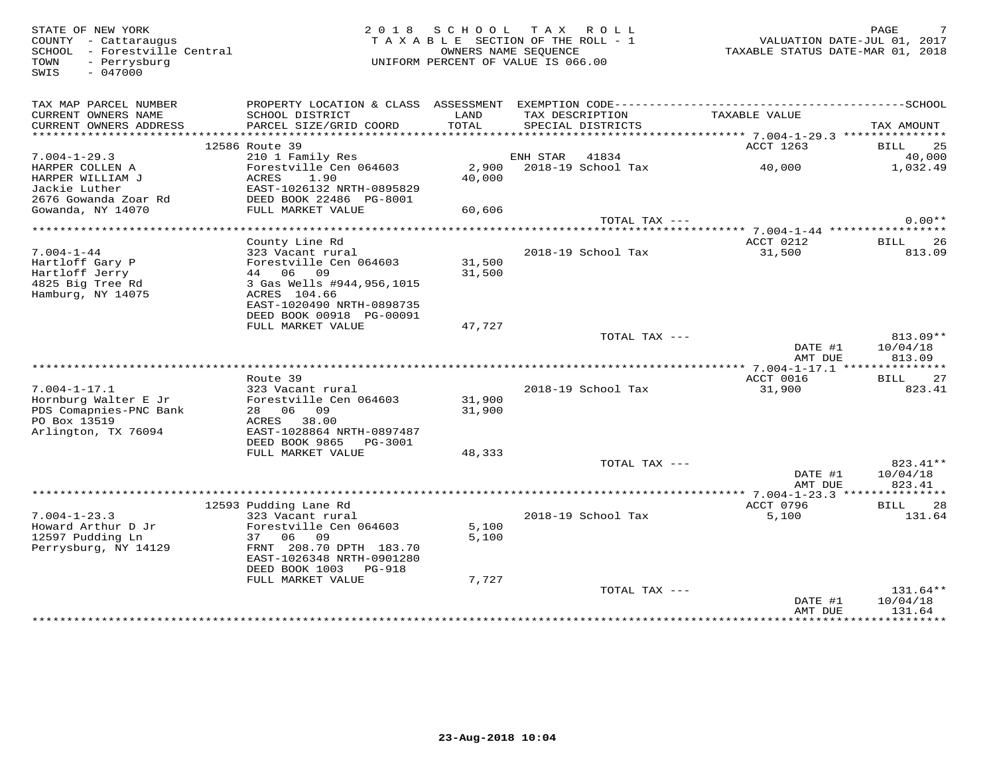SWIS - 047000

#### FRATE OF NEW YORK PORT AND RAGE THE SECTION OF THE ROLL TO LAND RAGE THE SECTION OF THE ROLL - 1 COUNTY - Cattaraugus TAXABLE SECTION OF THE ROLL - 1 COUNTY - Cattaraugus TAXABLE STATUS DATE-JUL 01, 2017<br>SCHOOL - Forestvil TAX A B L E SECTION OF THE ROLL - 1 SCHOOL – Forestville Central OWNERS NAME SEQUENCE TAXABLE STATUS DATE-MAR 01, 2018 TOWN - Perrysburg UNIFORM PERCENT OF VALUE IS 066.00

| TAX MAP PARCEL NUMBER<br>CURRENT OWNERS NAME | PROPERTY LOCATION & CLASS ASSESSMENT<br>SCHOOL DISTRICT | LAND         | TAX DESCRIPTION    | TAXABLE VALUE |                   |
|----------------------------------------------|---------------------------------------------------------|--------------|--------------------|---------------|-------------------|
| CURRENT OWNERS ADDRESS                       | PARCEL SIZE/GRID COORD                                  | <b>TOTAL</b> | SPECIAL DISTRICTS  |               | TAX AMOUNT        |
| ***********************                      |                                                         |              |                    |               |                   |
|                                              | 12586 Route 39                                          |              |                    | ACCT 1263     | 25<br><b>BILL</b> |
| $7.004 - 1 - 29.3$                           | 210 1 Family Res                                        |              | ENH STAR<br>41834  |               | 40,000            |
| HARPER COLLEN A                              | Forestville Cen 064603                                  | 2,900        | 2018-19 School Tax | 40,000        | 1,032.49          |
| HARPER WILLIAM J                             | ACRES<br>1.90                                           | 40,000       |                    |               |                   |
| Jackie Luther                                | EAST-1026132 NRTH-0895829                               |              |                    |               |                   |
| 2676 Gowanda Zoar Rd                         | DEED BOOK 22486 PG-8001                                 |              |                    |               |                   |
| Gowanda, NY 14070                            | FULL MARKET VALUE                                       | 60,606       |                    |               |                   |
|                                              |                                                         |              | TOTAL TAX ---      |               | $0.00**$          |
|                                              |                                                         |              |                    |               |                   |
|                                              | County Line Rd                                          |              |                    | ACCT 0212     | 26<br><b>BILL</b> |
| $7.004 - 1 - 44$                             | 323 Vacant rural                                        |              | 2018-19 School Tax | 31,500        | 813.09            |
| Hartloff Gary P                              | Forestville Cen 064603                                  | 31,500       |                    |               |                   |
| Hartloff Jerry                               | 44 06<br>09                                             | 31,500       |                    |               |                   |
| 4825 Big Tree Rd                             | 3 Gas Wells #944,956,1015                               |              |                    |               |                   |
| Hamburg, NY 14075                            | ACRES 104.66                                            |              |                    |               |                   |
|                                              | EAST-1020490 NRTH-0898735                               |              |                    |               |                   |
|                                              | DEED BOOK 00918 PG-00091                                |              |                    |               |                   |
|                                              | FULL MARKET VALUE                                       | 47,727       |                    |               |                   |
|                                              |                                                         |              | TOTAL TAX ---      |               | $813.09**$        |
|                                              |                                                         |              |                    | DATE #1       | 10/04/18          |
|                                              |                                                         |              |                    | AMT DUE       | 813.09            |
|                                              | Route 39                                                |              |                    | ACCT 0016     | <b>BILL</b><br>27 |
| $7.004 - 1 - 17.1$                           | 323 Vacant rural                                        |              | 2018-19 School Tax | 31,900        | 823.41            |
| Hornburg Walter E Jr                         | Forestville Cen 064603                                  | 31,900       |                    |               |                   |
| PDS Comapnies-PNC Bank                       | 06 09<br>28                                             | 31,900       |                    |               |                   |
| PO Box 13519                                 | 38.00<br>ACRES                                          |              |                    |               |                   |
| Arlington, TX 76094                          | EAST-1028864 NRTH-0897487                               |              |                    |               |                   |
|                                              | DEED BOOK 9865<br>PG-3001                               |              |                    |               |                   |
|                                              | FULL MARKET VALUE                                       | 48,333       |                    |               |                   |
|                                              |                                                         |              | TOTAL TAX ---      |               | 823.41**          |
|                                              |                                                         |              |                    | DATE #1       | 10/04/18          |
|                                              |                                                         |              |                    | AMT DUE       | 823.41            |
|                                              |                                                         |              |                    |               |                   |
|                                              | 12593 Pudding Lane Rd                                   |              |                    | ACCT 0796     | <b>BILL</b><br>28 |
| $7.004 - 1 - 23.3$                           | 323 Vacant rural                                        |              | 2018-19 School Tax | 5,100         | 131.64            |
| Howard Arthur D Jr                           | Forestville Cen 064603                                  | 5,100        |                    |               |                   |
| 12597 Pudding Ln                             | 06<br>09<br>37                                          | 5,100        |                    |               |                   |
| Perrysburg, NY 14129                         | FRNT 208.70 DPTH 183.70                                 |              |                    |               |                   |
|                                              | EAST-1026348 NRTH-0901280                               |              |                    |               |                   |
|                                              | DEED BOOK 1003<br>PG-918                                |              |                    |               |                   |
|                                              | FULL MARKET VALUE                                       | 7,727        |                    |               |                   |
|                                              |                                                         |              | TOTAL TAX ---      |               | $131.64**$        |
|                                              |                                                         |              |                    | DATE #1       | 10/04/18          |
|                                              |                                                         |              |                    | AMT DUE       | 131.64            |
|                                              |                                                         |              |                    |               |                   |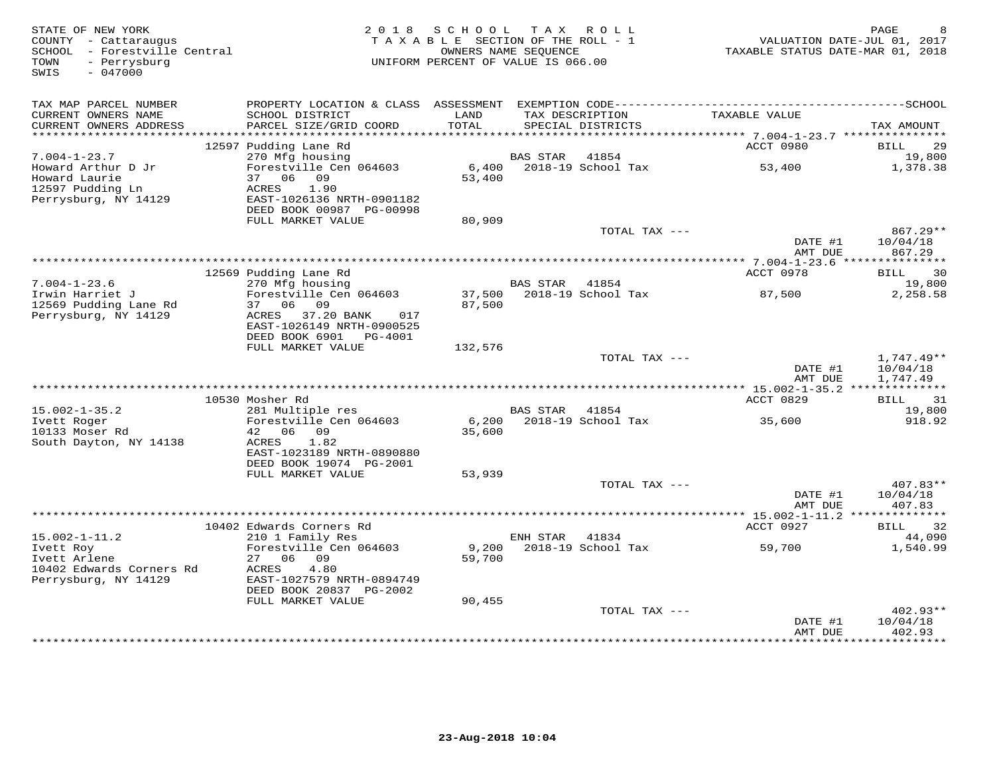| STATE OF NEW YORK<br>COUNTY - Cattaraugus<br>SCHOOL - Forestville Central<br>- Perrysburg<br>TOWN<br>$-047000$<br>SWIS | 2 0 1 8                                                                                    | SCHOOL<br>TAXABLE SECTION OF THE ROLL - 1<br>OWNERS NAME SEOUENCE<br>UNIFORM PERCENT OF VALUE IS 066.00 |                 | TAX ROLL                             | TAXABLE STATUS DATE-MAR 01, 2018                | PAGE<br>VALUATION DATE-JUL 01, 2017 |
|------------------------------------------------------------------------------------------------------------------------|--------------------------------------------------------------------------------------------|---------------------------------------------------------------------------------------------------------|-----------------|--------------------------------------|-------------------------------------------------|-------------------------------------|
| TAX MAP PARCEL NUMBER                                                                                                  |                                                                                            |                                                                                                         |                 |                                      |                                                 |                                     |
| CURRENT OWNERS NAME<br>CURRENT OWNERS ADDRESS<br>**********************                                                | SCHOOL DISTRICT<br>PARCEL SIZE/GRID COORD                                                  | LAND<br>TOTAL                                                                                           |                 | TAX DESCRIPTION<br>SPECIAL DISTRICTS | TAXABLE VALUE                                   | TAX AMOUNT                          |
|                                                                                                                        | 12597 Pudding Lane Rd                                                                      |                                                                                                         |                 |                                      | ACCT 0980                                       | <b>BILL</b><br>29                   |
| $7.004 - 1 - 23.7$                                                                                                     | 270 Mfg housing                                                                            |                                                                                                         | <b>BAS STAR</b> | 41854                                |                                                 | 19,800                              |
| Howard Arthur D Jr<br>Howard Laurie<br>12597 Pudding Ln                                                                | Forestville Cen 064603<br>37 06 09<br>ACRES<br>1.90                                        | 6,400<br>53,400                                                                                         |                 | 2018-19 School Tax                   | 53,400                                          | 1,378.38                            |
| Perrysburg, NY 14129                                                                                                   | EAST-1026136 NRTH-0901182<br>DEED BOOK 00987 PG-00998                                      |                                                                                                         |                 |                                      |                                                 |                                     |
|                                                                                                                        | FULL MARKET VALUE                                                                          | 80,909                                                                                                  |                 |                                      |                                                 |                                     |
|                                                                                                                        |                                                                                            |                                                                                                         |                 | TOTAL TAX ---                        | DATE #1<br>AMT DUE                              | $867.29**$<br>10/04/18<br>867.29    |
|                                                                                                                        |                                                                                            |                                                                                                         |                 |                                      | ******* 7.004-1-23.6 ****                       | ***********                         |
|                                                                                                                        | 12569 Pudding Lane Rd                                                                      |                                                                                                         |                 |                                      | ACCT 0978                                       | 30<br>BILL                          |
| $7.004 - 1 - 23.6$                                                                                                     | 270 Mfg housing                                                                            |                                                                                                         | <b>BAS STAR</b> | 41854                                |                                                 | 19,800                              |
| Irwin Harriet J<br>12569 Pudding Lane Rd<br>Perrysburg, NY 14129                                                       | Forestville Cen 064603<br>37 06 09<br>ACRES 37.20 BANK<br>017<br>EAST-1026149 NRTH-0900525 | 37,500<br>87,500                                                                                        |                 | 2018-19 School Tax                   | 87,500                                          | 2,258.58                            |
|                                                                                                                        | DEED BOOK 6901 PG-4001                                                                     |                                                                                                         |                 |                                      |                                                 |                                     |
|                                                                                                                        | FULL MARKET VALUE                                                                          | 132,576                                                                                                 |                 | TOTAL TAX ---                        |                                                 | $1,747.49**$                        |
|                                                                                                                        |                                                                                            |                                                                                                         |                 |                                      | DATE #1<br>AMT DUE                              | 10/04/18<br>1,747.49                |
|                                                                                                                        | 10530 Mosher Rd                                                                            |                                                                                                         |                 |                                      | ACCT 0829                                       | 31                                  |
| $15.002 - 1 - 35.2$                                                                                                    | 281 Multiple res                                                                           |                                                                                                         | BAS STAR        | 41854                                |                                                 | BILL<br>19,800                      |
| Ivett Roger<br>10133 Moser Rd                                                                                          | Forestville Cen 064603<br>42 06 09                                                         | 6,200<br>35,600                                                                                         |                 | 2018-19 School Tax                   | 35,600                                          | 918.92                              |
| South Dayton, NY 14138                                                                                                 | ACRES<br>1.82<br>EAST-1023189 NRTH-0890880                                                 |                                                                                                         |                 |                                      |                                                 |                                     |
|                                                                                                                        | DEED BOOK 19074 PG-2001<br>FULL MARKET VALUE                                               | 53,939                                                                                                  |                 |                                      |                                                 |                                     |
|                                                                                                                        |                                                                                            |                                                                                                         |                 | TOTAL TAX ---                        |                                                 | 407.83**                            |
|                                                                                                                        |                                                                                            |                                                                                                         |                 |                                      | DATE #1<br>AMT DUE                              | 10/04/18<br>407.83                  |
|                                                                                                                        |                                                                                            |                                                                                                         |                 |                                      | ****************** 15.002-1-11.2 ************** |                                     |
|                                                                                                                        | 10402 Edwards Corners Rd                                                                   |                                                                                                         |                 |                                      | ACCT 0927                                       | 32<br>BILL                          |
| $15.002 - 1 - 11.2$<br>Ivett Roy                                                                                       | 210 1 Family Res<br>Forestville Cen 064603                                                 | 9,200                                                                                                   | ENH STAR        | 41834<br>2018-19 School Tax          | 59,700                                          | 44,090<br>1,540.99                  |
| Ivett Arlene                                                                                                           | 27<br>06 09                                                                                | 59,700                                                                                                  |                 |                                      |                                                 |                                     |
| 10402 Edwards Corners Rd<br>Perrysburg, NY 14129                                                                       | 4.80<br>ACRES<br>EAST-1027579 NRTH-0894749                                                 |                                                                                                         |                 |                                      |                                                 |                                     |
|                                                                                                                        | DEED BOOK 20837 PG-2002<br>FULL MARKET VALUE                                               | 90,455                                                                                                  |                 |                                      |                                                 |                                     |
|                                                                                                                        |                                                                                            |                                                                                                         |                 | TOTAL TAX ---                        |                                                 | $402.93**$                          |
|                                                                                                                        |                                                                                            |                                                                                                         |                 |                                      | DATE #1<br>AMT DUE                              | 10/04/18<br>402.93                  |
|                                                                                                                        |                                                                                            |                                                                                                         |                 |                                      |                                                 | <b>+++++++++</b>                    |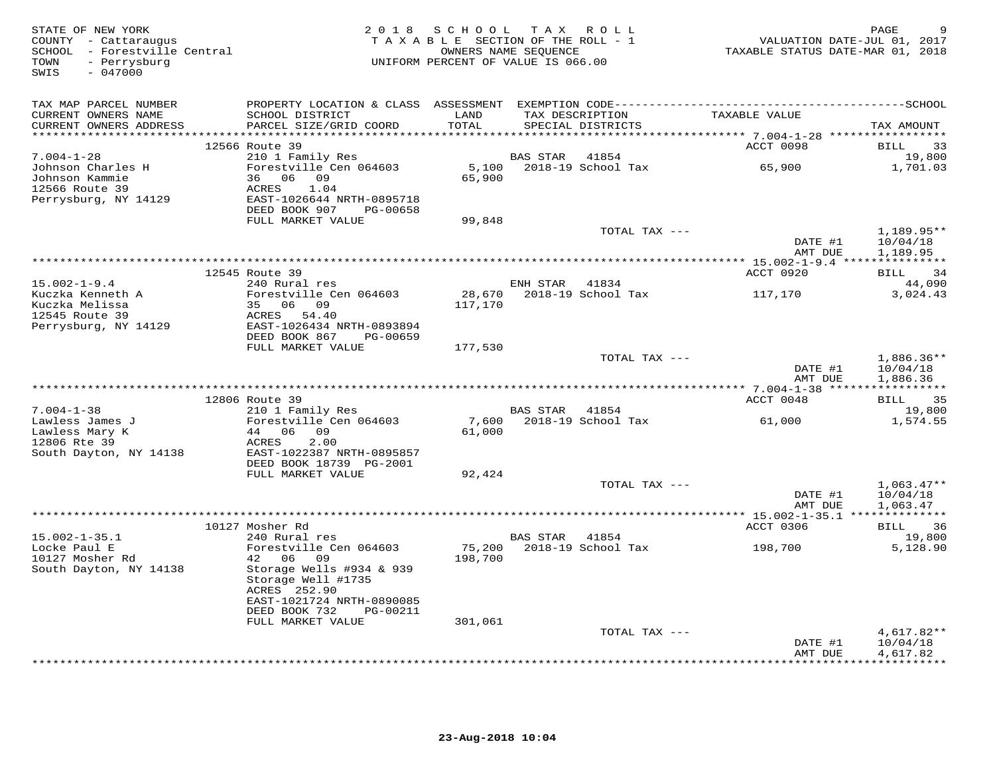| STATE OF NEW YORK<br>COUNTY - Cattaraugus<br>SCHOOL - Forestville Central<br>TOWN<br>- Perrysburg<br>$-047000$<br>SWIS |                                                        | 2018 SCHOOL TAX ROLL<br>TAXABLE SECTION OF THE ROLL - 1<br>UNIFORM PERCENT OF VALUE IS 066.00 | OWNERS NAME SEQUENCE |                                      | VALUATION DATE-JUL 01, 2017<br>TAXABLE STATUS DATE-MAR 01, 2018 | PAGE                                |
|------------------------------------------------------------------------------------------------------------------------|--------------------------------------------------------|-----------------------------------------------------------------------------------------------|----------------------|--------------------------------------|-----------------------------------------------------------------|-------------------------------------|
| TAX MAP PARCEL NUMBER                                                                                                  |                                                        |                                                                                               |                      |                                      |                                                                 |                                     |
| CURRENT OWNERS NAME<br>CURRENT OWNERS ADDRESS                                                                          | SCHOOL DISTRICT<br>PARCEL SIZE/GRID COORD              | LAND<br>TOTAL                                                                                 |                      | TAX DESCRIPTION<br>SPECIAL DISTRICTS | TAXABLE VALUE                                                   | TAX AMOUNT                          |
|                                                                                                                        | 12566 Route 39                                         |                                                                                               |                      |                                      | ACCT 0098                                                       | 33<br>BILL                          |
| $7.004 - 1 - 28$                                                                                                       | 210 1 Family Res                                       |                                                                                               | BAS STAR             | 41854                                |                                                                 | 19,800                              |
| Johnson Charles H                                                                                                      | Forestville Cen 064603                                 |                                                                                               |                      | 5,100    2018-19    School Tax       | 65,900                                                          | 1,701.03                            |
| Johnson Kammie                                                                                                         | 36 06 09                                               | 65,900                                                                                        |                      |                                      |                                                                 |                                     |
| 12566 Route 39                                                                                                         | ACRES<br>1.04                                          |                                                                                               |                      |                                      |                                                                 |                                     |
| Perrysburg, NY 14129                                                                                                   | EAST-1026644 NRTH-0895718<br>DEED BOOK 907<br>PG-00658 |                                                                                               |                      |                                      |                                                                 |                                     |
|                                                                                                                        | FULL MARKET VALUE                                      | 99,848                                                                                        |                      |                                      |                                                                 |                                     |
|                                                                                                                        |                                                        |                                                                                               |                      | TOTAL TAX ---                        |                                                                 | 1,189.95**                          |
|                                                                                                                        |                                                        |                                                                                               |                      |                                      | DATE #1                                                         | 10/04/18                            |
|                                                                                                                        |                                                        |                                                                                               |                      |                                      | AMT DUE                                                         | 1,189.95                            |
|                                                                                                                        | 12545 Route 39                                         |                                                                                               |                      |                                      | ACCT 0920                                                       | BILL 34                             |
| $15.002 - 1 - 9.4$                                                                                                     | 240 Rural res                                          |                                                                                               | ENH STAR 41834       |                                      |                                                                 | 44,090                              |
| Kuczka Kenneth A                                                                                                       | Forestville Cen 064603                                 | 28,670                                                                                        |                      | 2018-19 School Tax                   | 117,170                                                         | 3,024.43                            |
| Kuczka Melissa                                                                                                         | 35 06 09                                               | 117,170                                                                                       |                      |                                      |                                                                 |                                     |
| 12545 Route 39<br>Perrysburg, NY 14129                                                                                 | ACRES 54.40<br>EAST-1026434 NRTH-0893894               |                                                                                               |                      |                                      |                                                                 |                                     |
|                                                                                                                        | DEED BOOK 867<br>PG-00659                              |                                                                                               |                      |                                      |                                                                 |                                     |
|                                                                                                                        | FULL MARKET VALUE                                      | 177,530                                                                                       |                      |                                      |                                                                 |                                     |
|                                                                                                                        |                                                        |                                                                                               |                      | TOTAL TAX ---                        |                                                                 | $1,886.36**$                        |
|                                                                                                                        |                                                        |                                                                                               |                      |                                      | DATE #1                                                         | 10/04/18                            |
|                                                                                                                        |                                                        |                                                                                               |                      |                                      | AMT DUE                                                         | 1,886.36                            |
|                                                                                                                        | 12806 Route 39                                         |                                                                                               |                      |                                      | ACCT 0048                                                       | <b>BILL</b><br>35                   |
| $7.004 - 1 - 38$                                                                                                       | 210 1 Family Res                                       |                                                                                               | BAS STAR 41854       |                                      |                                                                 | 19,800                              |
| Lawless James J                                                                                                        | Forestville Cen 064603                                 | 7,600                                                                                         |                      | 2018-19 School Tax                   | 61,000                                                          | 1,574.55                            |
| Lawless Mary K<br>12806 Rte 39                                                                                         | 44 06 09<br>2.00<br>ACRES                              | 61,000                                                                                        |                      |                                      |                                                                 |                                     |
| South Dayton, NY 14138                                                                                                 | EAST-1022387 NRTH-0895857                              |                                                                                               |                      |                                      |                                                                 |                                     |
|                                                                                                                        | DEED BOOK 18739 PG-2001                                |                                                                                               |                      |                                      |                                                                 |                                     |
|                                                                                                                        | FULL MARKET VALUE                                      | 92,424                                                                                        |                      |                                      |                                                                 |                                     |
|                                                                                                                        |                                                        |                                                                                               |                      | TOTAL TAX ---                        | DATE #1                                                         | $1,063.47**$<br>10/04/18            |
|                                                                                                                        |                                                        |                                                                                               |                      |                                      | AMT DUE                                                         | 1,063.47                            |
|                                                                                                                        |                                                        |                                                                                               |                      |                                      |                                                                 |                                     |
|                                                                                                                        | 10127 Mosher Rd                                        |                                                                                               |                      |                                      | ACCT 0306                                                       | <b>BILL</b><br>36                   |
| $15.002 - 1 - 35.1$                                                                                                    | 240 Rural res                                          |                                                                                               | BAS STAR 41854       |                                      |                                                                 | 19,800                              |
| Locke Paul E<br>10127 Mosher Rd                                                                                        | Forestville Cen 064603<br>42 06<br>09                  | 75,200<br>198,700                                                                             |                      | 2018-19 School Tax                   | 198,700                                                         | 5,128.90                            |
| South Dayton, NY 14138                                                                                                 | Storage Wells #934 & 939                               |                                                                                               |                      |                                      |                                                                 |                                     |
|                                                                                                                        | Storage Well #1735                                     |                                                                                               |                      |                                      |                                                                 |                                     |
|                                                                                                                        | ACRES 252.90                                           |                                                                                               |                      |                                      |                                                                 |                                     |
|                                                                                                                        | EAST-1021724 NRTH-0890085<br>DEED BOOK 732<br>PG-00211 |                                                                                               |                      |                                      |                                                                 |                                     |
|                                                                                                                        | FULL MARKET VALUE                                      | 301,061                                                                                       |                      |                                      |                                                                 |                                     |
|                                                                                                                        |                                                        |                                                                                               |                      | TOTAL TAX ---                        |                                                                 | $4,617.82**$                        |
|                                                                                                                        |                                                        |                                                                                               |                      |                                      | DATE #1                                                         | 10/04/18                            |
|                                                                                                                        |                                                        |                                                                                               |                      |                                      | AMT DUE                                                         | 4,617.82<br>* * * * * * * * * * * * |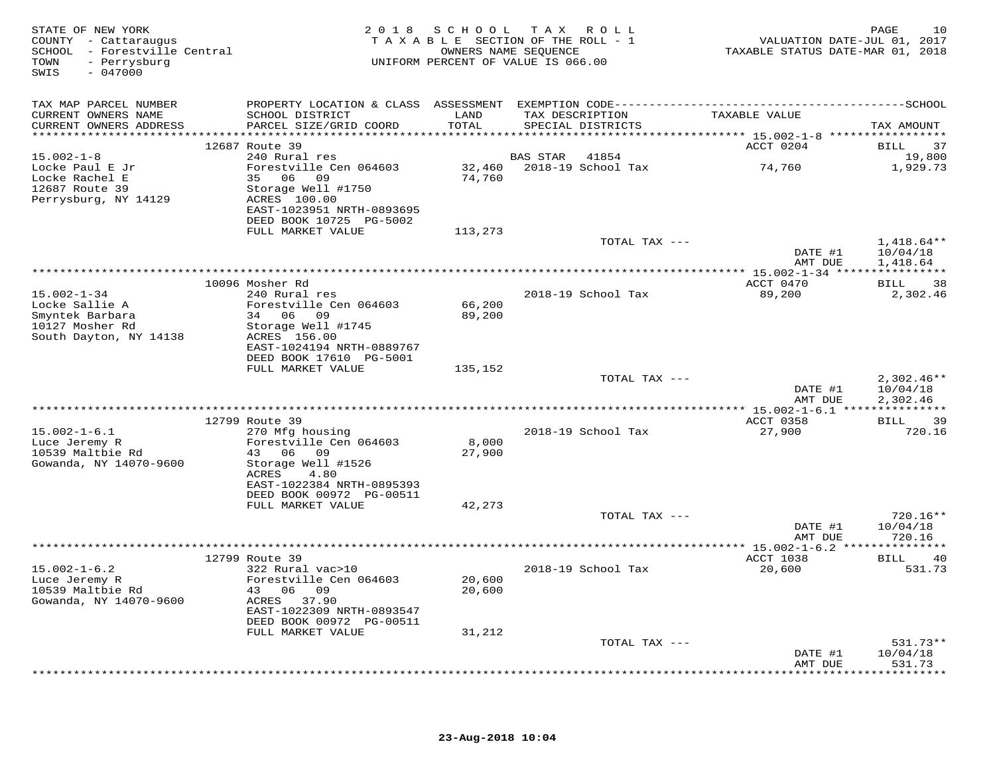| STATE OF NEW YORK<br>COUNTY - Cattaraugus<br>SCHOOL - Forestville Central<br>- Perrysburg<br>TOWN<br>$-047000$<br>SWIS |                                                                                                        |                  | 2018 SCHOOL TAX ROLL<br>TAXABLE SECTION OF THE ROLL - 1<br>OWNERS NAME SEOUENCE<br>UNIFORM PERCENT OF VALUE IS 066.00 | VALUATION DATE-JUL 01, 2017<br>TAXABLE STATUS DATE-MAR 01, 2018 | 10<br>PAGE                                |
|------------------------------------------------------------------------------------------------------------------------|--------------------------------------------------------------------------------------------------------|------------------|-----------------------------------------------------------------------------------------------------------------------|-----------------------------------------------------------------|-------------------------------------------|
| TAX MAP PARCEL NUMBER                                                                                                  | PROPERTY LOCATION & CLASS ASSESSMENT EXEMPTION CODE-----------------------------------SCHOOL           |                  |                                                                                                                       |                                                                 |                                           |
| CURRENT OWNERS NAME<br>CURRENT OWNERS ADDRESS                                                                          | SCHOOL DISTRICT<br>PARCEL SIZE/GRID COORD                                                              | LAND<br>TOTAL    | TAX DESCRIPTION<br>SPECIAL DISTRICTS                                                                                  | TAXABLE VALUE                                                   | TAX AMOUNT                                |
|                                                                                                                        | 12687 Route 39                                                                                         |                  |                                                                                                                       | ACCT 0204                                                       | BILL<br>37                                |
| $15.002 - 1 - 8$<br>Locke Paul E Jr                                                                                    | 240 Rural res<br>Forestville Cen 064603                                                                |                  | 41854<br>BAS STAR<br>32,460 2018-19 School Tax                                                                        | 74,760                                                          | 19,800<br>1,929.73                        |
| Locke Rachel E<br>12687 Route 39<br>Perrysburg, NY 14129                                                               | 35 06 09<br>Storage Well #1750<br>ACRES 100.00<br>EAST-1023951 NRTH-0893695<br>DEED BOOK 10725 PG-5002 | 74,760           |                                                                                                                       |                                                                 |                                           |
|                                                                                                                        | FULL MARKET VALUE                                                                                      | 113,273          |                                                                                                                       |                                                                 |                                           |
|                                                                                                                        |                                                                                                        |                  | TOTAL TAX ---                                                                                                         | DATE #1<br>AMT DUE                                              | $1,418.64**$<br>10/04/18<br>1,418.64      |
|                                                                                                                        | 10096 Mosher Rd                                                                                        |                  | **************************************                                                                                | ***************** 15.002-1-34 *****************<br>ACCT 0470    | <b>BILL</b><br>38                         |
| $15.002 - 1 - 34$<br>Locke Sallie A                                                                                    | 240 Rural res<br>Forestville Cen 064603                                                                | 66,200           | 2018-19 School Tax                                                                                                    | 89,200                                                          | 2,302.46                                  |
| Smyntek Barbara<br>10127 Mosher Rd<br>South Dayton, NY 14138                                                           | 34 06 09<br>Storage Well #1745<br>ACRES 156.00<br>EAST-1024194 NRTH-0889767<br>DEED BOOK 17610 PG-5001 | 89,200           |                                                                                                                       |                                                                 |                                           |
|                                                                                                                        | FULL MARKET VALUE                                                                                      | 135,152          |                                                                                                                       |                                                                 |                                           |
|                                                                                                                        |                                                                                                        |                  | TOTAL TAX ---                                                                                                         | DATE #1<br>AMT DUE                                              | $2,302.46**$<br>10/04/18<br>2,302.46      |
|                                                                                                                        |                                                                                                        |                  |                                                                                                                       |                                                                 |                                           |
| $15.002 - 1 - 6.1$                                                                                                     | 12799 Route 39<br>270 Mfg housing                                                                      |                  | 2018-19 School Tax                                                                                                    | ACCT 0358<br>27,900                                             | <b>BILL</b><br>39<br>720.16               |
| Luce Jeremy R<br>10539 Maltbie Rd<br>Gowanda, NY 14070-9600                                                            | Forestville Cen 064603<br>43 06 09<br>Storage Well #1526                                               | 8,000<br>27,900  |                                                                                                                       |                                                                 |                                           |
|                                                                                                                        | 4.80<br>ACRES<br>EAST-1022384 NRTH-0895393<br>DEED BOOK 00972 PG-00511                                 |                  |                                                                                                                       |                                                                 |                                           |
|                                                                                                                        | FULL MARKET VALUE                                                                                      | 42,273           |                                                                                                                       |                                                                 | 720.16**                                  |
|                                                                                                                        |                                                                                                        |                  | TOTAL TAX ---                                                                                                         | DATE #1<br>AMT DUE                                              | 10/04/18<br>720.16                        |
|                                                                                                                        |                                                                                                        |                  |                                                                                                                       |                                                                 |                                           |
| $15.002 - 1 - 6.2$                                                                                                     | 12799 Route 39<br>322 Rural vac>10                                                                     |                  | 2018-19 School Tax                                                                                                    | <b>ACCT 1038</b><br>20,600                                      | <b>BILL</b><br>40<br>531.73               |
| Luce Jeremy R<br>10539 Maltbie Rd<br>Gowanda, NY 14070-9600                                                            | Forestville Cen 064603<br>43 06 09<br>ACRES 37.90                                                      | 20,600<br>20,600 |                                                                                                                       |                                                                 |                                           |
|                                                                                                                        | EAST-1022309 NRTH-0893547<br>DEED BOOK 00972 PG-00511                                                  |                  |                                                                                                                       |                                                                 |                                           |
|                                                                                                                        | FULL MARKET VALUE                                                                                      | 31,212           | TOTAL TAX ---                                                                                                         |                                                                 | 531.73**                                  |
|                                                                                                                        |                                                                                                        |                  |                                                                                                                       | DATE #1<br>AMT DUE                                              | 10/04/18<br>531.73<br>* * * * * * * * * * |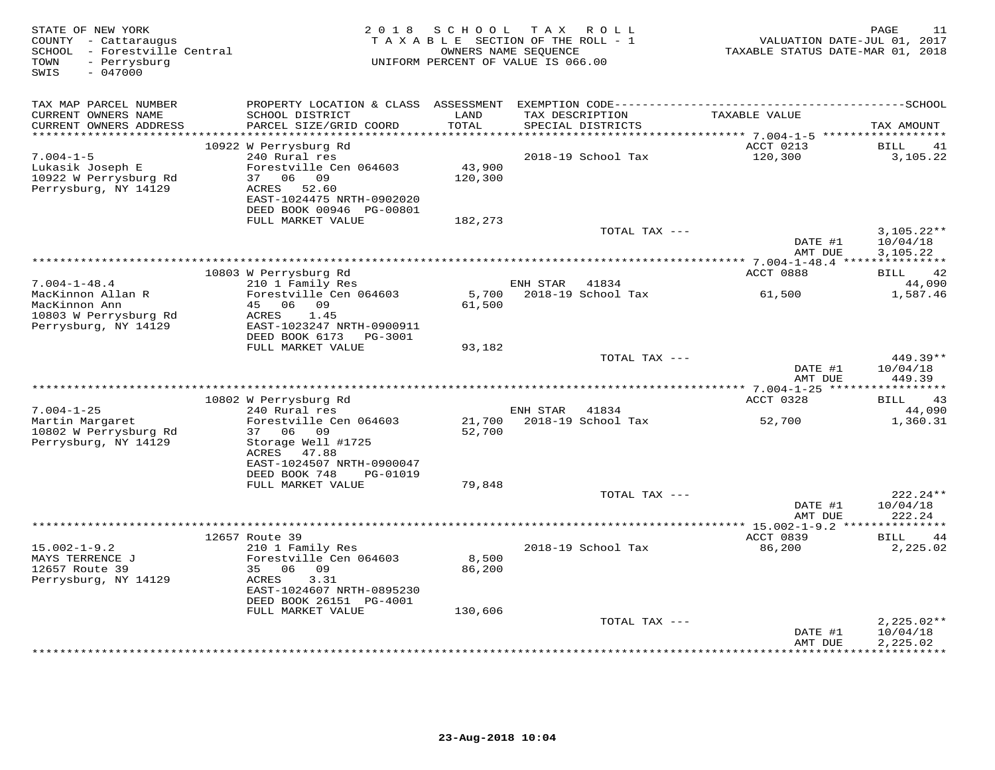| STATE OF NEW YORK<br>COUNTY - Cattaraugus<br>SCHOOL - Forestville Central<br>- Perrysburg<br>TOWN<br>$-047000$<br>SWIS | 2 0 1 8                                                                                                                                                 | S C H O O L<br>TAXABLE SECTION OF THE ROLL - 1<br>OWNERS NAME SEQUENCE<br>UNIFORM PERCENT OF VALUE IS 066.00 |          | TAX ROLL                             | TAXABLE STATUS DATE-MAR 01, 2018 | PAGE<br>11<br>VALUATION DATE-JUL 01, 2017 |
|------------------------------------------------------------------------------------------------------------------------|---------------------------------------------------------------------------------------------------------------------------------------------------------|--------------------------------------------------------------------------------------------------------------|----------|--------------------------------------|----------------------------------|-------------------------------------------|
| TAX MAP PARCEL NUMBER<br>CURRENT OWNERS NAME<br>CURRENT OWNERS ADDRESS                                                 | PROPERTY LOCATION & CLASS ASSESSMENT EXEMPTION CODE-----------------------------------SCHOOL<br>SCHOOL DISTRICT<br>PARCEL SIZE/GRID COORD               | LAND<br>TOTAL                                                                                                |          | TAX DESCRIPTION<br>SPECIAL DISTRICTS | TAXABLE VALUE                    | TAX AMOUNT                                |
| **********************                                                                                                 |                                                                                                                                                         |                                                                                                              |          |                                      |                                  |                                           |
| $7.004 - 1 - 5$<br>Lukasik Joseph E<br>10922 W Perrysburg Rd<br>Perrysburg, NY 14129                                   | 10922 W Perrysburg Rd<br>240 Rural res<br>Forestville Cen 064603<br>37 06 09<br>52.60<br>ACRES<br>EAST-1024475 NRTH-0902020<br>DEED BOOK 00946 PG-00801 | 43,900<br>120,300                                                                                            |          | 2018-19 School Tax                   | ACCT 0213<br>120,300             | <b>BILL</b><br>41<br>3,105.22             |
|                                                                                                                        | FULL MARKET VALUE                                                                                                                                       | 182,273                                                                                                      |          |                                      |                                  |                                           |
|                                                                                                                        |                                                                                                                                                         |                                                                                                              |          | TOTAL TAX ---                        | DATE #1<br>AMT DUE               | $3,105.22**$<br>10/04/18<br>3.105.22      |
|                                                                                                                        |                                                                                                                                                         |                                                                                                              |          |                                      |                                  |                                           |
|                                                                                                                        | 10803 W Perrysburg Rd                                                                                                                                   |                                                                                                              |          |                                      | ACCT 0888                        | 42<br><b>BILL</b>                         |
| $7.004 - 1 - 48.4$<br>MacKinnon Allan R<br>MacKinnon Ann                                                               | 210 1 Family Res<br>Forestville Cen 064603<br>45 06 09                                                                                                  | 5,700<br>61,500                                                                                              | ENH STAR | 41834<br>2018-19 School Tax          | 61,500                           | 44,090<br>1,587.46                        |
| 10803 W Perrysburg Rd<br>Perrysburg, NY 14129                                                                          | 1.45<br>ACRES<br>EAST-1023247 NRTH-0900911<br>DEED BOOK 6173 PG-3001<br>FULL MARKET VALUE                                                               | 93,182                                                                                                       |          |                                      |                                  |                                           |
|                                                                                                                        |                                                                                                                                                         |                                                                                                              |          | TOTAL TAX ---                        | DATE #1                          | $449.39**$<br>10/04/18                    |
|                                                                                                                        |                                                                                                                                                         |                                                                                                              |          |                                      | AMT DUE                          | 449.39                                    |
|                                                                                                                        | 10802 W Perrysburg Rd                                                                                                                                   |                                                                                                              |          |                                      | ACCT 0328                        | 43<br>BILL                                |
| $7.004 - 1 - 25$                                                                                                       | 240 Rural res                                                                                                                                           |                                                                                                              | ENH STAR | 41834                                |                                  | 44,090                                    |
| Martin Margaret<br>10802 W Perrysburg Rd<br>Perrysburg, NY 14129                                                       | Forestville Cen 064603<br>37<br>06<br>09<br>Storage Well #1725<br>ACRES<br>47.88<br>EAST-1024507 NRTH-0900047<br>DEED BOOK 748<br>PG-01019              | 21,700<br>52,700                                                                                             |          | 2018-19 School Tax                   | 52,700                           | 1,360.31                                  |
|                                                                                                                        | FULL MARKET VALUE                                                                                                                                       | 79,848                                                                                                       |          |                                      |                                  |                                           |
|                                                                                                                        |                                                                                                                                                         |                                                                                                              |          | TOTAL TAX ---                        | DATE #1<br>AMT DUE               | $222.24**$<br>10/04/18<br>222.24          |
|                                                                                                                        |                                                                                                                                                         |                                                                                                              |          |                                      |                                  | ***********                               |
| $15.002 - 1 - 9.2$<br>MAYS TERRENCE J<br>12657 Route 39<br>Perrysburg, NY 14129                                        | 12657 Route 39<br>210 1 Family Res<br>Forestville Cen 064603<br>35 06 09<br>3.31<br>ACRES                                                               | 8,500<br>86,200                                                                                              |          | 2018-19 School Tax                   | ACCT 0839<br>86,200              | 44<br>BILL<br>2,225.02                    |
|                                                                                                                        | EAST-1024607 NRTH-0895230<br>DEED BOOK 26151 PG-4001                                                                                                    |                                                                                                              |          |                                      |                                  |                                           |
|                                                                                                                        | FULL MARKET VALUE                                                                                                                                       | 130,606                                                                                                      |          | TOTAL TAX ---                        |                                  | $2,225.02**$                              |
|                                                                                                                        |                                                                                                                                                         |                                                                                                              |          |                                      | DATE #1<br>AMT DUE               | 10/04/18<br>2,225.02                      |
|                                                                                                                        |                                                                                                                                                         |                                                                                                              |          |                                      |                                  | **********                                |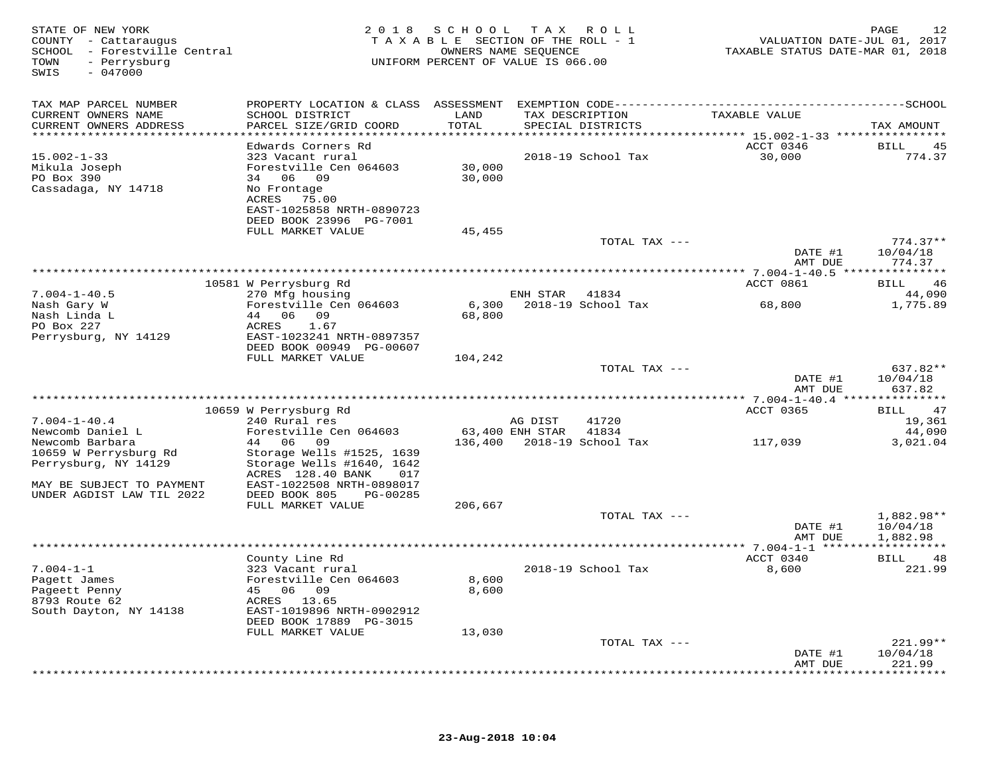| STATE OF NEW YORK<br>COUNTY - Cattaraugus<br>SCHOOL - Forestville Central<br>- Perrysburg<br>TOWN<br>SWIS<br>$-047000$ |                                                            | 2018 SCHOOL     | TAX ROLL<br>TAXABLE SECTION OF THE ROLL - 1<br>OWNERS NAME SEOUENCE<br>UNIFORM PERCENT OF VALUE IS 066.00 | VALUATION DATE-JUL 01, 2017<br>TAXABLE STATUS DATE-MAR 01, 2018 | 12<br>PAGE                  |
|------------------------------------------------------------------------------------------------------------------------|------------------------------------------------------------|-----------------|-----------------------------------------------------------------------------------------------------------|-----------------------------------------------------------------|-----------------------------|
| TAX MAP PARCEL NUMBER                                                                                                  |                                                            |                 |                                                                                                           |                                                                 |                             |
| CURRENT OWNERS NAME<br>CURRENT OWNERS ADDRESS                                                                          | SCHOOL DISTRICT<br>PARCEL SIZE/GRID COORD                  | LAND<br>TOTAL   | TAX DESCRIPTION<br>SPECIAL DISTRICTS                                                                      | TAXABLE VALUE                                                   | TAX AMOUNT                  |
|                                                                                                                        | Edwards Corners Rd                                         |                 |                                                                                                           | ACCT 0346                                                       | BILL<br>45                  |
| $15.002 - 1 - 33$                                                                                                      | 323 Vacant rural                                           |                 | 2018-19 School Tax                                                                                        | 30,000                                                          | 774.37                      |
| Mikula Joseph                                                                                                          | Forestville Cen 064603                                     | 30,000          |                                                                                                           |                                                                 |                             |
| PO Box 390                                                                                                             | 34 06 09                                                   | 30,000          |                                                                                                           |                                                                 |                             |
| Cassadaga, NY 14718                                                                                                    | No Frontage<br>75.00<br>ACRES<br>EAST-1025858 NRTH-0890723 |                 |                                                                                                           |                                                                 |                             |
|                                                                                                                        | DEED BOOK 23996 PG-7001                                    |                 |                                                                                                           |                                                                 |                             |
|                                                                                                                        | FULL MARKET VALUE                                          | 45,455          |                                                                                                           |                                                                 | $774.37**$                  |
|                                                                                                                        |                                                            |                 | TOTAL TAX ---                                                                                             | DATE #1<br>AMT DUE                                              | 10/04/18<br>774.37          |
|                                                                                                                        |                                                            |                 |                                                                                                           |                                                                 |                             |
|                                                                                                                        | 10581 W Perrysburg Rd                                      |                 |                                                                                                           | ACCT 0861                                                       | BILL<br>46                  |
| $7.004 - 1 - 40.5$                                                                                                     | 270 Mfg housing                                            |                 | ENH STAR<br>41834                                                                                         |                                                                 | 44,090                      |
| Nash Gary W<br>Nash Linda L                                                                                            | Forestville Cen 064603<br>44 06 09                         | 6,300<br>68,800 | 2018-19 School Tax                                                                                        | 68,800                                                          | 1,775.89                    |
| PO Box 227                                                                                                             | ACRES<br>1.67                                              |                 |                                                                                                           |                                                                 |                             |
| Perrysburg, NY 14129                                                                                                   | EAST-1023241 NRTH-0897357                                  |                 |                                                                                                           |                                                                 |                             |
|                                                                                                                        | DEED BOOK 00949 PG-00607                                   |                 |                                                                                                           |                                                                 |                             |
|                                                                                                                        | FULL MARKET VALUE                                          | 104,242         |                                                                                                           |                                                                 |                             |
|                                                                                                                        |                                                            |                 | TOTAL TAX ---                                                                                             | DATE #1                                                         | 637.82**<br>10/04/18        |
|                                                                                                                        |                                                            |                 |                                                                                                           | AMT DUE                                                         | 637.82                      |
|                                                                                                                        |                                                            |                 |                                                                                                           |                                                                 |                             |
|                                                                                                                        | 10659 W Perrysburg Rd                                      |                 |                                                                                                           | ACCT 0365                                                       | BILL<br>47                  |
| $7.004 - 1 - 40.4$                                                                                                     | 240 Rural res                                              |                 | 41720<br>AG DIST                                                                                          |                                                                 | 19,361                      |
| Newcomb Daniel L<br>Newcomb Barbara                                                                                    | Forestville Cen 064603<br>44 06 09                         | 136,400         | 63,400 ENH STAR<br>41834<br>2018–19 School Tax                                                            | 117,039                                                         | 44,090<br>3,021.04          |
| 10659 W Perrysburg Rd                                                                                                  | Storage Wells #1525, 1639                                  |                 |                                                                                                           |                                                                 |                             |
| Perrysburg, NY 14129                                                                                                   | Storage Wells #1640, 1642                                  |                 |                                                                                                           |                                                                 |                             |
|                                                                                                                        | ACRES 128.40 BANK<br>017                                   |                 |                                                                                                           |                                                                 |                             |
| MAY BE SUBJECT TO PAYMENT                                                                                              | EAST-1022508 NRTH-0898017                                  |                 |                                                                                                           |                                                                 |                             |
| UNDER AGDIST LAW TIL 2022                                                                                              | DEED BOOK 805<br>PG-00285<br>FULL MARKET VALUE             | 206,667         |                                                                                                           |                                                                 |                             |
|                                                                                                                        |                                                            |                 | TOTAL TAX ---                                                                                             |                                                                 | 1,882.98**                  |
|                                                                                                                        |                                                            |                 |                                                                                                           | DATE #1                                                         | 10/04/18                    |
|                                                                                                                        |                                                            |                 |                                                                                                           | AMT DUE                                                         | 1,882.98                    |
|                                                                                                                        | County Line Rd                                             |                 |                                                                                                           | *** 7.004-1-1 *******************<br>ACCT 0340                  | BILL<br>48                  |
| $7.004 - 1 - 1$                                                                                                        | 323 Vacant rural                                           |                 | 2018-19 School Tax                                                                                        | 8,600                                                           | 221.99                      |
| Pagett James                                                                                                           | Forestville Cen 064603                                     | 8,600           |                                                                                                           |                                                                 |                             |
| Pageett Penny                                                                                                          | 45 06 09                                                   | 8,600           |                                                                                                           |                                                                 |                             |
| 8793 Route 62                                                                                                          | ACRES 13.65                                                |                 |                                                                                                           |                                                                 |                             |
| South Dayton, NY 14138                                                                                                 | EAST-1019896 NRTH-0902912<br>DEED BOOK 17889 PG-3015       |                 |                                                                                                           |                                                                 |                             |
|                                                                                                                        | FULL MARKET VALUE                                          | 13,030          |                                                                                                           |                                                                 |                             |
|                                                                                                                        |                                                            |                 | TOTAL TAX ---                                                                                             |                                                                 | $221.99**$                  |
|                                                                                                                        |                                                            |                 |                                                                                                           | DATE #1                                                         | 10/04/18                    |
|                                                                                                                        |                                                            |                 |                                                                                                           | AMT DUE<br>*********                                            | 221.99<br>* * * * * * * * * |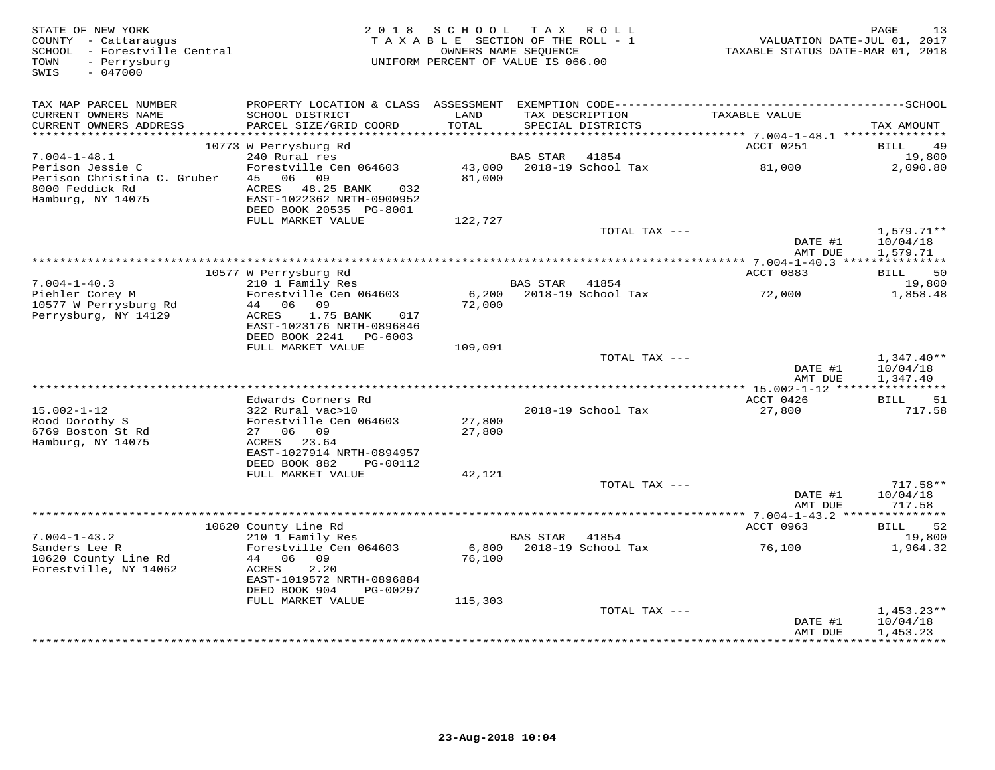| TAX MAP PARCEL NUMBER<br>TAXABLE VALUE<br>CURRENT OWNERS NAME<br>SCHOOL DISTRICT<br>LAND<br>TAX DESCRIPTION<br>CURRENT OWNERS ADDRESS<br>PARCEL SIZE/GRID COORD<br>TOTAL<br>SPECIAL DISTRICTS<br>TAX AMOUNT<br>**********************<br>***********<br>10773 W Perrysburg Rd<br>ACCT 0251<br><b>BILL</b><br>49<br>240 Rural res<br>19,800<br>$7.004 - 1 - 48.1$<br>BAS STAR<br>41854<br>Forestville Cen 064603<br>43,000<br>2018-19 School Tax<br>81,000<br>2,090.80<br>Perison Jessie C<br>06<br>Perison Christina C. Gruber<br>45<br>09<br>81,000<br>8000 Feddick Rd<br>ACRES<br>48.25 BANK<br>032<br>Hamburg, NY 14075<br>EAST-1022362 NRTH-0900952<br>DEED BOOK 20535 PG-8001<br>FULL MARKET VALUE<br>122,727<br>$1,579.71**$<br>TOTAL TAX ---<br>DATE #1<br>10/04/18<br>AMT DUE<br>1,579.71<br>50<br>ACCT 0883<br>10577 W Perrysburg Rd<br>BILL<br>$7.004 - 1 - 40.3$<br>210 1 Family Res<br><b>BAS STAR</b><br>41854<br>19,800<br>Piehler Corey M<br>Forestville Cen 064603<br>2018-19 School Tax<br>1,858.48<br>6,200<br>72,000<br>72,000<br>10577 W Perrysburg Rd<br>44 06 09<br>Perrysburg, NY 14129<br>1.75 BANK<br>ACRES<br>017<br>EAST-1023176 NRTH-0896846<br>DEED BOOK 2241<br>PG-6003<br>FULL MARKET VALUE<br>109,091<br>TOTAL TAX ---<br>$1,347.40**$<br>DATE #1<br>10/04/18<br>AMT DUE<br>1,347.40<br>***********<br>Edwards Corners Rd<br>ACCT 0426<br>51<br>BILL<br>$15.002 - 1 - 12$<br>322 Rural vac>10<br>2018-19 School Tax<br>27,800<br>717.58<br>Forestville Cen 064603<br>27,800<br>Rood Dorothy S<br>6769 Boston St Rd<br>27 06 09<br>27,800<br>Hamburg, NY 14075<br>ACRES 23.64<br>EAST-1027914 NRTH-0894957<br>DEED BOOK 882<br>PG-00112<br>FULL MARKET VALUE<br>42,121<br>$717.58**$<br>TOTAL TAX ---<br>DATE #1<br>10/04/18<br>717.58<br>AMT DUE<br>ACCT 0963<br>52<br>10620 County Line Rd<br><b>BILL</b><br>$7.004 - 1 - 43.2$<br>210 1 Family Res<br>19,800<br>BAS STAR<br>41854<br>Sanders Lee R<br>Forestville Cen 064603<br>6,800<br>2018-19 School Tax<br>76,100<br>1,964.32<br>10620 County Line Rd<br>44 06<br>09<br>76,100<br>Forestville, NY 14062<br>ACRES<br>2.20<br>EAST-1019572 NRTH-0896884<br>DEED BOOK 904<br>PG-00297<br>FULL MARKET VALUE<br>115,303<br>TOTAL TAX ---<br>$1,453.23**$<br>DATE #1<br>10/04/18<br>1,453.23<br>AMT DUE<br>***********<br>******************* | STATE OF NEW YORK<br>COUNTY - Cattaraugus<br>SCHOOL - Forestville Central<br>- Perrysburg<br>TOWN<br>$-047000$<br>SWIS | 2 0 1 8 | SCHOOL<br>TAXABLE SECTION OF THE ROLL - 1<br>OWNERS NAME SEQUENCE<br>UNIFORM PERCENT OF VALUE IS 066.00 | TAX ROLL | VALUATION DATE-JUL 01, 2017<br>TAXABLE STATUS DATE-MAR 01, 2018 | 13<br>PAGE |
|-------------------------------------------------------------------------------------------------------------------------------------------------------------------------------------------------------------------------------------------------------------------------------------------------------------------------------------------------------------------------------------------------------------------------------------------------------------------------------------------------------------------------------------------------------------------------------------------------------------------------------------------------------------------------------------------------------------------------------------------------------------------------------------------------------------------------------------------------------------------------------------------------------------------------------------------------------------------------------------------------------------------------------------------------------------------------------------------------------------------------------------------------------------------------------------------------------------------------------------------------------------------------------------------------------------------------------------------------------------------------------------------------------------------------------------------------------------------------------------------------------------------------------------------------------------------------------------------------------------------------------------------------------------------------------------------------------------------------------------------------------------------------------------------------------------------------------------------------------------------------------------------------------------------------------------------------------------------------------------------------------------------------------------------------------------------------------------------------------------------------------------------------------------------------------------------------------------------------------------------------------------------------------------------------------------------------------|------------------------------------------------------------------------------------------------------------------------|---------|---------------------------------------------------------------------------------------------------------|----------|-----------------------------------------------------------------|------------|
|                                                                                                                                                                                                                                                                                                                                                                                                                                                                                                                                                                                                                                                                                                                                                                                                                                                                                                                                                                                                                                                                                                                                                                                                                                                                                                                                                                                                                                                                                                                                                                                                                                                                                                                                                                                                                                                                                                                                                                                                                                                                                                                                                                                                                                                                                                                               |                                                                                                                        |         |                                                                                                         |          |                                                                 |            |
|                                                                                                                                                                                                                                                                                                                                                                                                                                                                                                                                                                                                                                                                                                                                                                                                                                                                                                                                                                                                                                                                                                                                                                                                                                                                                                                                                                                                                                                                                                                                                                                                                                                                                                                                                                                                                                                                                                                                                                                                                                                                                                                                                                                                                                                                                                                               |                                                                                                                        |         |                                                                                                         |          |                                                                 |            |
|                                                                                                                                                                                                                                                                                                                                                                                                                                                                                                                                                                                                                                                                                                                                                                                                                                                                                                                                                                                                                                                                                                                                                                                                                                                                                                                                                                                                                                                                                                                                                                                                                                                                                                                                                                                                                                                                                                                                                                                                                                                                                                                                                                                                                                                                                                                               |                                                                                                                        |         |                                                                                                         |          |                                                                 |            |
|                                                                                                                                                                                                                                                                                                                                                                                                                                                                                                                                                                                                                                                                                                                                                                                                                                                                                                                                                                                                                                                                                                                                                                                                                                                                                                                                                                                                                                                                                                                                                                                                                                                                                                                                                                                                                                                                                                                                                                                                                                                                                                                                                                                                                                                                                                                               |                                                                                                                        |         |                                                                                                         |          |                                                                 |            |
|                                                                                                                                                                                                                                                                                                                                                                                                                                                                                                                                                                                                                                                                                                                                                                                                                                                                                                                                                                                                                                                                                                                                                                                                                                                                                                                                                                                                                                                                                                                                                                                                                                                                                                                                                                                                                                                                                                                                                                                                                                                                                                                                                                                                                                                                                                                               |                                                                                                                        |         |                                                                                                         |          |                                                                 |            |
|                                                                                                                                                                                                                                                                                                                                                                                                                                                                                                                                                                                                                                                                                                                                                                                                                                                                                                                                                                                                                                                                                                                                                                                                                                                                                                                                                                                                                                                                                                                                                                                                                                                                                                                                                                                                                                                                                                                                                                                                                                                                                                                                                                                                                                                                                                                               |                                                                                                                        |         |                                                                                                         |          |                                                                 |            |
|                                                                                                                                                                                                                                                                                                                                                                                                                                                                                                                                                                                                                                                                                                                                                                                                                                                                                                                                                                                                                                                                                                                                                                                                                                                                                                                                                                                                                                                                                                                                                                                                                                                                                                                                                                                                                                                                                                                                                                                                                                                                                                                                                                                                                                                                                                                               |                                                                                                                        |         |                                                                                                         |          |                                                                 |            |
|                                                                                                                                                                                                                                                                                                                                                                                                                                                                                                                                                                                                                                                                                                                                                                                                                                                                                                                                                                                                                                                                                                                                                                                                                                                                                                                                                                                                                                                                                                                                                                                                                                                                                                                                                                                                                                                                                                                                                                                                                                                                                                                                                                                                                                                                                                                               |                                                                                                                        |         |                                                                                                         |          |                                                                 |            |
|                                                                                                                                                                                                                                                                                                                                                                                                                                                                                                                                                                                                                                                                                                                                                                                                                                                                                                                                                                                                                                                                                                                                                                                                                                                                                                                                                                                                                                                                                                                                                                                                                                                                                                                                                                                                                                                                                                                                                                                                                                                                                                                                                                                                                                                                                                                               |                                                                                                                        |         |                                                                                                         |          |                                                                 |            |
|                                                                                                                                                                                                                                                                                                                                                                                                                                                                                                                                                                                                                                                                                                                                                                                                                                                                                                                                                                                                                                                                                                                                                                                                                                                                                                                                                                                                                                                                                                                                                                                                                                                                                                                                                                                                                                                                                                                                                                                                                                                                                                                                                                                                                                                                                                                               |                                                                                                                        |         |                                                                                                         |          |                                                                 |            |
|                                                                                                                                                                                                                                                                                                                                                                                                                                                                                                                                                                                                                                                                                                                                                                                                                                                                                                                                                                                                                                                                                                                                                                                                                                                                                                                                                                                                                                                                                                                                                                                                                                                                                                                                                                                                                                                                                                                                                                                                                                                                                                                                                                                                                                                                                                                               |                                                                                                                        |         |                                                                                                         |          |                                                                 |            |
|                                                                                                                                                                                                                                                                                                                                                                                                                                                                                                                                                                                                                                                                                                                                                                                                                                                                                                                                                                                                                                                                                                                                                                                                                                                                                                                                                                                                                                                                                                                                                                                                                                                                                                                                                                                                                                                                                                                                                                                                                                                                                                                                                                                                                                                                                                                               |                                                                                                                        |         |                                                                                                         |          |                                                                 |            |
|                                                                                                                                                                                                                                                                                                                                                                                                                                                                                                                                                                                                                                                                                                                                                                                                                                                                                                                                                                                                                                                                                                                                                                                                                                                                                                                                                                                                                                                                                                                                                                                                                                                                                                                                                                                                                                                                                                                                                                                                                                                                                                                                                                                                                                                                                                                               |                                                                                                                        |         |                                                                                                         |          |                                                                 |            |
|                                                                                                                                                                                                                                                                                                                                                                                                                                                                                                                                                                                                                                                                                                                                                                                                                                                                                                                                                                                                                                                                                                                                                                                                                                                                                                                                                                                                                                                                                                                                                                                                                                                                                                                                                                                                                                                                                                                                                                                                                                                                                                                                                                                                                                                                                                                               |                                                                                                                        |         |                                                                                                         |          |                                                                 |            |
|                                                                                                                                                                                                                                                                                                                                                                                                                                                                                                                                                                                                                                                                                                                                                                                                                                                                                                                                                                                                                                                                                                                                                                                                                                                                                                                                                                                                                                                                                                                                                                                                                                                                                                                                                                                                                                                                                                                                                                                                                                                                                                                                                                                                                                                                                                                               |                                                                                                                        |         |                                                                                                         |          |                                                                 |            |
|                                                                                                                                                                                                                                                                                                                                                                                                                                                                                                                                                                                                                                                                                                                                                                                                                                                                                                                                                                                                                                                                                                                                                                                                                                                                                                                                                                                                                                                                                                                                                                                                                                                                                                                                                                                                                                                                                                                                                                                                                                                                                                                                                                                                                                                                                                                               |                                                                                                                        |         |                                                                                                         |          |                                                                 |            |
|                                                                                                                                                                                                                                                                                                                                                                                                                                                                                                                                                                                                                                                                                                                                                                                                                                                                                                                                                                                                                                                                                                                                                                                                                                                                                                                                                                                                                                                                                                                                                                                                                                                                                                                                                                                                                                                                                                                                                                                                                                                                                                                                                                                                                                                                                                                               |                                                                                                                        |         |                                                                                                         |          |                                                                 |            |
|                                                                                                                                                                                                                                                                                                                                                                                                                                                                                                                                                                                                                                                                                                                                                                                                                                                                                                                                                                                                                                                                                                                                                                                                                                                                                                                                                                                                                                                                                                                                                                                                                                                                                                                                                                                                                                                                                                                                                                                                                                                                                                                                                                                                                                                                                                                               |                                                                                                                        |         |                                                                                                         |          |                                                                 |            |
|                                                                                                                                                                                                                                                                                                                                                                                                                                                                                                                                                                                                                                                                                                                                                                                                                                                                                                                                                                                                                                                                                                                                                                                                                                                                                                                                                                                                                                                                                                                                                                                                                                                                                                                                                                                                                                                                                                                                                                                                                                                                                                                                                                                                                                                                                                                               |                                                                                                                        |         |                                                                                                         |          |                                                                 |            |
|                                                                                                                                                                                                                                                                                                                                                                                                                                                                                                                                                                                                                                                                                                                                                                                                                                                                                                                                                                                                                                                                                                                                                                                                                                                                                                                                                                                                                                                                                                                                                                                                                                                                                                                                                                                                                                                                                                                                                                                                                                                                                                                                                                                                                                                                                                                               |                                                                                                                        |         |                                                                                                         |          |                                                                 |            |
|                                                                                                                                                                                                                                                                                                                                                                                                                                                                                                                                                                                                                                                                                                                                                                                                                                                                                                                                                                                                                                                                                                                                                                                                                                                                                                                                                                                                                                                                                                                                                                                                                                                                                                                                                                                                                                                                                                                                                                                                                                                                                                                                                                                                                                                                                                                               |                                                                                                                        |         |                                                                                                         |          |                                                                 |            |
|                                                                                                                                                                                                                                                                                                                                                                                                                                                                                                                                                                                                                                                                                                                                                                                                                                                                                                                                                                                                                                                                                                                                                                                                                                                                                                                                                                                                                                                                                                                                                                                                                                                                                                                                                                                                                                                                                                                                                                                                                                                                                                                                                                                                                                                                                                                               |                                                                                                                        |         |                                                                                                         |          |                                                                 |            |
|                                                                                                                                                                                                                                                                                                                                                                                                                                                                                                                                                                                                                                                                                                                                                                                                                                                                                                                                                                                                                                                                                                                                                                                                                                                                                                                                                                                                                                                                                                                                                                                                                                                                                                                                                                                                                                                                                                                                                                                                                                                                                                                                                                                                                                                                                                                               |                                                                                                                        |         |                                                                                                         |          |                                                                 |            |
|                                                                                                                                                                                                                                                                                                                                                                                                                                                                                                                                                                                                                                                                                                                                                                                                                                                                                                                                                                                                                                                                                                                                                                                                                                                                                                                                                                                                                                                                                                                                                                                                                                                                                                                                                                                                                                                                                                                                                                                                                                                                                                                                                                                                                                                                                                                               |                                                                                                                        |         |                                                                                                         |          |                                                                 |            |
|                                                                                                                                                                                                                                                                                                                                                                                                                                                                                                                                                                                                                                                                                                                                                                                                                                                                                                                                                                                                                                                                                                                                                                                                                                                                                                                                                                                                                                                                                                                                                                                                                                                                                                                                                                                                                                                                                                                                                                                                                                                                                                                                                                                                                                                                                                                               |                                                                                                                        |         |                                                                                                         |          |                                                                 |            |
|                                                                                                                                                                                                                                                                                                                                                                                                                                                                                                                                                                                                                                                                                                                                                                                                                                                                                                                                                                                                                                                                                                                                                                                                                                                                                                                                                                                                                                                                                                                                                                                                                                                                                                                                                                                                                                                                                                                                                                                                                                                                                                                                                                                                                                                                                                                               |                                                                                                                        |         |                                                                                                         |          |                                                                 |            |
|                                                                                                                                                                                                                                                                                                                                                                                                                                                                                                                                                                                                                                                                                                                                                                                                                                                                                                                                                                                                                                                                                                                                                                                                                                                                                                                                                                                                                                                                                                                                                                                                                                                                                                                                                                                                                                                                                                                                                                                                                                                                                                                                                                                                                                                                                                                               |                                                                                                                        |         |                                                                                                         |          |                                                                 |            |
|                                                                                                                                                                                                                                                                                                                                                                                                                                                                                                                                                                                                                                                                                                                                                                                                                                                                                                                                                                                                                                                                                                                                                                                                                                                                                                                                                                                                                                                                                                                                                                                                                                                                                                                                                                                                                                                                                                                                                                                                                                                                                                                                                                                                                                                                                                                               |                                                                                                                        |         |                                                                                                         |          |                                                                 |            |
|                                                                                                                                                                                                                                                                                                                                                                                                                                                                                                                                                                                                                                                                                                                                                                                                                                                                                                                                                                                                                                                                                                                                                                                                                                                                                                                                                                                                                                                                                                                                                                                                                                                                                                                                                                                                                                                                                                                                                                                                                                                                                                                                                                                                                                                                                                                               |                                                                                                                        |         |                                                                                                         |          |                                                                 |            |
|                                                                                                                                                                                                                                                                                                                                                                                                                                                                                                                                                                                                                                                                                                                                                                                                                                                                                                                                                                                                                                                                                                                                                                                                                                                                                                                                                                                                                                                                                                                                                                                                                                                                                                                                                                                                                                                                                                                                                                                                                                                                                                                                                                                                                                                                                                                               |                                                                                                                        |         |                                                                                                         |          |                                                                 |            |
|                                                                                                                                                                                                                                                                                                                                                                                                                                                                                                                                                                                                                                                                                                                                                                                                                                                                                                                                                                                                                                                                                                                                                                                                                                                                                                                                                                                                                                                                                                                                                                                                                                                                                                                                                                                                                                                                                                                                                                                                                                                                                                                                                                                                                                                                                                                               |                                                                                                                        |         |                                                                                                         |          |                                                                 |            |
|                                                                                                                                                                                                                                                                                                                                                                                                                                                                                                                                                                                                                                                                                                                                                                                                                                                                                                                                                                                                                                                                                                                                                                                                                                                                                                                                                                                                                                                                                                                                                                                                                                                                                                                                                                                                                                                                                                                                                                                                                                                                                                                                                                                                                                                                                                                               |                                                                                                                        |         |                                                                                                         |          |                                                                 |            |
|                                                                                                                                                                                                                                                                                                                                                                                                                                                                                                                                                                                                                                                                                                                                                                                                                                                                                                                                                                                                                                                                                                                                                                                                                                                                                                                                                                                                                                                                                                                                                                                                                                                                                                                                                                                                                                                                                                                                                                                                                                                                                                                                                                                                                                                                                                                               |                                                                                                                        |         |                                                                                                         |          |                                                                 |            |
|                                                                                                                                                                                                                                                                                                                                                                                                                                                                                                                                                                                                                                                                                                                                                                                                                                                                                                                                                                                                                                                                                                                                                                                                                                                                                                                                                                                                                                                                                                                                                                                                                                                                                                                                                                                                                                                                                                                                                                                                                                                                                                                                                                                                                                                                                                                               |                                                                                                                        |         |                                                                                                         |          |                                                                 |            |
|                                                                                                                                                                                                                                                                                                                                                                                                                                                                                                                                                                                                                                                                                                                                                                                                                                                                                                                                                                                                                                                                                                                                                                                                                                                                                                                                                                                                                                                                                                                                                                                                                                                                                                                                                                                                                                                                                                                                                                                                                                                                                                                                                                                                                                                                                                                               |                                                                                                                        |         |                                                                                                         |          |                                                                 |            |
|                                                                                                                                                                                                                                                                                                                                                                                                                                                                                                                                                                                                                                                                                                                                                                                                                                                                                                                                                                                                                                                                                                                                                                                                                                                                                                                                                                                                                                                                                                                                                                                                                                                                                                                                                                                                                                                                                                                                                                                                                                                                                                                                                                                                                                                                                                                               |                                                                                                                        |         |                                                                                                         |          |                                                                 |            |
|                                                                                                                                                                                                                                                                                                                                                                                                                                                                                                                                                                                                                                                                                                                                                                                                                                                                                                                                                                                                                                                                                                                                                                                                                                                                                                                                                                                                                                                                                                                                                                                                                                                                                                                                                                                                                                                                                                                                                                                                                                                                                                                                                                                                                                                                                                                               |                                                                                                                        |         |                                                                                                         |          |                                                                 |            |
|                                                                                                                                                                                                                                                                                                                                                                                                                                                                                                                                                                                                                                                                                                                                                                                                                                                                                                                                                                                                                                                                                                                                                                                                                                                                                                                                                                                                                                                                                                                                                                                                                                                                                                                                                                                                                                                                                                                                                                                                                                                                                                                                                                                                                                                                                                                               |                                                                                                                        |         |                                                                                                         |          |                                                                 |            |
|                                                                                                                                                                                                                                                                                                                                                                                                                                                                                                                                                                                                                                                                                                                                                                                                                                                                                                                                                                                                                                                                                                                                                                                                                                                                                                                                                                                                                                                                                                                                                                                                                                                                                                                                                                                                                                                                                                                                                                                                                                                                                                                                                                                                                                                                                                                               |                                                                                                                        |         |                                                                                                         |          |                                                                 |            |
|                                                                                                                                                                                                                                                                                                                                                                                                                                                                                                                                                                                                                                                                                                                                                                                                                                                                                                                                                                                                                                                                                                                                                                                                                                                                                                                                                                                                                                                                                                                                                                                                                                                                                                                                                                                                                                                                                                                                                                                                                                                                                                                                                                                                                                                                                                                               |                                                                                                                        |         |                                                                                                         |          |                                                                 |            |
|                                                                                                                                                                                                                                                                                                                                                                                                                                                                                                                                                                                                                                                                                                                                                                                                                                                                                                                                                                                                                                                                                                                                                                                                                                                                                                                                                                                                                                                                                                                                                                                                                                                                                                                                                                                                                                                                                                                                                                                                                                                                                                                                                                                                                                                                                                                               |                                                                                                                        |         |                                                                                                         |          |                                                                 |            |
|                                                                                                                                                                                                                                                                                                                                                                                                                                                                                                                                                                                                                                                                                                                                                                                                                                                                                                                                                                                                                                                                                                                                                                                                                                                                                                                                                                                                                                                                                                                                                                                                                                                                                                                                                                                                                                                                                                                                                                                                                                                                                                                                                                                                                                                                                                                               |                                                                                                                        |         |                                                                                                         |          |                                                                 |            |
|                                                                                                                                                                                                                                                                                                                                                                                                                                                                                                                                                                                                                                                                                                                                                                                                                                                                                                                                                                                                                                                                                                                                                                                                                                                                                                                                                                                                                                                                                                                                                                                                                                                                                                                                                                                                                                                                                                                                                                                                                                                                                                                                                                                                                                                                                                                               |                                                                                                                        |         |                                                                                                         |          |                                                                 |            |
|                                                                                                                                                                                                                                                                                                                                                                                                                                                                                                                                                                                                                                                                                                                                                                                                                                                                                                                                                                                                                                                                                                                                                                                                                                                                                                                                                                                                                                                                                                                                                                                                                                                                                                                                                                                                                                                                                                                                                                                                                                                                                                                                                                                                                                                                                                                               |                                                                                                                        |         |                                                                                                         |          |                                                                 |            |
|                                                                                                                                                                                                                                                                                                                                                                                                                                                                                                                                                                                                                                                                                                                                                                                                                                                                                                                                                                                                                                                                                                                                                                                                                                                                                                                                                                                                                                                                                                                                                                                                                                                                                                                                                                                                                                                                                                                                                                                                                                                                                                                                                                                                                                                                                                                               |                                                                                                                        |         |                                                                                                         |          |                                                                 |            |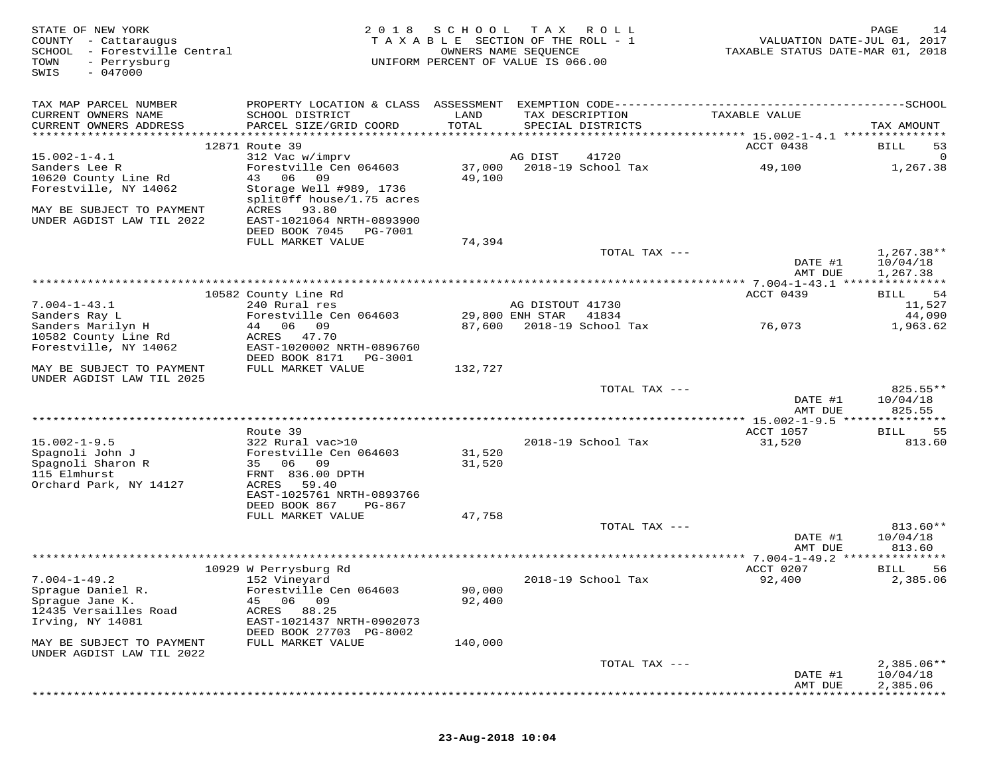| STATE OF NEW YORK<br>COUNTY - Cattaraugus<br>SCHOOL - Forestville Central<br>TOWN<br>- Perrysburg<br>$-047000$<br>SWIS | 2 0 1 8                                                | S C H O O L   | T A X<br>R O L L<br>TAXABLE SECTION OF THE ROLL - 1<br>OWNERS NAME SEQUENCE<br>UNIFORM PERCENT OF VALUE IS 066.00 | VALUATION DATE-JUL 01, 2017<br>TAXABLE STATUS DATE-MAR 01, 2018 | PAGE<br>14             |
|------------------------------------------------------------------------------------------------------------------------|--------------------------------------------------------|---------------|-------------------------------------------------------------------------------------------------------------------|-----------------------------------------------------------------|------------------------|
| TAX MAP PARCEL NUMBER                                                                                                  |                                                        |               |                                                                                                                   |                                                                 |                        |
| CURRENT OWNERS NAME<br>CURRENT OWNERS ADDRESS                                                                          | SCHOOL DISTRICT<br>PARCEL SIZE/GRID COORD              | LAND<br>TOTAL | TAX DESCRIPTION<br>SPECIAL DISTRICTS                                                                              | TAXABLE VALUE                                                   | TAX AMOUNT             |
|                                                                                                                        | 12871 Route 39                                         |               |                                                                                                                   | ACCT 0438                                                       | BILL<br>53             |
| $15.002 - 1 - 4.1$                                                                                                     | 312 Vac w/imprv                                        |               | AG DIST<br>41720                                                                                                  |                                                                 |                        |
| Sanders Lee R                                                                                                          | Forestville Cen 064603                                 | 37,000        | 2018-19 School Tax                                                                                                | 49,100                                                          | 1,267.38               |
| 10620 County Line Rd                                                                                                   | 43 06<br>09                                            | 49,100        |                                                                                                                   |                                                                 |                        |
| Forestville, NY 14062                                                                                                  | Storage Well #989, 1736<br>splitOff house/1.75 acres   |               |                                                                                                                   |                                                                 |                        |
| MAY BE SUBJECT TO PAYMENT                                                                                              | ACRES<br>93.80                                         |               |                                                                                                                   |                                                                 |                        |
| UNDER AGDIST LAW TIL 2022                                                                                              | EAST-1021064 NRTH-0893900                              |               |                                                                                                                   |                                                                 |                        |
|                                                                                                                        | DEED BOOK 7045<br>PG-7001<br>FULL MARKET VALUE         | 74,394        |                                                                                                                   |                                                                 |                        |
|                                                                                                                        |                                                        |               | TOTAL TAX ---                                                                                                     |                                                                 | $1,267.38**$           |
|                                                                                                                        |                                                        |               |                                                                                                                   | DATE #1                                                         | 10/04/18               |
|                                                                                                                        |                                                        |               |                                                                                                                   | AMT DUE                                                         | 1,267.38               |
|                                                                                                                        | 10582 County Line Rd                                   |               |                                                                                                                   | ACCT 0439                                                       | 54<br>BILL             |
| $7.004 - 1 - 43.1$<br>Sanders Ray L                                                                                    | 240 Rural res<br>Forestville Cen 064603                |               | AG DISTOUT 41730<br>29,800 ENH STAR<br>41834                                                                      |                                                                 | 11,527<br>44,090       |
| Sanders Marilyn H                                                                                                      | 44 06 09                                               |               | 87,600 2018-19 School Tax                                                                                         | 76,073                                                          | 1,963.62               |
| 10582 County Line Rd                                                                                                   | ACRES 47.70                                            |               |                                                                                                                   |                                                                 |                        |
| Forestville, NY 14062                                                                                                  | EAST-1020002 NRTH-0896760<br>DEED BOOK 8171<br>PG-3001 |               |                                                                                                                   |                                                                 |                        |
| MAY BE SUBJECT TO PAYMENT                                                                                              | FULL MARKET VALUE                                      | 132,727       |                                                                                                                   |                                                                 |                        |
| UNDER AGDIST LAW TIL 2025                                                                                              |                                                        |               |                                                                                                                   |                                                                 |                        |
|                                                                                                                        |                                                        |               | TOTAL TAX ---                                                                                                     | DATE #1                                                         | $825.55**$<br>10/04/18 |
|                                                                                                                        |                                                        |               |                                                                                                                   | AMT DUE                                                         | 825.55                 |
|                                                                                                                        |                                                        |               |                                                                                                                   |                                                                 |                        |
| $15.002 - 1 - 9.5$                                                                                                     | Route 39<br>322 Rural vac>10                           |               | 2018-19 School Tax                                                                                                | ACCT 1057<br>31,520                                             | 55<br>BILL<br>813.60   |
| Spagnoli John J                                                                                                        | Forestville Cen 064603                                 | 31,520        |                                                                                                                   |                                                                 |                        |
| Spagnoli Sharon R                                                                                                      | 35 06 09                                               | 31,520        |                                                                                                                   |                                                                 |                        |
| 115 Elmhurst<br>Orchard Park, NY 14127                                                                                 | FRNT 836.00 DPTH<br>ACRES<br>59.40                     |               |                                                                                                                   |                                                                 |                        |
|                                                                                                                        | EAST-1025761 NRTH-0893766                              |               |                                                                                                                   |                                                                 |                        |
|                                                                                                                        | DEED BOOK 867<br>PG-867                                |               |                                                                                                                   |                                                                 |                        |
|                                                                                                                        | FULL MARKET VALUE                                      | 47,758        | TOTAL TAX ---                                                                                                     |                                                                 | $813.60**$             |
|                                                                                                                        |                                                        |               |                                                                                                                   | DATE #1                                                         | 10/04/18               |
|                                                                                                                        |                                                        |               |                                                                                                                   | AMT DUE                                                         | 813.60                 |
|                                                                                                                        |                                                        |               |                                                                                                                   | ********** 7.004-1-49.2 ***************<br>ACCT 0207            |                        |
| $7.004 - 1 - 49.2$                                                                                                     | 10929 W Perrysburg Rd<br>152 Vineyard                  |               | 2018-19 School Tax                                                                                                | 92,400                                                          | BILL<br>56<br>2,385.06 |
| Sprague Daniel R.                                                                                                      | Forestville Cen 064603                                 | 90,000        |                                                                                                                   |                                                                 |                        |
| Sprague Jane K.                                                                                                        | 06 09<br>45                                            | 92,400        |                                                                                                                   |                                                                 |                        |
| 12435 Versailles Road<br>Irving, NY 14081                                                                              | ACRES<br>88.25<br>EAST-1021437 NRTH-0902073            |               |                                                                                                                   |                                                                 |                        |
|                                                                                                                        | DEED BOOK 27703 PG-8002                                |               |                                                                                                                   |                                                                 |                        |
| MAY BE SUBJECT TO PAYMENT                                                                                              | FULL MARKET VALUE                                      | 140,000       |                                                                                                                   |                                                                 |                        |
| UNDER AGDIST LAW TIL 2022                                                                                              |                                                        |               | TOTAL TAX ---                                                                                                     |                                                                 | $2,385.06**$           |
|                                                                                                                        |                                                        |               |                                                                                                                   | DATE #1                                                         | 10/04/18               |
|                                                                                                                        |                                                        |               |                                                                                                                   | AMT DUE                                                         | 2,385.06               |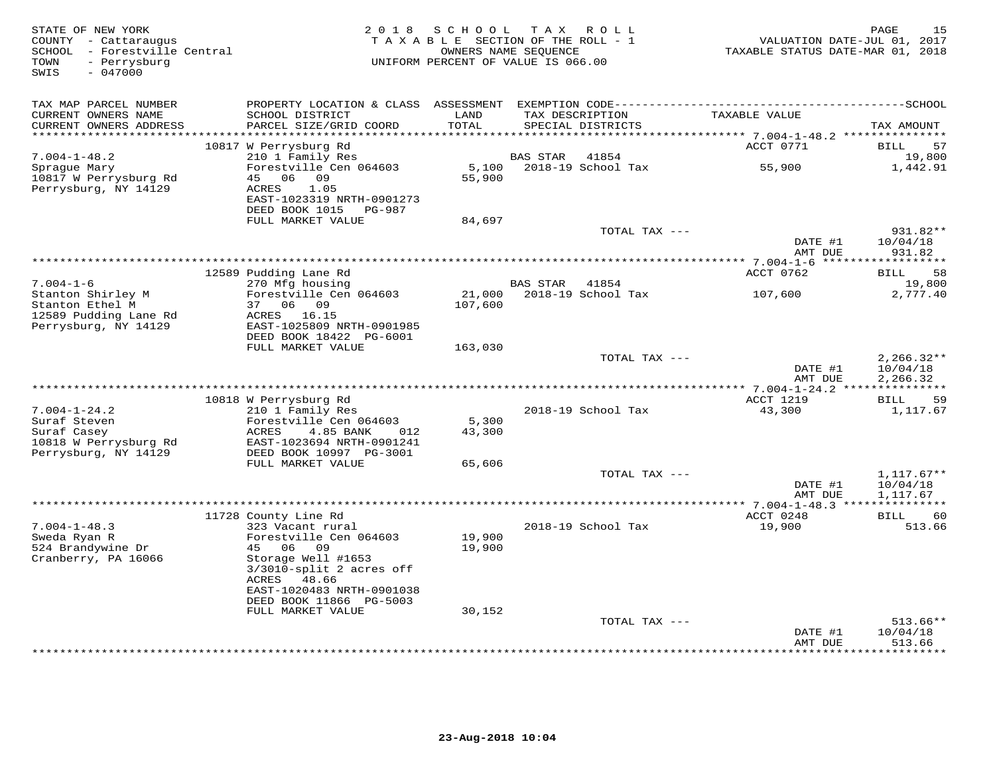| STATE OF NEW YORK<br>COUNTY - Cattaraugus<br>SCHOOL - Forestville Central<br>TOWN<br>- Perrysburg<br>$-047000$<br>SWIS | 2 0 1 8                                                | SCHOOL<br>TAXABLE SECTION OF THE ROLL - 1<br>OWNERS NAME SEOUENCE<br>UNIFORM PERCENT OF VALUE IS 066.00 |                | TAX ROLL                             | VALUATION DATE-JUL 01, 2017<br>TAXABLE STATUS DATE-MAR 01, 2018 | 15<br>PAGE           |
|------------------------------------------------------------------------------------------------------------------------|--------------------------------------------------------|---------------------------------------------------------------------------------------------------------|----------------|--------------------------------------|-----------------------------------------------------------------|----------------------|
| TAX MAP PARCEL NUMBER                                                                                                  |                                                        |                                                                                                         |                |                                      |                                                                 |                      |
| CURRENT OWNERS NAME<br>CURRENT OWNERS ADDRESS                                                                          | SCHOOL DISTRICT<br>PARCEL SIZE/GRID COORD              | LAND<br>TOTAL                                                                                           |                | TAX DESCRIPTION<br>SPECIAL DISTRICTS | TAXABLE VALUE                                                   | TAX AMOUNT           |
| ***********************                                                                                                | 10817 W Perrysburg Rd                                  |                                                                                                         |                |                                      | ACCT 0771                                                       | <b>BILL</b><br>57    |
| $7.004 - 1 - 48.2$                                                                                                     | 210 1 Family Res                                       |                                                                                                         | BAS STAR       | 41854                                |                                                                 | 19,800               |
| Sprague Mary                                                                                                           | Forestville Cen 064603                                 |                                                                                                         |                | 5,100    2018-19    School Tax       | 55,900                                                          | 1,442.91             |
| 10817 W Perrysburg Rd                                                                                                  | 45 06 09                                               | 55,900                                                                                                  |                |                                      |                                                                 |                      |
| Perrysburg, NY 14129                                                                                                   | ACRES<br>1.05<br>EAST-1023319 NRTH-0901273             |                                                                                                         |                |                                      |                                                                 |                      |
|                                                                                                                        | DEED BOOK 1015 PG-987                                  |                                                                                                         |                |                                      |                                                                 |                      |
|                                                                                                                        | FULL MARKET VALUE                                      | 84,697                                                                                                  |                |                                      |                                                                 |                      |
|                                                                                                                        |                                                        |                                                                                                         |                | TOTAL TAX ---                        |                                                                 | 931.82**             |
|                                                                                                                        |                                                        |                                                                                                         |                |                                      | DATE #1<br>AMT DUE                                              | 10/04/18<br>931.82   |
|                                                                                                                        | 12589 Pudding Lane Rd                                  |                                                                                                         |                |                                      | ACCT 0762                                                       | 58<br><b>BILL</b>    |
| $7.004 - 1 - 6$                                                                                                        | 270 Mfg housing                                        |                                                                                                         | BAS STAR 41854 |                                      |                                                                 | 19,800               |
| Stanton Shirley M                                                                                                      | Forestville Cen 064603                                 |                                                                                                         |                | 21,000 2018-19 School Tax            | 107,600                                                         | 2,777.40             |
| Stanton Ethel M                                                                                                        | 37 06 09                                               | 107,600                                                                                                 |                |                                      |                                                                 |                      |
| 12589 Pudding Lane Rd<br>Perrysburg, NY 14129                                                                          | ACRES 16.15<br>EAST-1025809 NRTH-0901985               |                                                                                                         |                |                                      |                                                                 |                      |
|                                                                                                                        | DEED BOOK 18422 PG-6001                                |                                                                                                         |                |                                      |                                                                 |                      |
|                                                                                                                        | FULL MARKET VALUE                                      | 163,030                                                                                                 |                |                                      |                                                                 |                      |
|                                                                                                                        |                                                        |                                                                                                         |                | TOTAL TAX ---                        |                                                                 | $2,266.32**$         |
|                                                                                                                        |                                                        |                                                                                                         |                |                                      | DATE #1<br>AMT DUE                                              | 10/04/18<br>2,266.32 |
|                                                                                                                        |                                                        |                                                                                                         |                |                                      |                                                                 |                      |
|                                                                                                                        | 10818 W Perrysburg Rd                                  |                                                                                                         |                |                                      | ACCT 1219                                                       | BILL<br>59           |
| $7.004 - 1 - 24.2$                                                                                                     | 210 1 Family Res                                       |                                                                                                         |                | 2018-19 School Tax                   | 43,300                                                          | 1,117.67             |
| Suraf Steven                                                                                                           | Forestville Cen 064603                                 | 5,300                                                                                                   |                |                                      |                                                                 |                      |
| Suraf Casey<br>10818 W Perrysburg Rd                                                                                   | ACRES<br>4.85 BANK<br>012<br>EAST-1023694 NRTH-0901241 | 43,300                                                                                                  |                |                                      |                                                                 |                      |
| Perrysburg, NY 14129                                                                                                   | DEED BOOK 10997 PG-3001                                |                                                                                                         |                |                                      |                                                                 |                      |
|                                                                                                                        | FULL MARKET VALUE                                      | 65,606                                                                                                  |                |                                      |                                                                 |                      |
|                                                                                                                        |                                                        |                                                                                                         |                | TOTAL TAX ---                        |                                                                 | $1,117.67**$         |
|                                                                                                                        |                                                        |                                                                                                         |                |                                      | DATE #1<br>AMT DUE                                              | 10/04/18<br>1,117.67 |
|                                                                                                                        |                                                        |                                                                                                         |                |                                      |                                                                 |                      |
|                                                                                                                        | 11728 County Line Rd                                   |                                                                                                         |                |                                      | ACCT 0248                                                       | <b>BILL</b><br>60    |
| $7.004 - 1 - 48.3$                                                                                                     | 323 Vacant rural                                       |                                                                                                         |                | 2018-19 School Tax                   | 19,900                                                          | 513.66               |
| Sweda Ryan R                                                                                                           | Forestville Cen 064603                                 | 19,900                                                                                                  |                |                                      |                                                                 |                      |
| 524 Brandywine Dr<br>Cranberry, PA 16066                                                                               | 45 06 09<br>Storage Well #1653                         | 19,900                                                                                                  |                |                                      |                                                                 |                      |
|                                                                                                                        | $3/3010$ -split 2 acres off                            |                                                                                                         |                |                                      |                                                                 |                      |
|                                                                                                                        | ACRES 48.66                                            |                                                                                                         |                |                                      |                                                                 |                      |
|                                                                                                                        | EAST-1020483 NRTH-0901038                              |                                                                                                         |                |                                      |                                                                 |                      |
|                                                                                                                        | DEED BOOK 11866 PG-5003                                | 30,152                                                                                                  |                |                                      |                                                                 |                      |
|                                                                                                                        | FULL MARKET VALUE                                      |                                                                                                         |                | TOTAL TAX ---                        |                                                                 | $513.66**$           |
|                                                                                                                        |                                                        |                                                                                                         |                |                                      | DATE #1                                                         | 10/04/18             |
|                                                                                                                        |                                                        |                                                                                                         |                |                                      | AMT DUE                                                         | 513.66               |
|                                                                                                                        |                                                        |                                                                                                         |                |                                      |                                                                 | ********             |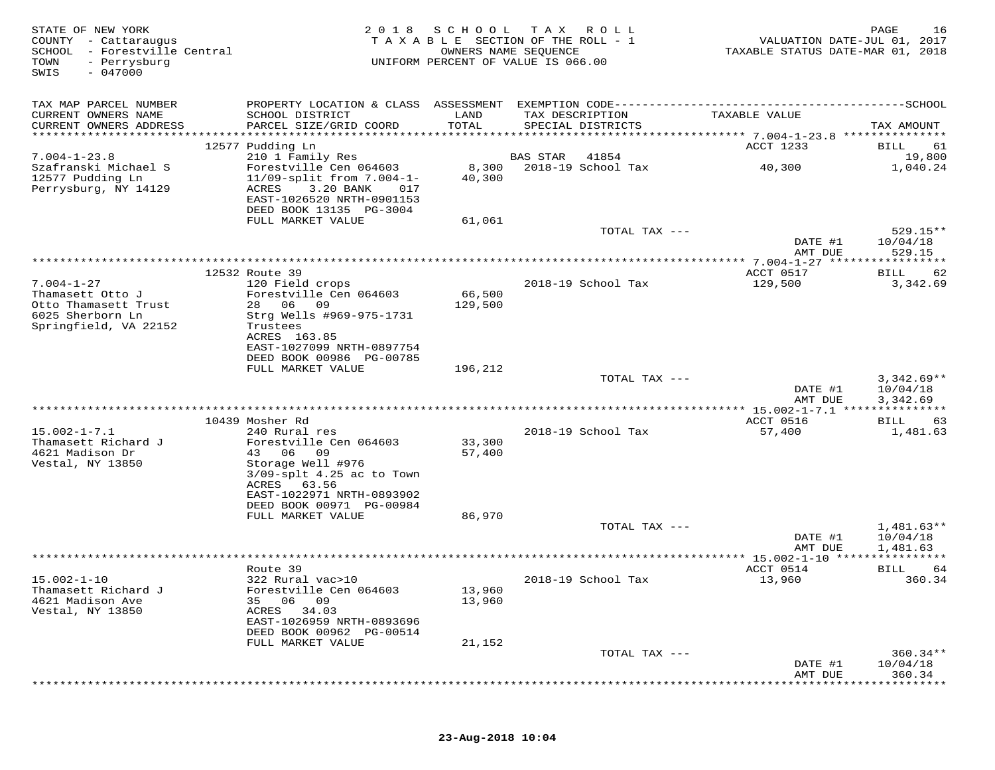| STATE OF NEW YORK<br>COUNTY - Cattaraugus<br>SCHOOL<br>- Forestville Central<br>TOWN<br>- Perrysburg<br>$-047000$<br>SWIS | 2 0 1 8                                                                                                                                          | S C H O O L<br>OWNERS NAME SEQUENCE | T A X<br>R O L L<br>TAXABLE SECTION OF THE ROLL - 1<br>UNIFORM PERCENT OF VALUE IS 066.00 | VALUATION DATE-JUL 01, 2017<br>TAXABLE STATUS DATE-MAR 01, 2018 | PAGE<br>16           |
|---------------------------------------------------------------------------------------------------------------------------|--------------------------------------------------------------------------------------------------------------------------------------------------|-------------------------------------|-------------------------------------------------------------------------------------------|-----------------------------------------------------------------|----------------------|
| TAX MAP PARCEL NUMBER                                                                                                     |                                                                                                                                                  |                                     |                                                                                           |                                                                 |                      |
| CURRENT OWNERS NAME<br>CURRENT OWNERS ADDRESS                                                                             | SCHOOL DISTRICT<br>PARCEL SIZE/GRID COORD                                                                                                        | LAND<br>TOTAL                       | TAX DESCRIPTION<br>SPECIAL DISTRICTS                                                      | TAXABLE VALUE                                                   | TAX AMOUNT           |
| ************************                                                                                                  |                                                                                                                                                  |                                     |                                                                                           |                                                                 |                      |
|                                                                                                                           | 12577 Pudding Ln                                                                                                                                 |                                     |                                                                                           | ACCT 1233                                                       | 61<br>BILL           |
| $7.004 - 1 - 23.8$                                                                                                        | 210 1 Family Res                                                                                                                                 |                                     | <b>BAS STAR</b><br>41854                                                                  |                                                                 | 19,800               |
| Szafranski Michael S<br>12577 Pudding Ln<br>Perrysburg, NY 14129                                                          | Forestville Cen 064603<br>$11/09$ -split from $7.004 - 1 -$<br>ACRES<br>3.20 BANK<br>017<br>EAST-1026520 NRTH-0901153<br>DEED BOOK 13135 PG-3004 | 8,300<br>40,300                     | 2018-19 School Tax                                                                        | 40,300                                                          | 1,040.24             |
|                                                                                                                           | FULL MARKET VALUE                                                                                                                                | 61,061                              |                                                                                           |                                                                 |                      |
|                                                                                                                           |                                                                                                                                                  |                                     | TOTAL TAX ---                                                                             | DATE #1                                                         | 529.15**<br>10/04/18 |
|                                                                                                                           |                                                                                                                                                  |                                     |                                                                                           | AMT DUE                                                         | 529.15               |
|                                                                                                                           |                                                                                                                                                  |                                     |                                                                                           | ************* 7.004-1-27 ******************                     |                      |
|                                                                                                                           | 12532 Route 39                                                                                                                                   |                                     | 2018-19 School Tax                                                                        | ACCT 0517                                                       | 62<br>BILL           |
| $7.004 - 1 - 27$<br>Thamasett Otto J                                                                                      | 120 Field crops<br>Forestville Cen 064603                                                                                                        | 66,500                              |                                                                                           | 129,500                                                         | 3,342.69             |
| Otto Thamasett Trust                                                                                                      | 28 06<br>09                                                                                                                                      | 129,500                             |                                                                                           |                                                                 |                      |
| 6025 Sherborn Ln                                                                                                          | Strg Wells #969-975-1731                                                                                                                         |                                     |                                                                                           |                                                                 |                      |
| Springfield, VA 22152                                                                                                     | Trustees                                                                                                                                         |                                     |                                                                                           |                                                                 |                      |
|                                                                                                                           | ACRES 163.85<br>EAST-1027099 NRTH-0897754                                                                                                        |                                     |                                                                                           |                                                                 |                      |
|                                                                                                                           | DEED BOOK 00986 PG-00785                                                                                                                         |                                     |                                                                                           |                                                                 |                      |
|                                                                                                                           | FULL MARKET VALUE                                                                                                                                | 196,212                             |                                                                                           |                                                                 |                      |
|                                                                                                                           |                                                                                                                                                  |                                     | TOTAL TAX ---                                                                             |                                                                 | $3,342.69**$         |
|                                                                                                                           |                                                                                                                                                  |                                     |                                                                                           | DATE #1                                                         | 10/04/18             |
|                                                                                                                           |                                                                                                                                                  |                                     |                                                                                           | AMT DUE<br>*** 15.002-1-7.1 ****************                    | 3,342.69             |
|                                                                                                                           | 10439 Mosher Rd                                                                                                                                  |                                     |                                                                                           | ACCT 0516                                                       | 63<br>BILL           |
| $15.002 - 1 - 7.1$                                                                                                        | 240 Rural res                                                                                                                                    |                                     | 2018-19 School Tax                                                                        | 57,400                                                          | 1,481.63             |
| Thamasett Richard J                                                                                                       | Forestville Cen 064603                                                                                                                           | 33,300                              |                                                                                           |                                                                 |                      |
| 4621 Madison Dr                                                                                                           | 43 06<br>09                                                                                                                                      | 57,400                              |                                                                                           |                                                                 |                      |
| Vestal, NY 13850                                                                                                          | Storage Well #976<br>$3/09$ -splt $4.25$ ac to Town                                                                                              |                                     |                                                                                           |                                                                 |                      |
|                                                                                                                           | ACRES<br>63.56                                                                                                                                   |                                     |                                                                                           |                                                                 |                      |
|                                                                                                                           | EAST-1022971 NRTH-0893902                                                                                                                        |                                     |                                                                                           |                                                                 |                      |
|                                                                                                                           | DEED BOOK 00971 PG-00984                                                                                                                         |                                     |                                                                                           |                                                                 |                      |
|                                                                                                                           | FULL MARKET VALUE                                                                                                                                | 86,970                              | TOTAL TAX ---                                                                             |                                                                 | $1,481.63**$         |
|                                                                                                                           |                                                                                                                                                  |                                     |                                                                                           | DATE #1                                                         | 10/04/18             |
|                                                                                                                           |                                                                                                                                                  |                                     |                                                                                           | AMT DUE                                                         | 1,481.63             |
|                                                                                                                           |                                                                                                                                                  |                                     |                                                                                           |                                                                 |                      |
|                                                                                                                           | Route 39                                                                                                                                         |                                     |                                                                                           | ACCT 0514                                                       | BILL<br>64           |
| $15.002 - 1 - 10$<br>Thamasett Richard J                                                                                  | 322 Rural vac>10<br>Forestville Cen 064603                                                                                                       | 13,960                              | 2018-19 School Tax                                                                        | 13,960                                                          | 360.34               |
| 4621 Madison Ave                                                                                                          | 06 09<br>35                                                                                                                                      | 13,960                              |                                                                                           |                                                                 |                      |
| Vestal, NY 13850                                                                                                          | ACRES<br>34.03                                                                                                                                   |                                     |                                                                                           |                                                                 |                      |
|                                                                                                                           | EAST-1026959 NRTH-0893696                                                                                                                        |                                     |                                                                                           |                                                                 |                      |
|                                                                                                                           | DEED BOOK 00962 PG-00514                                                                                                                         |                                     |                                                                                           |                                                                 |                      |
|                                                                                                                           | FULL MARKET VALUE                                                                                                                                | 21,152                              | TOTAL TAX ---                                                                             |                                                                 | $360.34**$           |
|                                                                                                                           |                                                                                                                                                  |                                     |                                                                                           | DATE #1                                                         | 10/04/18             |
|                                                                                                                           |                                                                                                                                                  |                                     |                                                                                           | AMT DUE                                                         | 360.34               |
|                                                                                                                           |                                                                                                                                                  |                                     |                                                                                           |                                                                 |                      |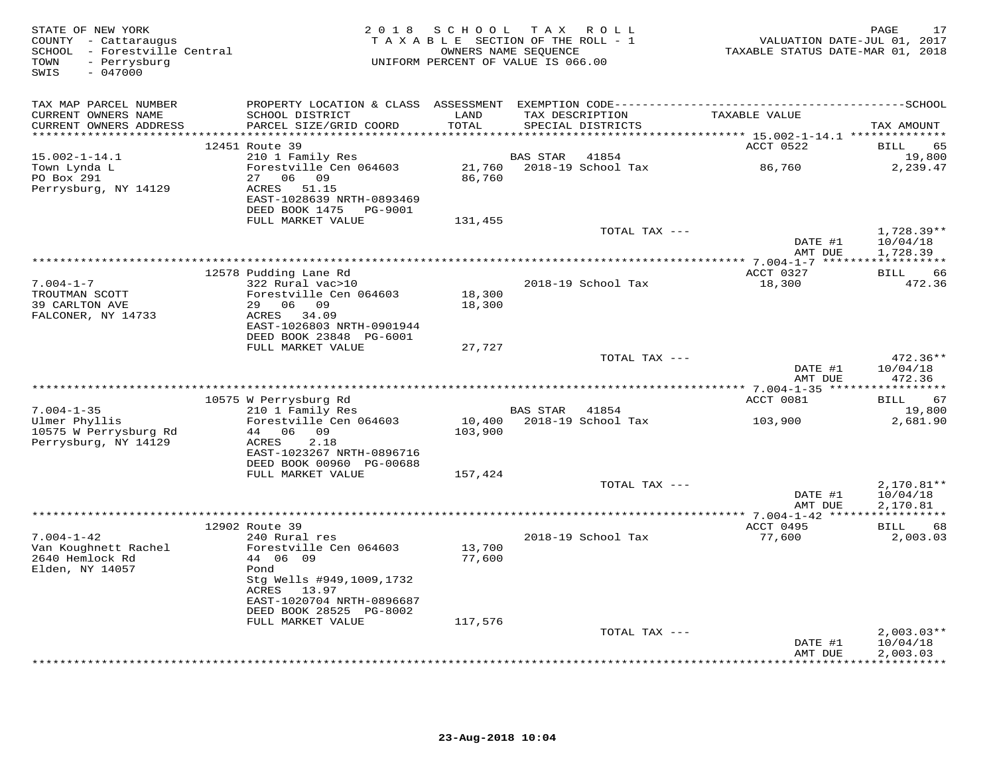| STATE OF NEW YORK<br>COUNTY - Cattaraugus<br>SCHOOL - Forestville Central<br>- Perrysburg<br>TOWN<br>$-047000$<br>SWIS |                                                                                                           | 2018 SCHOOL       | TAX ROLL<br>TAXABLE SECTION OF THE ROLL - 1<br>OWNERS NAME SEQUENCE<br>UNIFORM PERCENT OF VALUE IS 066.00 | VALUATION DATE-JUL 01, 2017<br>TAXABLE STATUS DATE-MAR 01, 2018 | PAGE<br>17                    |
|------------------------------------------------------------------------------------------------------------------------|-----------------------------------------------------------------------------------------------------------|-------------------|-----------------------------------------------------------------------------------------------------------|-----------------------------------------------------------------|-------------------------------|
| TAX MAP PARCEL NUMBER<br>CURRENT OWNERS NAME<br>CURRENT OWNERS ADDRESS                                                 | SCHOOL DISTRICT<br>PARCEL SIZE/GRID COORD                                                                 | LAND<br>TOTAL     | TAX DESCRIPTION<br>SPECIAL DISTRICTS                                                                      | TAXABLE VALUE                                                   | TAX AMOUNT                    |
|                                                                                                                        | 12451 Route 39                                                                                            |                   |                                                                                                           | ACCT 0522                                                       | BILL<br>65                    |
| $15.002 - 1 - 14.1$<br>Town Lynda L<br>PO Box 291                                                                      | 210 1 Family Res<br>Forestville Cen 064603<br>27 06 09                                                    | 86,760            | BAS STAR<br>41854<br>21,760 2018-19 School Tax                                                            | 86,760                                                          | 19,800<br>2,239.47            |
| Perrysburg, NY 14129                                                                                                   | ACRES 51.15<br>EAST-1028639 NRTH-0893469<br>DEED BOOK 1475 PG-9001<br>FULL MARKET VALUE                   | 131,455           |                                                                                                           |                                                                 |                               |
|                                                                                                                        |                                                                                                           |                   | TOTAL TAX ---                                                                                             | DATE #1                                                         | 1,728.39**<br>10/04/18        |
|                                                                                                                        |                                                                                                           |                   |                                                                                                           | AMT DUE                                                         | 1,728.39                      |
| $7.004 - 1 - 7$                                                                                                        | 12578 Pudding Lane Rd<br>322 Rural vac>10                                                                 |                   | 2018-19 School Tax                                                                                        | ACCT 0327<br>18,300                                             | BILL<br>66<br>472.36          |
| TROUTMAN SCOTT<br>39 CARLTON AVE<br>FALCONER, NY 14733                                                                 | Forestville Cen 064603<br>29 06 09<br>ACRES 34.09<br>EAST-1026803 NRTH-0901944<br>DEED BOOK 23848 PG-6001 | 18,300<br>18,300  |                                                                                                           |                                                                 |                               |
|                                                                                                                        | FULL MARKET VALUE                                                                                         | 27,727            | TOTAL TAX ---                                                                                             |                                                                 | $472.36**$                    |
|                                                                                                                        |                                                                                                           |                   |                                                                                                           | DATE #1<br>AMT DUE                                              | 10/04/18<br>472.36            |
|                                                                                                                        |                                                                                                           |                   |                                                                                                           | ***************** 7.004-1-35 *****                              | * * * * * * * * * * *         |
| $7.004 - 1 - 35$                                                                                                       | 10575 W Perrysburg Rd<br>210 1 Family Res                                                                 |                   | BAS STAR<br>41854                                                                                         | ACCT 0081                                                       | 67<br>BILL<br>19,800          |
| Ulmer Phyllis<br>10575 W Perrysburg Rd<br>Perrysburg, NY 14129                                                         | Forestville Cen 064603<br>44 06 09<br>ACRES<br>2.18<br>EAST-1023267 NRTH-0896716                          | 10,400<br>103,900 | 2018-19 School Tax                                                                                        | 103,900                                                         | 2,681.90                      |
|                                                                                                                        | DEED BOOK 00960 PG-00688                                                                                  |                   |                                                                                                           |                                                                 |                               |
|                                                                                                                        | FULL MARKET VALUE                                                                                         | 157,424           | TOTAL TAX ---                                                                                             |                                                                 | $2,170.81**$                  |
|                                                                                                                        |                                                                                                           |                   |                                                                                                           | DATE #1<br>AMT DUE                                              | 10/04/18<br>2,170.81          |
|                                                                                                                        | 12902 Route 39                                                                                            |                   |                                                                                                           | ACCT 0495                                                       | 68<br>BILL                    |
| $7.004 - 1 - 42$<br>Van Koughnett Rachel<br>2640 Hemlock Rd<br>Elden, NY 14057                                         | 240 Rural res<br>Forestville Cen 064603<br>44 06 09<br>Pond                                               | 13,700<br>77,600  | 2018-19 School Tax                                                                                        | 77,600                                                          | 2,003.03                      |
|                                                                                                                        | Stg Wells #949,1009,1732<br>ACRES<br>13.97<br>EAST-1020704 NRTH-0896687                                   |                   |                                                                                                           |                                                                 |                               |
|                                                                                                                        | DEED BOOK 28525 PG-8002<br>FULL MARKET VALUE                                                              | 117,576           |                                                                                                           |                                                                 |                               |
|                                                                                                                        |                                                                                                           |                   | TOTAL TAX ---                                                                                             | DATE #1                                                         | $2,003.03**$<br>10/04/18      |
|                                                                                                                        |                                                                                                           |                   |                                                                                                           | AMT DUE                                                         | 2,003.03<br><b>++++++++++</b> |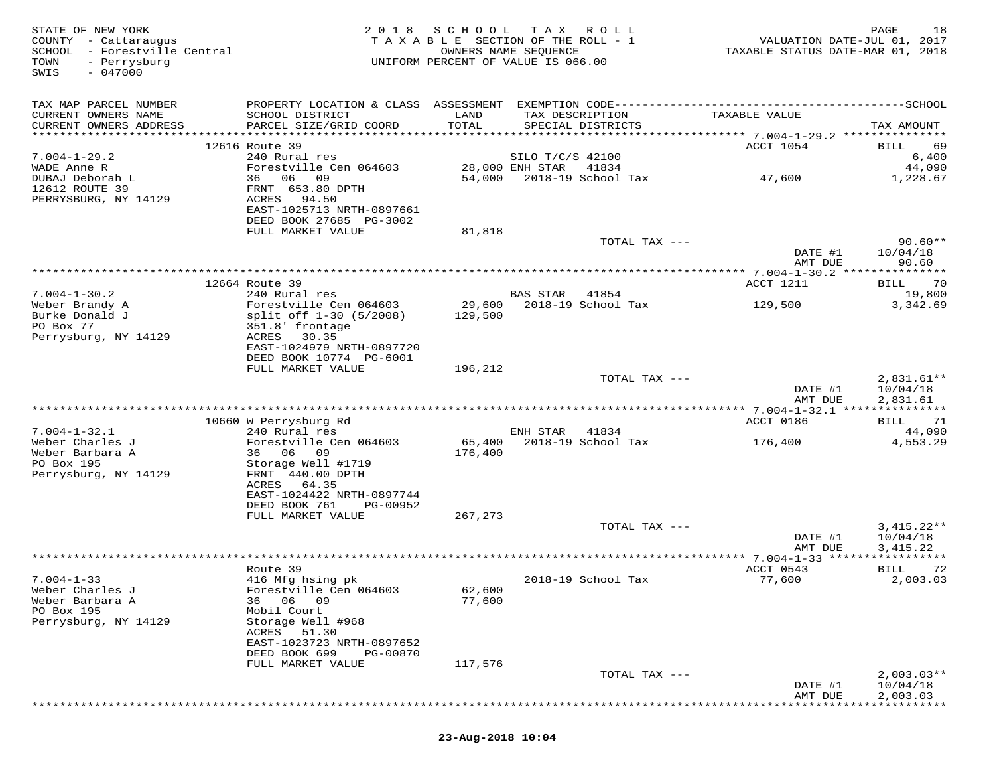| STATE OF NEW YORK<br>COUNTY - Cattaraugus<br>SCHOOL - Forestville Central<br>TOWN<br>- Perrysburg<br>$-047000$<br>SWIS | 2 0 1 8                                                | SCHOOL TAX ROLL<br>TAXABLE SECTION OF THE ROLL - 1<br>OWNERS NAME SEQUENCE<br>UNIFORM PERCENT OF VALUE IS 066.00 |                  |                    | VALUATION DATE-JUL 01, 2017<br>TAXABLE STATUS DATE-MAR 01, 2018 | 18<br>PAGE           |
|------------------------------------------------------------------------------------------------------------------------|--------------------------------------------------------|------------------------------------------------------------------------------------------------------------------|------------------|--------------------|-----------------------------------------------------------------|----------------------|
| TAX MAP PARCEL NUMBER                                                                                                  |                                                        |                                                                                                                  |                  |                    |                                                                 |                      |
| CURRENT OWNERS NAME                                                                                                    | SCHOOL DISTRICT                                        | LAND                                                                                                             |                  | TAX DESCRIPTION    | TAXABLE VALUE                                                   |                      |
| CURRENT OWNERS ADDRESS                                                                                                 | PARCEL SIZE/GRID COORD                                 | TOTAL                                                                                                            |                  | SPECIAL DISTRICTS  |                                                                 | TAX AMOUNT           |
|                                                                                                                        | 12616 Route 39                                         |                                                                                                                  |                  |                    | ACCT 1054                                                       | 69<br><b>BILL</b>    |
| $7.004 - 1 - 29.2$                                                                                                     | 240 Rural res                                          |                                                                                                                  | SILO T/C/S 42100 |                    |                                                                 | 6,400                |
| WADE Anne R                                                                                                            | Forestville Cen 064603                                 |                                                                                                                  | 28,000 ENH STAR  | 41834              |                                                                 | 44,090               |
| DUBAJ Deborah L<br>12612 ROUTE 39                                                                                      | 36 06 09<br>FRNT 653.80 DPTH                           | 54,000                                                                                                           |                  | 2018-19 School Tax | 47,600                                                          | 1,228.67             |
| PERRYSBURG, NY 14129                                                                                                   | ACRES<br>94.50                                         |                                                                                                                  |                  |                    |                                                                 |                      |
|                                                                                                                        | EAST-1025713 NRTH-0897661                              |                                                                                                                  |                  |                    |                                                                 |                      |
|                                                                                                                        | DEED BOOK 27685 PG-3002<br>FULL MARKET VALUE           | 81,818                                                                                                           |                  |                    |                                                                 |                      |
|                                                                                                                        |                                                        |                                                                                                                  |                  | TOTAL TAX ---      |                                                                 | $90.60**$            |
|                                                                                                                        |                                                        |                                                                                                                  |                  |                    | DATE #1                                                         | 10/04/18             |
|                                                                                                                        |                                                        |                                                                                                                  |                  |                    | AMT DUE<br>************ 7.004-1-30.2 ***************            | 90.60                |
|                                                                                                                        | 12664 Route 39                                         |                                                                                                                  |                  |                    | ACCT 1211                                                       | 70<br>BILL           |
| $7.004 - 1 - 30.2$                                                                                                     | 240 Rural res                                          |                                                                                                                  | BAS STAR         | 41854              |                                                                 | 19,800               |
| Weber Brandy A                                                                                                         | Forestville Cen 064603                                 | 29,600                                                                                                           |                  | 2018-19 School Tax | 129,500                                                         | 3,342.69             |
| Burke Donald J<br>PO Box 77                                                                                            | split off 1-30 (5/2008)<br>351.8' frontage             | 129,500                                                                                                          |                  |                    |                                                                 |                      |
| Perrysburg, NY 14129                                                                                                   | 30.35<br>ACRES                                         |                                                                                                                  |                  |                    |                                                                 |                      |
|                                                                                                                        | EAST-1024979 NRTH-0897720                              |                                                                                                                  |                  |                    |                                                                 |                      |
|                                                                                                                        | DEED BOOK 10774 PG-6001<br>FULL MARKET VALUE           | 196,212                                                                                                          |                  |                    |                                                                 |                      |
|                                                                                                                        |                                                        |                                                                                                                  |                  | TOTAL TAX ---      |                                                                 | $2,831.61**$         |
|                                                                                                                        |                                                        |                                                                                                                  |                  |                    | DATE #1                                                         | 10/04/18             |
|                                                                                                                        |                                                        |                                                                                                                  |                  |                    | AMT DUE                                                         | 2,831.61             |
|                                                                                                                        | 10660 W Perrysburg Rd                                  |                                                                                                                  |                  |                    | ACCT 0186                                                       | 71<br>BILL           |
| $7.004 - 1 - 32.1$                                                                                                     | 240 Rural res                                          |                                                                                                                  | ENH STAR         | 41834              |                                                                 | 44,090               |
| Weber Charles J                                                                                                        | Forestville Cen 064603                                 | 65,400                                                                                                           |                  | 2018-19 School Tax | 176,400                                                         | 4,553.29             |
| Weber Barbara A<br>PO Box 195                                                                                          | 36 06 09<br>Storage Well #1719                         | 176,400                                                                                                          |                  |                    |                                                                 |                      |
| Perrysburg, NY 14129                                                                                                   | FRNT 440.00 DPTH                                       |                                                                                                                  |                  |                    |                                                                 |                      |
|                                                                                                                        | ACRES<br>64.35                                         |                                                                                                                  |                  |                    |                                                                 |                      |
|                                                                                                                        | EAST-1024422 NRTH-0897744<br>DEED BOOK 761<br>PG-00952 |                                                                                                                  |                  |                    |                                                                 |                      |
|                                                                                                                        | FULL MARKET VALUE                                      | 267,273                                                                                                          |                  |                    |                                                                 |                      |
|                                                                                                                        |                                                        |                                                                                                                  |                  | TOTAL TAX ---      |                                                                 | $3,415.22**$         |
|                                                                                                                        |                                                        |                                                                                                                  |                  |                    | DATE #1                                                         | 10/04/18             |
|                                                                                                                        |                                                        |                                                                                                                  |                  |                    | AMT DUE                                                         | 3,415.22             |
|                                                                                                                        | Route 39                                               |                                                                                                                  |                  |                    | ACCT 0543                                                       | 72<br>BILL           |
| $7.004 - 1 - 33$                                                                                                       | 416 Mfg hsing pk                                       |                                                                                                                  |                  | 2018-19 School Tax | 77,600                                                          | 2,003.03             |
| Weber Charles J<br>Weber Barbara A                                                                                     | Forestville Cen 064603<br>06<br>09<br>36               | 62,600<br>77,600                                                                                                 |                  |                    |                                                                 |                      |
| PO Box 195                                                                                                             | Mobil Court                                            |                                                                                                                  |                  |                    |                                                                 |                      |
| Perrysburg, NY 14129                                                                                                   | Storage Well #968                                      |                                                                                                                  |                  |                    |                                                                 |                      |
|                                                                                                                        | ACRES<br>51.30                                         |                                                                                                                  |                  |                    |                                                                 |                      |
|                                                                                                                        | EAST-1023723 NRTH-0897652<br>DEED BOOK 699<br>PG-00870 |                                                                                                                  |                  |                    |                                                                 |                      |
|                                                                                                                        | FULL MARKET VALUE                                      | 117,576                                                                                                          |                  |                    |                                                                 |                      |
|                                                                                                                        |                                                        |                                                                                                                  |                  | TOTAL TAX ---      |                                                                 | $2,003.03**$         |
|                                                                                                                        |                                                        |                                                                                                                  |                  |                    | DATE #1<br>AMT DUE                                              | 10/04/18<br>2,003.03 |
|                                                                                                                        |                                                        |                                                                                                                  |                  |                    |                                                                 |                      |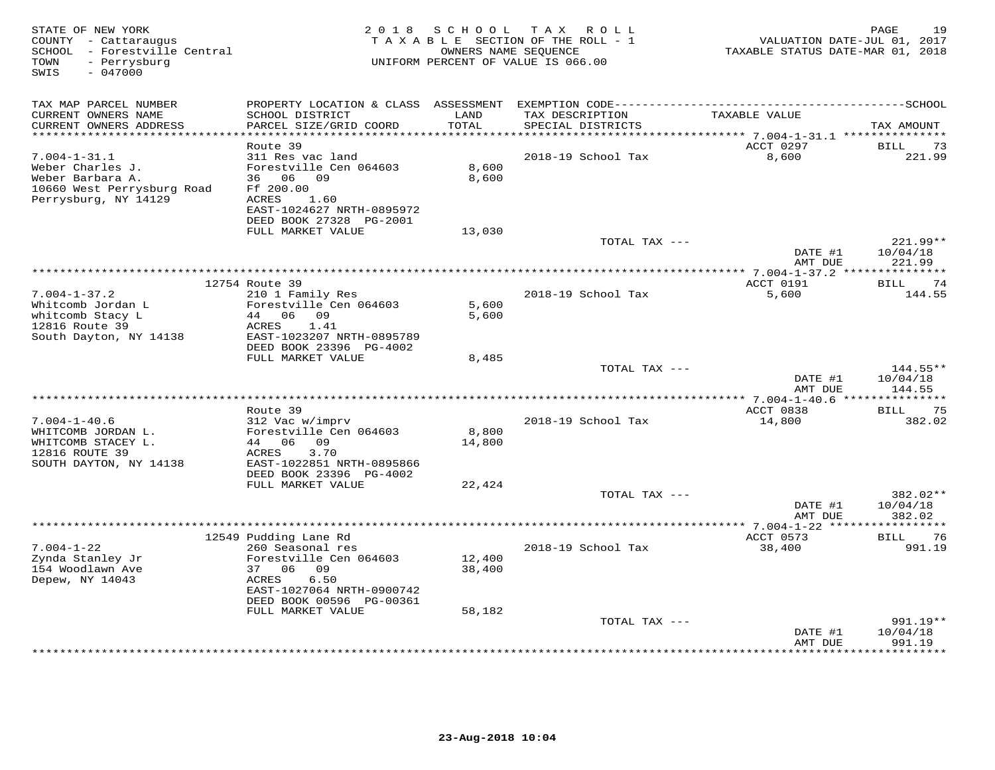| PROPERTY LOCATION & CLASS ASSESSMENT<br>TAX MAP PARCEL NUMBER<br>LAND<br>TAXABLE VALUE<br>CURRENT OWNERS NAME<br>SCHOOL DISTRICT<br>TAX DESCRIPTION<br>TOTAL<br>CURRENT OWNERS ADDRESS<br>PARCEL SIZE/GRID COORD<br>SPECIAL DISTRICTS<br>TAX AMOUNT<br>**********************<br>Route 39<br>ACCT 0297<br><b>BILL</b><br>73<br>$7.004 - 1 - 31.1$<br>311 Res vac land<br>2018-19 School Tax<br>8,600<br>221.99<br>Weber Charles J.<br>Forestville Cen 064603<br>8,600<br>Weber Barbara A.<br>36 06 09<br>8,600<br>10660 West Perrysburg Road<br>Ff 200.00<br>Perrysburg, NY 14129<br>ACRES<br>1.60<br>EAST-1024627 NRTH-0895972<br>DEED BOOK 27328 PG-2001<br>FULL MARKET VALUE<br>13,030<br>TOTAL TAX ---<br>$221.99**$<br>10/04/18<br>DATE #1<br>AMT DUE<br>221.99<br>12754 Route 39<br>ACCT 0191<br>74<br>BILL<br>$7.004 - 1 - 37.2$<br>2018-19 School Tax<br>210 1 Family Res<br>5,600<br>144.55<br>Whitcomb Jordan L<br>Forestville Cen 064603<br>5,600<br>whitcomb Stacy L<br>44 06 09<br>5,600<br>12816 Route 39<br>ACRES<br>1.41<br>South Dayton, NY 14138<br>EAST-1023207 NRTH-0895789<br>DEED BOOK 23396 PG-4002<br>FULL MARKET VALUE<br>8,485<br>TOTAL TAX ---<br>$144.55**$<br>DATE #1<br>10/04/18<br>144.55<br>AMT DUE<br>** 7.004-1-40.6 ******<br>*********<br>Route 39<br>ACCT 0838<br>BILL<br>75<br>$7.004 - 1 - 40.6$<br>312 Vac w/imprv<br>2018-19 School Tax<br>14,800<br>382.02<br>Forestville Cen 064603<br>8,800<br>WHITCOMB JORDAN L.<br>WHITCOMB STACEY L.<br>44 06 09<br>14,800<br>12816 ROUTE 39<br>3.70<br>ACRES<br>SOUTH DAYTON, NY 14138<br>EAST-1022851 NRTH-0895866<br>DEED BOOK 23396 PG-4002<br>FULL MARKET VALUE<br>22,424<br>382.02**<br>TOTAL TAX ---<br>DATE #1<br>10/04/18<br>AMT DUE<br>382.02<br>**** 7.004-1-22 ****<br>12549 Pudding Lane Rd<br>ACCT 0573<br>BILL<br>76<br>$7.004 - 1 - 22$<br>260 Seasonal res<br>2018-19 School Tax<br>38,400<br>991.19<br>Zynda Stanley Jr<br>Forestville Cen 064603<br>12,400<br>154 Woodlawn Ave<br>37 06 09<br>38,400<br>Depew, NY 14043<br>ACRES<br>6.50<br>EAST-1027064 NRTH-0900742<br>DEED BOOK 00596 PG-00361<br>FULL MARKET VALUE<br>58,182<br>991.19**<br>TOTAL TAX ---<br>10/04/18<br>DATE #1<br>991.19<br>AMT DUE<br>* * * * * * *<br>* * * * * * * * · | STATE OF NEW YORK<br>COUNTY - Cattaraugus<br>SCHOOL - Forestville Central<br>- Perrysburg<br>TOWN<br>$-047000$<br>SWIS | 2 0 1 8 | SCHOOL | T A X<br>R O L L<br>TAXABLE SECTION OF THE ROLL - 1<br>OWNERS NAME SEQUENCE<br>UNIFORM PERCENT OF VALUE IS 066.00 | VALUATION DATE-JUL 01, 2017<br>TAXABLE STATUS DATE-MAR 01, 2018 | 19<br>PAGE |
|---------------------------------------------------------------------------------------------------------------------------------------------------------------------------------------------------------------------------------------------------------------------------------------------------------------------------------------------------------------------------------------------------------------------------------------------------------------------------------------------------------------------------------------------------------------------------------------------------------------------------------------------------------------------------------------------------------------------------------------------------------------------------------------------------------------------------------------------------------------------------------------------------------------------------------------------------------------------------------------------------------------------------------------------------------------------------------------------------------------------------------------------------------------------------------------------------------------------------------------------------------------------------------------------------------------------------------------------------------------------------------------------------------------------------------------------------------------------------------------------------------------------------------------------------------------------------------------------------------------------------------------------------------------------------------------------------------------------------------------------------------------------------------------------------------------------------------------------------------------------------------------------------------------------------------------------------------------------------------------------------------------------------------------------------------------------------------------------------------------------------------------------------------------------------------------------------------------------------------------------------|------------------------------------------------------------------------------------------------------------------------|---------|--------|-------------------------------------------------------------------------------------------------------------------|-----------------------------------------------------------------|------------|
|                                                                                                                                                                                                                                                                                                                                                                                                                                                                                                                                                                                                                                                                                                                                                                                                                                                                                                                                                                                                                                                                                                                                                                                                                                                                                                                                                                                                                                                                                                                                                                                                                                                                                                                                                                                                                                                                                                                                                                                                                                                                                                                                                                                                                                                   |                                                                                                                        |         |        |                                                                                                                   |                                                                 |            |
|                                                                                                                                                                                                                                                                                                                                                                                                                                                                                                                                                                                                                                                                                                                                                                                                                                                                                                                                                                                                                                                                                                                                                                                                                                                                                                                                                                                                                                                                                                                                                                                                                                                                                                                                                                                                                                                                                                                                                                                                                                                                                                                                                                                                                                                   |                                                                                                                        |         |        |                                                                                                                   |                                                                 |            |
|                                                                                                                                                                                                                                                                                                                                                                                                                                                                                                                                                                                                                                                                                                                                                                                                                                                                                                                                                                                                                                                                                                                                                                                                                                                                                                                                                                                                                                                                                                                                                                                                                                                                                                                                                                                                                                                                                                                                                                                                                                                                                                                                                                                                                                                   |                                                                                                                        |         |        |                                                                                                                   |                                                                 |            |
|                                                                                                                                                                                                                                                                                                                                                                                                                                                                                                                                                                                                                                                                                                                                                                                                                                                                                                                                                                                                                                                                                                                                                                                                                                                                                                                                                                                                                                                                                                                                                                                                                                                                                                                                                                                                                                                                                                                                                                                                                                                                                                                                                                                                                                                   |                                                                                                                        |         |        |                                                                                                                   |                                                                 |            |
|                                                                                                                                                                                                                                                                                                                                                                                                                                                                                                                                                                                                                                                                                                                                                                                                                                                                                                                                                                                                                                                                                                                                                                                                                                                                                                                                                                                                                                                                                                                                                                                                                                                                                                                                                                                                                                                                                                                                                                                                                                                                                                                                                                                                                                                   |                                                                                                                        |         |        |                                                                                                                   |                                                                 |            |
|                                                                                                                                                                                                                                                                                                                                                                                                                                                                                                                                                                                                                                                                                                                                                                                                                                                                                                                                                                                                                                                                                                                                                                                                                                                                                                                                                                                                                                                                                                                                                                                                                                                                                                                                                                                                                                                                                                                                                                                                                                                                                                                                                                                                                                                   |                                                                                                                        |         |        |                                                                                                                   |                                                                 |            |
|                                                                                                                                                                                                                                                                                                                                                                                                                                                                                                                                                                                                                                                                                                                                                                                                                                                                                                                                                                                                                                                                                                                                                                                                                                                                                                                                                                                                                                                                                                                                                                                                                                                                                                                                                                                                                                                                                                                                                                                                                                                                                                                                                                                                                                                   |                                                                                                                        |         |        |                                                                                                                   |                                                                 |            |
|                                                                                                                                                                                                                                                                                                                                                                                                                                                                                                                                                                                                                                                                                                                                                                                                                                                                                                                                                                                                                                                                                                                                                                                                                                                                                                                                                                                                                                                                                                                                                                                                                                                                                                                                                                                                                                                                                                                                                                                                                                                                                                                                                                                                                                                   |                                                                                                                        |         |        |                                                                                                                   |                                                                 |            |
|                                                                                                                                                                                                                                                                                                                                                                                                                                                                                                                                                                                                                                                                                                                                                                                                                                                                                                                                                                                                                                                                                                                                                                                                                                                                                                                                                                                                                                                                                                                                                                                                                                                                                                                                                                                                                                                                                                                                                                                                                                                                                                                                                                                                                                                   |                                                                                                                        |         |        |                                                                                                                   |                                                                 |            |
|                                                                                                                                                                                                                                                                                                                                                                                                                                                                                                                                                                                                                                                                                                                                                                                                                                                                                                                                                                                                                                                                                                                                                                                                                                                                                                                                                                                                                                                                                                                                                                                                                                                                                                                                                                                                                                                                                                                                                                                                                                                                                                                                                                                                                                                   |                                                                                                                        |         |        |                                                                                                                   |                                                                 |            |
|                                                                                                                                                                                                                                                                                                                                                                                                                                                                                                                                                                                                                                                                                                                                                                                                                                                                                                                                                                                                                                                                                                                                                                                                                                                                                                                                                                                                                                                                                                                                                                                                                                                                                                                                                                                                                                                                                                                                                                                                                                                                                                                                                                                                                                                   |                                                                                                                        |         |        |                                                                                                                   |                                                                 |            |
|                                                                                                                                                                                                                                                                                                                                                                                                                                                                                                                                                                                                                                                                                                                                                                                                                                                                                                                                                                                                                                                                                                                                                                                                                                                                                                                                                                                                                                                                                                                                                                                                                                                                                                                                                                                                                                                                                                                                                                                                                                                                                                                                                                                                                                                   |                                                                                                                        |         |        |                                                                                                                   |                                                                 |            |
|                                                                                                                                                                                                                                                                                                                                                                                                                                                                                                                                                                                                                                                                                                                                                                                                                                                                                                                                                                                                                                                                                                                                                                                                                                                                                                                                                                                                                                                                                                                                                                                                                                                                                                                                                                                                                                                                                                                                                                                                                                                                                                                                                                                                                                                   |                                                                                                                        |         |        |                                                                                                                   |                                                                 |            |
|                                                                                                                                                                                                                                                                                                                                                                                                                                                                                                                                                                                                                                                                                                                                                                                                                                                                                                                                                                                                                                                                                                                                                                                                                                                                                                                                                                                                                                                                                                                                                                                                                                                                                                                                                                                                                                                                                                                                                                                                                                                                                                                                                                                                                                                   |                                                                                                                        |         |        |                                                                                                                   |                                                                 |            |
|                                                                                                                                                                                                                                                                                                                                                                                                                                                                                                                                                                                                                                                                                                                                                                                                                                                                                                                                                                                                                                                                                                                                                                                                                                                                                                                                                                                                                                                                                                                                                                                                                                                                                                                                                                                                                                                                                                                                                                                                                                                                                                                                                                                                                                                   |                                                                                                                        |         |        |                                                                                                                   |                                                                 |            |
|                                                                                                                                                                                                                                                                                                                                                                                                                                                                                                                                                                                                                                                                                                                                                                                                                                                                                                                                                                                                                                                                                                                                                                                                                                                                                                                                                                                                                                                                                                                                                                                                                                                                                                                                                                                                                                                                                                                                                                                                                                                                                                                                                                                                                                                   |                                                                                                                        |         |        |                                                                                                                   |                                                                 |            |
|                                                                                                                                                                                                                                                                                                                                                                                                                                                                                                                                                                                                                                                                                                                                                                                                                                                                                                                                                                                                                                                                                                                                                                                                                                                                                                                                                                                                                                                                                                                                                                                                                                                                                                                                                                                                                                                                                                                                                                                                                                                                                                                                                                                                                                                   |                                                                                                                        |         |        |                                                                                                                   |                                                                 |            |
|                                                                                                                                                                                                                                                                                                                                                                                                                                                                                                                                                                                                                                                                                                                                                                                                                                                                                                                                                                                                                                                                                                                                                                                                                                                                                                                                                                                                                                                                                                                                                                                                                                                                                                                                                                                                                                                                                                                                                                                                                                                                                                                                                                                                                                                   |                                                                                                                        |         |        |                                                                                                                   |                                                                 |            |
|                                                                                                                                                                                                                                                                                                                                                                                                                                                                                                                                                                                                                                                                                                                                                                                                                                                                                                                                                                                                                                                                                                                                                                                                                                                                                                                                                                                                                                                                                                                                                                                                                                                                                                                                                                                                                                                                                                                                                                                                                                                                                                                                                                                                                                                   |                                                                                                                        |         |        |                                                                                                                   |                                                                 |            |
|                                                                                                                                                                                                                                                                                                                                                                                                                                                                                                                                                                                                                                                                                                                                                                                                                                                                                                                                                                                                                                                                                                                                                                                                                                                                                                                                                                                                                                                                                                                                                                                                                                                                                                                                                                                                                                                                                                                                                                                                                                                                                                                                                                                                                                                   |                                                                                                                        |         |        |                                                                                                                   |                                                                 |            |
|                                                                                                                                                                                                                                                                                                                                                                                                                                                                                                                                                                                                                                                                                                                                                                                                                                                                                                                                                                                                                                                                                                                                                                                                                                                                                                                                                                                                                                                                                                                                                                                                                                                                                                                                                                                                                                                                                                                                                                                                                                                                                                                                                                                                                                                   |                                                                                                                        |         |        |                                                                                                                   |                                                                 |            |
|                                                                                                                                                                                                                                                                                                                                                                                                                                                                                                                                                                                                                                                                                                                                                                                                                                                                                                                                                                                                                                                                                                                                                                                                                                                                                                                                                                                                                                                                                                                                                                                                                                                                                                                                                                                                                                                                                                                                                                                                                                                                                                                                                                                                                                                   |                                                                                                                        |         |        |                                                                                                                   |                                                                 |            |
|                                                                                                                                                                                                                                                                                                                                                                                                                                                                                                                                                                                                                                                                                                                                                                                                                                                                                                                                                                                                                                                                                                                                                                                                                                                                                                                                                                                                                                                                                                                                                                                                                                                                                                                                                                                                                                                                                                                                                                                                                                                                                                                                                                                                                                                   |                                                                                                                        |         |        |                                                                                                                   |                                                                 |            |
|                                                                                                                                                                                                                                                                                                                                                                                                                                                                                                                                                                                                                                                                                                                                                                                                                                                                                                                                                                                                                                                                                                                                                                                                                                                                                                                                                                                                                                                                                                                                                                                                                                                                                                                                                                                                                                                                                                                                                                                                                                                                                                                                                                                                                                                   |                                                                                                                        |         |        |                                                                                                                   |                                                                 |            |
|                                                                                                                                                                                                                                                                                                                                                                                                                                                                                                                                                                                                                                                                                                                                                                                                                                                                                                                                                                                                                                                                                                                                                                                                                                                                                                                                                                                                                                                                                                                                                                                                                                                                                                                                                                                                                                                                                                                                                                                                                                                                                                                                                                                                                                                   |                                                                                                                        |         |        |                                                                                                                   |                                                                 |            |
|                                                                                                                                                                                                                                                                                                                                                                                                                                                                                                                                                                                                                                                                                                                                                                                                                                                                                                                                                                                                                                                                                                                                                                                                                                                                                                                                                                                                                                                                                                                                                                                                                                                                                                                                                                                                                                                                                                                                                                                                                                                                                                                                                                                                                                                   |                                                                                                                        |         |        |                                                                                                                   |                                                                 |            |
|                                                                                                                                                                                                                                                                                                                                                                                                                                                                                                                                                                                                                                                                                                                                                                                                                                                                                                                                                                                                                                                                                                                                                                                                                                                                                                                                                                                                                                                                                                                                                                                                                                                                                                                                                                                                                                                                                                                                                                                                                                                                                                                                                                                                                                                   |                                                                                                                        |         |        |                                                                                                                   |                                                                 |            |
|                                                                                                                                                                                                                                                                                                                                                                                                                                                                                                                                                                                                                                                                                                                                                                                                                                                                                                                                                                                                                                                                                                                                                                                                                                                                                                                                                                                                                                                                                                                                                                                                                                                                                                                                                                                                                                                                                                                                                                                                                                                                                                                                                                                                                                                   |                                                                                                                        |         |        |                                                                                                                   |                                                                 |            |
|                                                                                                                                                                                                                                                                                                                                                                                                                                                                                                                                                                                                                                                                                                                                                                                                                                                                                                                                                                                                                                                                                                                                                                                                                                                                                                                                                                                                                                                                                                                                                                                                                                                                                                                                                                                                                                                                                                                                                                                                                                                                                                                                                                                                                                                   |                                                                                                                        |         |        |                                                                                                                   |                                                                 |            |
|                                                                                                                                                                                                                                                                                                                                                                                                                                                                                                                                                                                                                                                                                                                                                                                                                                                                                                                                                                                                                                                                                                                                                                                                                                                                                                                                                                                                                                                                                                                                                                                                                                                                                                                                                                                                                                                                                                                                                                                                                                                                                                                                                                                                                                                   |                                                                                                                        |         |        |                                                                                                                   |                                                                 |            |
|                                                                                                                                                                                                                                                                                                                                                                                                                                                                                                                                                                                                                                                                                                                                                                                                                                                                                                                                                                                                                                                                                                                                                                                                                                                                                                                                                                                                                                                                                                                                                                                                                                                                                                                                                                                                                                                                                                                                                                                                                                                                                                                                                                                                                                                   |                                                                                                                        |         |        |                                                                                                                   |                                                                 |            |
|                                                                                                                                                                                                                                                                                                                                                                                                                                                                                                                                                                                                                                                                                                                                                                                                                                                                                                                                                                                                                                                                                                                                                                                                                                                                                                                                                                                                                                                                                                                                                                                                                                                                                                                                                                                                                                                                                                                                                                                                                                                                                                                                                                                                                                                   |                                                                                                                        |         |        |                                                                                                                   |                                                                 |            |
|                                                                                                                                                                                                                                                                                                                                                                                                                                                                                                                                                                                                                                                                                                                                                                                                                                                                                                                                                                                                                                                                                                                                                                                                                                                                                                                                                                                                                                                                                                                                                                                                                                                                                                                                                                                                                                                                                                                                                                                                                                                                                                                                                                                                                                                   |                                                                                                                        |         |        |                                                                                                                   |                                                                 |            |
|                                                                                                                                                                                                                                                                                                                                                                                                                                                                                                                                                                                                                                                                                                                                                                                                                                                                                                                                                                                                                                                                                                                                                                                                                                                                                                                                                                                                                                                                                                                                                                                                                                                                                                                                                                                                                                                                                                                                                                                                                                                                                                                                                                                                                                                   |                                                                                                                        |         |        |                                                                                                                   |                                                                 |            |
|                                                                                                                                                                                                                                                                                                                                                                                                                                                                                                                                                                                                                                                                                                                                                                                                                                                                                                                                                                                                                                                                                                                                                                                                                                                                                                                                                                                                                                                                                                                                                                                                                                                                                                                                                                                                                                                                                                                                                                                                                                                                                                                                                                                                                                                   |                                                                                                                        |         |        |                                                                                                                   |                                                                 |            |
|                                                                                                                                                                                                                                                                                                                                                                                                                                                                                                                                                                                                                                                                                                                                                                                                                                                                                                                                                                                                                                                                                                                                                                                                                                                                                                                                                                                                                                                                                                                                                                                                                                                                                                                                                                                                                                                                                                                                                                                                                                                                                                                                                                                                                                                   |                                                                                                                        |         |        |                                                                                                                   |                                                                 |            |
|                                                                                                                                                                                                                                                                                                                                                                                                                                                                                                                                                                                                                                                                                                                                                                                                                                                                                                                                                                                                                                                                                                                                                                                                                                                                                                                                                                                                                                                                                                                                                                                                                                                                                                                                                                                                                                                                                                                                                                                                                                                                                                                                                                                                                                                   |                                                                                                                        |         |        |                                                                                                                   |                                                                 |            |
|                                                                                                                                                                                                                                                                                                                                                                                                                                                                                                                                                                                                                                                                                                                                                                                                                                                                                                                                                                                                                                                                                                                                                                                                                                                                                                                                                                                                                                                                                                                                                                                                                                                                                                                                                                                                                                                                                                                                                                                                                                                                                                                                                                                                                                                   |                                                                                                                        |         |        |                                                                                                                   |                                                                 |            |
|                                                                                                                                                                                                                                                                                                                                                                                                                                                                                                                                                                                                                                                                                                                                                                                                                                                                                                                                                                                                                                                                                                                                                                                                                                                                                                                                                                                                                                                                                                                                                                                                                                                                                                                                                                                                                                                                                                                                                                                                                                                                                                                                                                                                                                                   |                                                                                                                        |         |        |                                                                                                                   |                                                                 |            |
|                                                                                                                                                                                                                                                                                                                                                                                                                                                                                                                                                                                                                                                                                                                                                                                                                                                                                                                                                                                                                                                                                                                                                                                                                                                                                                                                                                                                                                                                                                                                                                                                                                                                                                                                                                                                                                                                                                                                                                                                                                                                                                                                                                                                                                                   |                                                                                                                        |         |        |                                                                                                                   |                                                                 |            |
|                                                                                                                                                                                                                                                                                                                                                                                                                                                                                                                                                                                                                                                                                                                                                                                                                                                                                                                                                                                                                                                                                                                                                                                                                                                                                                                                                                                                                                                                                                                                                                                                                                                                                                                                                                                                                                                                                                                                                                                                                                                                                                                                                                                                                                                   |                                                                                                                        |         |        |                                                                                                                   |                                                                 |            |
|                                                                                                                                                                                                                                                                                                                                                                                                                                                                                                                                                                                                                                                                                                                                                                                                                                                                                                                                                                                                                                                                                                                                                                                                                                                                                                                                                                                                                                                                                                                                                                                                                                                                                                                                                                                                                                                                                                                                                                                                                                                                                                                                                                                                                                                   |                                                                                                                        |         |        |                                                                                                                   |                                                                 |            |
|                                                                                                                                                                                                                                                                                                                                                                                                                                                                                                                                                                                                                                                                                                                                                                                                                                                                                                                                                                                                                                                                                                                                                                                                                                                                                                                                                                                                                                                                                                                                                                                                                                                                                                                                                                                                                                                                                                                                                                                                                                                                                                                                                                                                                                                   |                                                                                                                        |         |        |                                                                                                                   |                                                                 |            |
|                                                                                                                                                                                                                                                                                                                                                                                                                                                                                                                                                                                                                                                                                                                                                                                                                                                                                                                                                                                                                                                                                                                                                                                                                                                                                                                                                                                                                                                                                                                                                                                                                                                                                                                                                                                                                                                                                                                                                                                                                                                                                                                                                                                                                                                   |                                                                                                                        |         |        |                                                                                                                   |                                                                 |            |
|                                                                                                                                                                                                                                                                                                                                                                                                                                                                                                                                                                                                                                                                                                                                                                                                                                                                                                                                                                                                                                                                                                                                                                                                                                                                                                                                                                                                                                                                                                                                                                                                                                                                                                                                                                                                                                                                                                                                                                                                                                                                                                                                                                                                                                                   |                                                                                                                        |         |        |                                                                                                                   |                                                                 |            |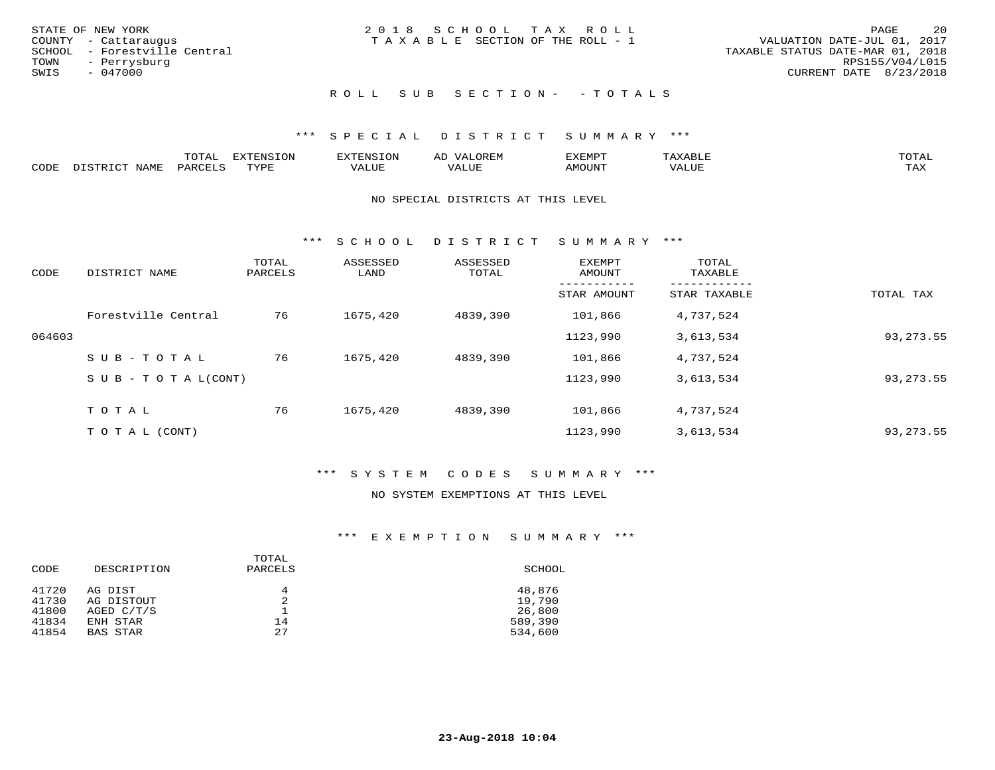| STATE OF NEW YORK<br>COUNTY - Cattaraugus<br>SCHOOL - Forestville Central<br>TOWN - Perrysburg<br>SWIS<br>- 047000 | 2018 SCHOOL TAX ROLL<br>T A X A B L E SECTION OF THE ROLL - 1 | 20<br>PAGE<br>VALUATION DATE-JUL 01, 2017<br>TAXABLE STATUS DATE-MAR 01, 2018<br>RPS155/V04/L015<br>CURRENT DATE 8/23/2018 |
|--------------------------------------------------------------------------------------------------------------------|---------------------------------------------------------------|----------------------------------------------------------------------------------------------------------------------------|
|                                                                                                                    | ROLL SUB SECTION- - TOTALS                                    |                                                                                                                            |

|      |              | m∧m ⊼<br><u>UIAI</u> | - 95                   | ਸਾਨਾ            | 2 IS PHY      | ⊿∡EMP™ | P<br>.    | TOTAL |
|------|--------------|----------------------|------------------------|-----------------|---------------|--------|-----------|-------|
| CODE | <b>NTAMT</b> | PARL                 | $\pi x \pi$<br>- - - - | T T T T<br>ALUF | , , , , , , , | MOUN'  | הדדד דגלז | TAX   |

#### NO SPECIAL DISTRICTS AT THIS LEVEL

\*\*\* S C H O O L D I S T R I C T S U M M A R Y \*\*\*

| CODE   | DISTRICT NAME                    | TOTAL<br>PARCELS | ASSESSED<br>LAND | ASSESSED<br>TOTAL | <b>EXEMPT</b><br>AMOUNT | TOTAL<br>TAXABLE |             |
|--------|----------------------------------|------------------|------------------|-------------------|-------------------------|------------------|-------------|
|        |                                  |                  |                  |                   | STAR AMOUNT             | STAR TAXABLE     | TOTAL TAX   |
|        | Forestville Central              | 76               | 1675,420         | 4839,390          | 101,866                 | 4,737,524        |             |
| 064603 |                                  |                  |                  |                   | 1123,990                | 3,613,534        | 93, 273. 55 |
|        | SUB-TOTAL                        | 76               | 1675,420         | 4839,390          | 101,866                 | 4,737,524        |             |
|        | $S \cup B - T \cup T A L (CONT)$ |                  |                  |                   | 1123,990                | 3,613,534        | 93, 273. 55 |
|        | TOTAL                            | 76               | 1675,420         | 4839,390          | 101,866                 | 4,737,524        |             |
|        | T O T A L (CONT)                 |                  |                  |                   | 1123,990                | 3,613,534        | 93, 273. 55 |

### \*\*\* S Y S T E M C O D E S S U M M A R Y \*\*\*

#### NO SYSTEM EXEMPTIONS AT THIS LEVEL

| CODE           | DESCRIPTION           | TOTAL<br>PARCELS | SCHOOL           |
|----------------|-----------------------|------------------|------------------|
| 41720<br>41730 | AG DIST<br>AG DISTOUT | 4<br>2           | 48,876<br>19,790 |
| 41800          | AGED $C/T/S$          |                  | 26,800           |
| 41834          | ENH STAR              | 14               | 589,390          |
| 41854          | BAS STAR              | 27               | 534,600          |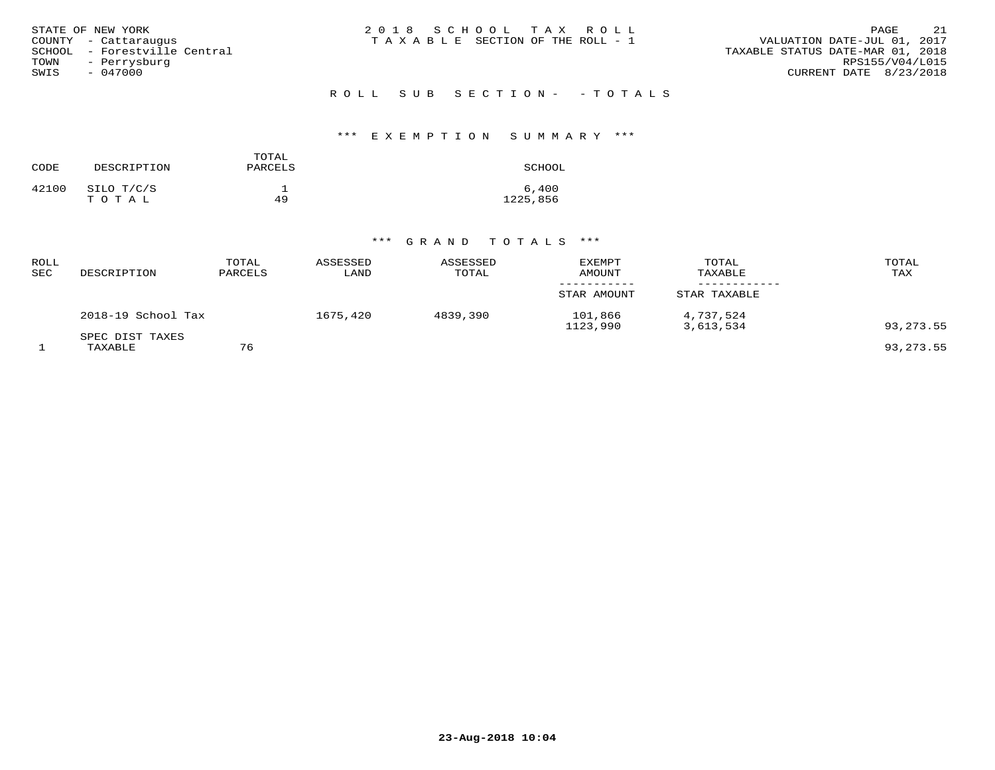| STATE OF NEW YORK<br>COUNTY - Cattarauqus<br>SCHOOL - Forestville Central<br>TOWN<br>- Perrysburg<br>SWIS<br>$-047000$ | 2018 SCHOOL TAX ROLL<br>T A X A B L E SECTION OF THE ROLL - 1 | 21<br>PAGE<br>VALUATION DATE-JUL 01, 2017<br>TAXABLE STATUS DATE-MAR 01, 2018<br>RPS155/V04/L015<br>CURRENT DATE 8/23/2018 |
|------------------------------------------------------------------------------------------------------------------------|---------------------------------------------------------------|----------------------------------------------------------------------------------------------------------------------------|
|                                                                                                                        | ROLL SUB SECTION- - TOTALS                                    |                                                                                                                            |

# \*\*\* E X E M P T I O N S U M M A R Y \*\*\*

| CODE  | DESCRIPTION         | TOTAL<br>PARCELS | SCHOOL            |
|-------|---------------------|------------------|-------------------|
| 42100 | SILO T/C/S<br>TOTAL | 49               | 6,400<br>1225,856 |

| ROLL<br>SEC | DESCRIPTION                | TOTAL<br>PARCELS | ASSESSED<br>LAND | ASSESSED<br>TOTAL | <b>EXEMPT</b><br>AMOUNT | TOTAL<br>TAXABLE       | TOTAL<br>TAX |
|-------------|----------------------------|------------------|------------------|-------------------|-------------------------|------------------------|--------------|
|             |                            |                  |                  |                   | STAR AMOUNT             | STAR TAXABLE           |              |
|             | 2018-19 School Tax         |                  | 1675,420         | 4839,390          | 101,866<br>1123,990     | 4,737,524<br>3,613,534 | 93, 273.55   |
|             | SPEC DIST TAXES<br>TAXABLE | 76               |                  |                   |                         |                        | 93,273.55    |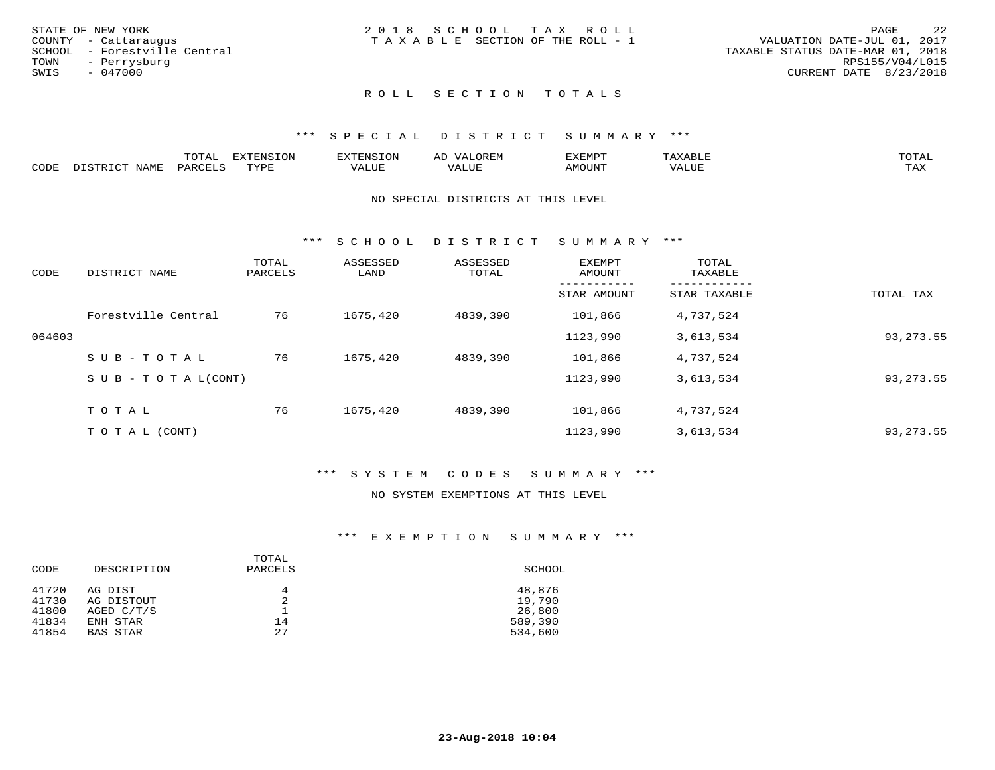|      | STATE OF NEW YORK            | 2018 SCHOOL TAX ROLL                  | PAGE                             | 2.2 |
|------|------------------------------|---------------------------------------|----------------------------------|-----|
|      | COUNTY - Cattaraugus         | T A X A B L E SECTION OF THE ROLL - 1 | VALUATION DATE-JUL 01, 2017      |     |
|      | SCHOOL - Forestville Central |                                       | TAXABLE STATUS DATE-MAR 01, 2018 |     |
| TOWN | - Perrysburg                 |                                       | RPS155/V04/L015                  |     |
| SWIS | - 047000                     |                                       | CURRENT DATE 8/23/2018           |     |
|      |                              |                                       |                                  |     |

### \*\*\* S P E C I A L D I S T R I C T S U M M A R Y \*\*\*

|      | $m \wedge m \wedge n$<br>.UTAL                                                | <b>EXTENSION</b> | BUN S | OR∏N<br>AĽ<br>11 J I V I LI | 'XEMPT        | AAABLE            | $m \wedge m \wedge n$ |
|------|-------------------------------------------------------------------------------|------------------|-------|-----------------------------|---------------|-------------------|-----------------------|
| CODE | $\Lambda$ T $\Delta$ $\mathbf{M}$ $\mathbf{\Gamma}$<br>$DA$ $R$ $R$ $T$ . $C$ | <b>TVDL</b>      | VALUE | $- - - -$<br>.<br>. Alur    | <b>AMOUNT</b> | VALU <sub>r</sub> | TA Y<br>⊥∟∆∆          |

#### NO SPECIAL DISTRICTS AT THIS LEVEL

\*\*\* S C H O O L D I S T R I C T S U M M A R Y \*\*\*

| CODE   | DISTRICT NAME                    | TOTAL<br>PARCELS | ASSESSED<br>LAND | ASSESSED<br>TOTAL | <b>EXEMPT</b><br>AMOUNT | TOTAL<br>TAXABLE |             |
|--------|----------------------------------|------------------|------------------|-------------------|-------------------------|------------------|-------------|
|        |                                  |                  |                  |                   | STAR AMOUNT             | STAR TAXABLE     | TOTAL TAX   |
|        | Forestville Central              | 76               | 1675,420         | 4839,390          | 101,866                 | 4,737,524        |             |
| 064603 |                                  |                  |                  |                   | 1123,990                | 3,613,534        | 93, 273. 55 |
|        | SUB-TOTAL                        | 76               | 1675,420         | 4839,390          | 101,866                 | 4,737,524        |             |
|        | $S \cup B - T \cup T A L (CONT)$ |                  |                  |                   | 1123,990                | 3,613,534        | 93, 273. 55 |
|        | TOTAL                            | 76               | 1675,420         | 4839,390          | 101,866                 | 4,737,524        |             |
|        | T O T A L (CONT)                 |                  |                  |                   | 1123,990                | 3,613,534        | 93, 273. 55 |

### \*\*\* S Y S T E M C O D E S S U M M A R Y \*\*\*

#### NO SYSTEM EXEMPTIONS AT THIS LEVEL

| CODE           | DESCRIPTION           | TOTAL<br>PARCELS | SCHOOL           |
|----------------|-----------------------|------------------|------------------|
| 41720<br>41730 | AG DIST<br>AG DISTOUT | 4<br>2           | 48,876<br>19,790 |
| 41800          | AGED $C/T/S$          |                  | 26,800           |
| 41834          | ENH STAR              | 14               | 589,390          |
| 41854          | BAS STAR              | 27               | 534,600          |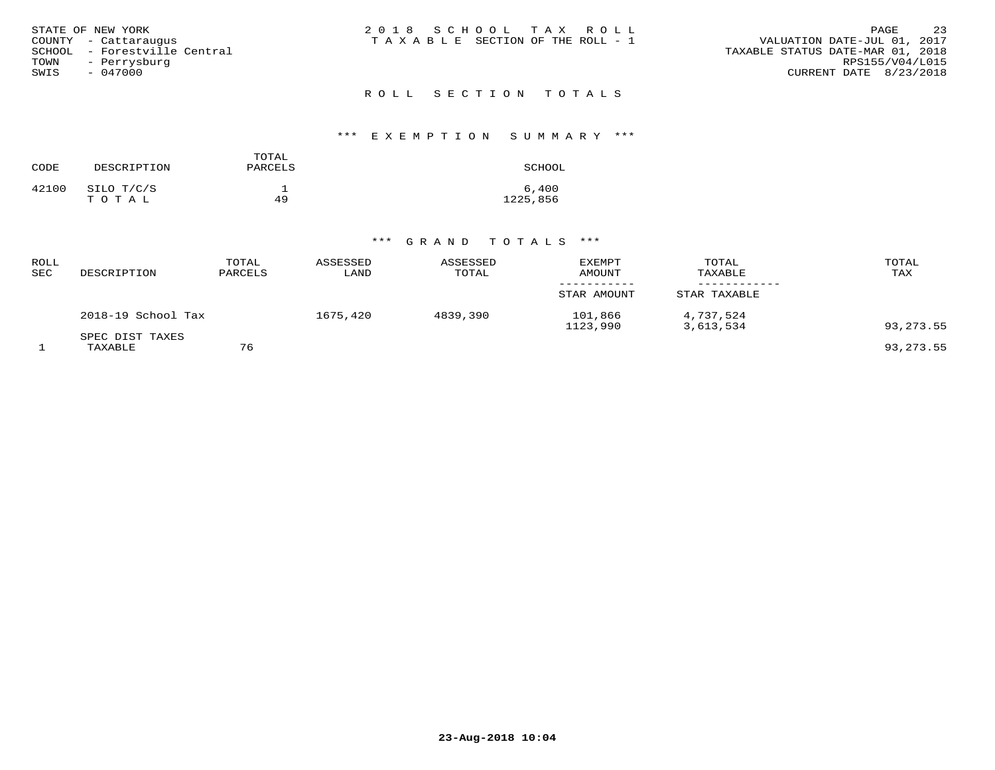| STATE OF NEW YORK<br>COUNTY - Cattaraugus<br>SCHOOL - Forestville Central<br>TOWN<br>- Perrysburg<br>SWIS<br>- 047000 | 2018 SCHOOL TAX ROLL<br>TAXABLE SECTION OF THE ROLL - 1 | 23<br>PAGE<br>VALUATION DATE-JUL 01, 2017<br>TAXABLE STATUS DATE-MAR 01, 2018<br>RPS155/V04/L015<br>CURRENT DATE 8/23/2018 |
|-----------------------------------------------------------------------------------------------------------------------|---------------------------------------------------------|----------------------------------------------------------------------------------------------------------------------------|
|                                                                                                                       | ROLL SECTION TOTALS                                     |                                                                                                                            |

# \*\*\* E X E M P T I O N S U M M A R Y \*\*\*

| CODE  | DESCRIPTION         | TOTAL<br>PARCELS | SCHOOL            |
|-------|---------------------|------------------|-------------------|
| 42100 | SILO T/C/S<br>TOTAL | 49               | 6,400<br>1225,856 |

| ROLL<br>SEC | DESCRIPTION                | TOTAL<br>PARCELS | ASSESSED<br>LAND | ASSESSED<br>TOTAL | <b>EXEMPT</b><br><b>AMOUNT</b> | TOTAL<br>TAXABLE       | TOTAL<br>TAX |
|-------------|----------------------------|------------------|------------------|-------------------|--------------------------------|------------------------|--------------|
|             |                            |                  |                  |                   | STAR AMOUNT                    | STAR TAXABLE           |              |
|             | 2018-19 School Tax         |                  | 1675,420         | 4839,390          | 101,866<br>1123,990            | 4,737,524<br>3,613,534 | 93,273.55    |
|             | SPEC DIST TAXES<br>TAXABLE | 76               |                  |                   |                                |                        | 93,273.55    |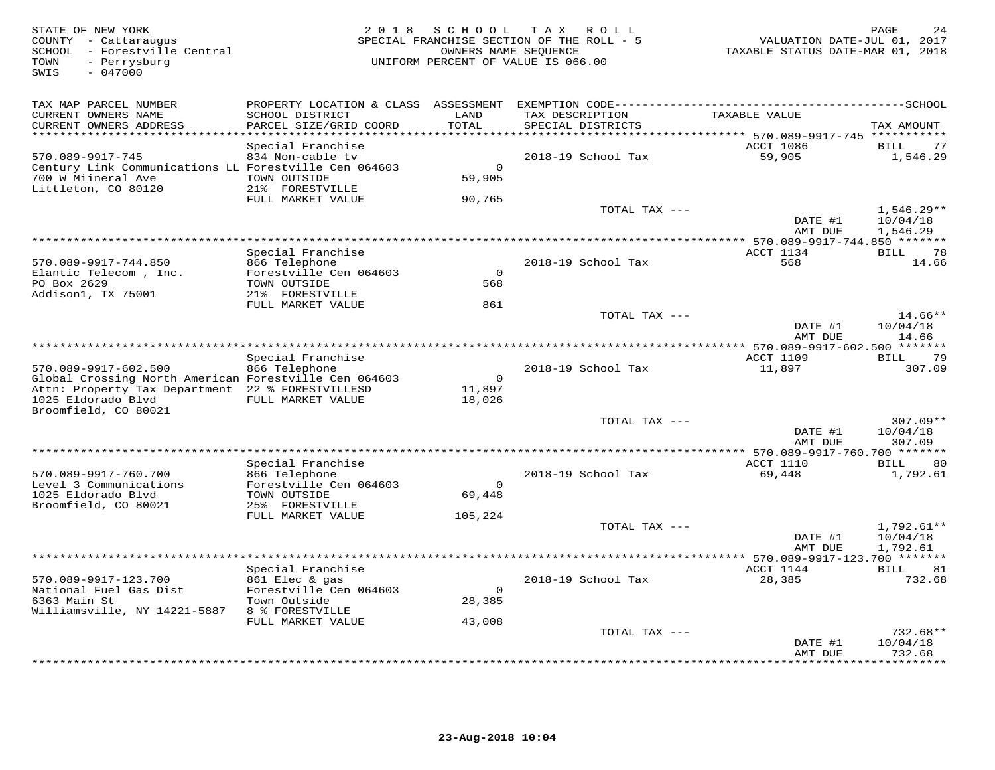| TAX MAP PARCEL NUMBER<br>LAND<br>CURRENT OWNERS NAME<br>SCHOOL DISTRICT<br>TAX DESCRIPTION<br>TAXABLE VALUE<br>CURRENT OWNERS ADDRESS<br>PARCEL SIZE/GRID COORD<br>TOTAL<br>SPECIAL DISTRICTS<br>TAX AMOUNT<br>**********************<br>ACCT 1086<br>Special Franchise<br><b>BILL</b><br>570.089-9917-745<br>834 Non-cable tv<br>59,905<br>2018-19 School Tax<br>Century Link Communications LL Forestville Cen 064603<br>$\Omega$<br>700 W Miineral Ave<br>TOWN OUTSIDE<br>59,905<br>Littleton, CO 80120<br>21% FORESTVILLE<br>FULL MARKET VALUE<br>90,765<br>TOTAL TAX ---<br>$1,546.29**$<br>DATE #1<br>10/04/18<br>AMT DUE<br>1,546.29<br>*************************<br>**** 570.089-9917-744.850 *******<br>Special Franchise<br>ACCT 1134<br>BILL<br>570.089-9917-744.850<br>866 Telephone<br>2018-19 School Tax<br>568<br>Forestville Cen 064603<br>Elantic Telecom, Inc.<br>$\Omega$<br>PO Box 2629<br>TOWN OUTSIDE<br>568<br>Addison1, TX 75001<br>21% FORESTVILLE<br>FULL MARKET VALUE<br>861<br>TOTAL TAX ---<br>DATE #1<br>10/04/18<br>AMT DUE<br>** 570.089-9917-602.500 ******* | VALUATION DATE-JUL 01, 2017<br>TAXABLE STATUS DATE-MAR 01, 2018 |
|-----------------------------------------------------------------------------------------------------------------------------------------------------------------------------------------------------------------------------------------------------------------------------------------------------------------------------------------------------------------------------------------------------------------------------------------------------------------------------------------------------------------------------------------------------------------------------------------------------------------------------------------------------------------------------------------------------------------------------------------------------------------------------------------------------------------------------------------------------------------------------------------------------------------------------------------------------------------------------------------------------------------------------------------------------------------------------------------------|-----------------------------------------------------------------|
|                                                                                                                                                                                                                                                                                                                                                                                                                                                                                                                                                                                                                                                                                                                                                                                                                                                                                                                                                                                                                                                                                               |                                                                 |
|                                                                                                                                                                                                                                                                                                                                                                                                                                                                                                                                                                                                                                                                                                                                                                                                                                                                                                                                                                                                                                                                                               | 77                                                              |
|                                                                                                                                                                                                                                                                                                                                                                                                                                                                                                                                                                                                                                                                                                                                                                                                                                                                                                                                                                                                                                                                                               | 1,546.29                                                        |
|                                                                                                                                                                                                                                                                                                                                                                                                                                                                                                                                                                                                                                                                                                                                                                                                                                                                                                                                                                                                                                                                                               |                                                                 |
|                                                                                                                                                                                                                                                                                                                                                                                                                                                                                                                                                                                                                                                                                                                                                                                                                                                                                                                                                                                                                                                                                               |                                                                 |
|                                                                                                                                                                                                                                                                                                                                                                                                                                                                                                                                                                                                                                                                                                                                                                                                                                                                                                                                                                                                                                                                                               |                                                                 |
|                                                                                                                                                                                                                                                                                                                                                                                                                                                                                                                                                                                                                                                                                                                                                                                                                                                                                                                                                                                                                                                                                               | 78<br>14.66                                                     |
|                                                                                                                                                                                                                                                                                                                                                                                                                                                                                                                                                                                                                                                                                                                                                                                                                                                                                                                                                                                                                                                                                               |                                                                 |
|                                                                                                                                                                                                                                                                                                                                                                                                                                                                                                                                                                                                                                                                                                                                                                                                                                                                                                                                                                                                                                                                                               | $14.66**$<br>14.66                                              |
| Special Franchise<br><b>ACCT 1109</b><br>BILL                                                                                                                                                                                                                                                                                                                                                                                                                                                                                                                                                                                                                                                                                                                                                                                                                                                                                                                                                                                                                                                 | 79                                                              |
| 2018-19 School Tax<br>570.089-9917-602.500<br>866 Telephone<br>11,897                                                                                                                                                                                                                                                                                                                                                                                                                                                                                                                                                                                                                                                                                                                                                                                                                                                                                                                                                                                                                         | 307.09                                                          |
| Global Crossing North American Forestville Cen 064603<br>$\bigcirc$<br>Attn: Property Tax Department 22 % FORESTVILLESD<br>11,897                                                                                                                                                                                                                                                                                                                                                                                                                                                                                                                                                                                                                                                                                                                                                                                                                                                                                                                                                             |                                                                 |
| 1025 Eldorado Blvd<br>FULL MARKET VALUE<br>18,026<br>Broomfield, CO 80021                                                                                                                                                                                                                                                                                                                                                                                                                                                                                                                                                                                                                                                                                                                                                                                                                                                                                                                                                                                                                     |                                                                 |
| TOTAL TAX ---<br>DATE #1<br>10/04/18<br>AMT DUE<br>307.09                                                                                                                                                                                                                                                                                                                                                                                                                                                                                                                                                                                                                                                                                                                                                                                                                                                                                                                                                                                                                                     | $307.09**$                                                      |
| **************************************<br>* 570.089-9917-760.700 *******                                                                                                                                                                                                                                                                                                                                                                                                                                                                                                                                                                                                                                                                                                                                                                                                                                                                                                                                                                                                                      |                                                                 |
| Special Franchise<br>ACCT 1110<br>BILL<br>570.089-9917-760.700<br>866 Telephone<br>2018-19 School Tax<br>69,448                                                                                                                                                                                                                                                                                                                                                                                                                                                                                                                                                                                                                                                                                                                                                                                                                                                                                                                                                                               | 80<br>1,792.61                                                  |
| Level 3 Communications<br>Forestville Cen 064603<br>$\Omega$<br>1025 Eldorado Blvd<br>TOWN OUTSIDE<br>69,448                                                                                                                                                                                                                                                                                                                                                                                                                                                                                                                                                                                                                                                                                                                                                                                                                                                                                                                                                                                  |                                                                 |
| Broomfield, CO 80021<br>25% FORESTVILLE<br>FULL MARKET VALUE<br>105,224                                                                                                                                                                                                                                                                                                                                                                                                                                                                                                                                                                                                                                                                                                                                                                                                                                                                                                                                                                                                                       |                                                                 |
| TOTAL TAX ---<br>$1,792.61**$<br>DATE #1<br>10/04/18<br>AMT DUE<br>1,792.61                                                                                                                                                                                                                                                                                                                                                                                                                                                                                                                                                                                                                                                                                                                                                                                                                                                                                                                                                                                                                   |                                                                 |
| ******************************                                                                                                                                                                                                                                                                                                                                                                                                                                                                                                                                                                                                                                                                                                                                                                                                                                                                                                                                                                                                                                                                |                                                                 |
| Special Franchise<br>ACCT 1144<br>BILL 81<br>28,385<br>570.089-9917-123.700<br>861 Elec & gas<br>2018-19 School Tax                                                                                                                                                                                                                                                                                                                                                                                                                                                                                                                                                                                                                                                                                                                                                                                                                                                                                                                                                                           | 732.68                                                          |
| Forestville Cen 064603<br>National Fuel Gas Dist<br>$\circ$<br>6363 Main St<br>Town Outside<br>28,385                                                                                                                                                                                                                                                                                                                                                                                                                                                                                                                                                                                                                                                                                                                                                                                                                                                                                                                                                                                         |                                                                 |
| Williamsville, NY 14221-5887<br>8 % FORESTVILLE<br>FULL MARKET VALUE<br>43,008                                                                                                                                                                                                                                                                                                                                                                                                                                                                                                                                                                                                                                                                                                                                                                                                                                                                                                                                                                                                                |                                                                 |
| TOTAL TAX ---                                                                                                                                                                                                                                                                                                                                                                                                                                                                                                                                                                                                                                                                                                                                                                                                                                                                                                                                                                                                                                                                                 | $732.68**$                                                      |
| 10/04/18<br>DATE #1<br>732.68<br>AMT DUE<br>* * * * * * * *                                                                                                                                                                                                                                                                                                                                                                                                                                                                                                                                                                                                                                                                                                                                                                                                                                                                                                                                                                                                                                   |                                                                 |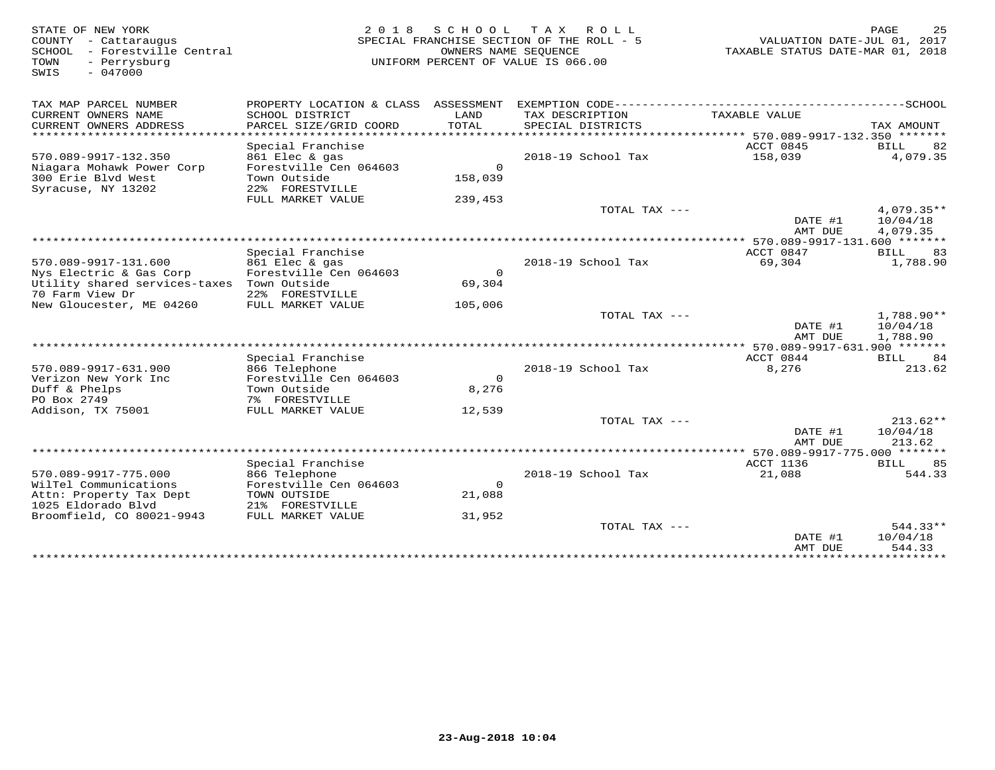35 STATE OF NEW YORK 25 PAGE 25 (25 M) 2 0 1 8 S C H O O L T A X R O L L<br>COUNTY - Cattaraugus (2017) SPECIAL FRANCHISE SECTION OF THE ROLL - 5<br>SPECIAL FRANCHISE SUME SOURCE OF THE ROLL - 5 (2017) TAXABLE STATUS DATE-MAR 01 SWIS - 047000TAX MAP PARCEL NUMBER PROPERTY LOCATION & CLASS ASSESSMENT EXEMPTION CODE------------------------------------------SCHOOL CURRENT OWNERS NAME SCHOOL DISTRICT LAND TAX DESCRIPTION TAXABLE VALUE CURRENT OWNERS ADDRESS PARCEL SIZE/GRID COORD TOTAL SPECIAL DISTRICTS TAX AMOUNT \*\*\*\*\*\*\*\*\*\*\*\*\*\*\*\*\*\*\*\*\*\*\*\*\*\*\*\*\*\*\*\*\*\*\*\*\*\*\*\*\*\*\*\*\*\*\*\*\*\*\*\*\*\*\*\*\*\*\*\*\*\*\*\*\*\*\*\*\*\*\*\*\*\*\*\*\*\*\*\*\*\*\*\*\*\*\*\*\*\*\*\*\*\*\*\*\*\*\*\*\*\*\* 570.089-9917-132.350 \*\*\*\*\*\*\*Special Franchise ACCT 0845 BILL 82 570.089-9917-132.350 861 Elec & gas 2018-19 School Tax 158,039 4,079.35Niagara Mohawk Power Corp Forestville Cen 064603 0 300 Erie Blvd West Town Outside 158,039 Syracuse, NY 13202 22% FORESTVILLE FULL MARKET VALUE 239,453TOTAL TAX  $---$  4,079.35\*\* DATE #1 10/04/18 AMT DUE 4,079.35 \*\*\*\*\*\*\*\*\*\*\*\*\*\*\*\*\*\*\*\*\*\*\*\*\*\*\*\*\*\*\*\*\*\*\*\*\*\*\*\*\*\*\*\*\*\*\*\*\*\*\*\*\*\*\*\*\*\*\*\*\*\*\*\*\*\*\*\*\*\*\*\*\*\*\*\*\*\*\*\*\*\*\*\*\*\*\*\*\*\*\*\*\*\*\*\*\*\*\*\*\*\*\* 570.089-9917-131.600 \*\*\*\*\*\*\*ACCT 0847 BILL 83 Special Franchise ACCT 0847 BILL 83 1,788.90 570.089-9917-131.600 861 Elec & gas 2018-19 School Tax 69,304 1,788.90Nys Electric & Gas Corp Forestville Cen 064603 0 Utility shared services-taxes Town Outside 69,30470 Farm View Dr 22% FORESTVILLE New Gloucester, ME 04260 FULL MARKET VALUE 105,006 TOTAL TAX --- 1,788.90\*\* $\text{DATE}$  #1  $10/04/18$ AMT DUE 1,788.90 AMT DUE 1,788.90 \*\*\*\*\*\*\*\*\*\*\*\*\*\*\*\*\*\*\*\*\*\*\*\*\*\*\*\*\*\*\*\*\*\*\*\*\*\*\*\*\*\*\*\*\*\*\*\*\*\*\*\*\*\*\*\*\*\*\*\*\*\*\*\*\*\*\*\*\*\*\*\*\*\*\*\*\*\*\*\*\*\*\*\*\*\*\*\*\*\*\*\*\*\*\*\*\*\*\*\*\*\*\* 570.089-9917-631.900 \*\*\*\*\*\*\*Special Franchise ACCT 0844 BILL 84 570.089-9917-631.900 866 Telephone 2018-19 School Tax 8,276 213.62Verizon New York Inc Forestville Cen 064603 08,276 Duff & Phelps Town Outside 8,276PO Box 2749 7% FORESTVILLE Addison, TX 75001 FULL MARKET VALUE 12,539 TOTAL TAX --- 213.62\*\* $\text{DATE}$  #1  $10/04/18$  AMT DUE 213.62 \*\*\*\*\*\*\*\*\*\*\*\*\*\*\*\*\*\*\*\*\*\*\*\*\*\*\*\*\*\*\*\*\*\*\*\*\*\*\*\*\*\*\*\*\*\*\*\*\*\*\*\*\*\*\*\*\*\*\*\*\*\*\*\*\*\*\*\*\*\*\*\*\*\*\*\*\*\*\*\*\*\*\*\*\*\*\*\*\*\*\*\*\*\*\*\*\*\*\*\*\*\*\* 570.089-9917-775.000 \*\*\*\*\*\*\*ACCT 1136 BILL 85 Special Franchise ACCT 1136 BILL 85 544.33 570.089-9917-775.000 866 Telephone 2018-19 School Tax 21,088 544.33<br>
WilTel Communications Forestville Cen 064603 0<br>
Attn: Property Tax Dept TOWN OUTSIDE 21,088<br>
1025 Eldorado Blvd 21% FORESTVILLE 31,952<br>
Broomfield, CO 80 DATE #1 10/04/18 AMT DUE 544.33\*\*\*\*\*\*\*\*\*\*\*\*\*\*\*\*\*\*\*\*\*\*\*\*\*\*\*\*\*\*\*\*\*\*\*\*\*\*\*\*\*\*\*\*\*\*\*\*\*\*\*\*\*\*\*\*\*\*\*\*\*\*\*\*\*\*\*\*\*\*\*\*\*\*\*\*\*\*\*\*\*\*\*\*\*\*\*\*\*\*\*\*\*\*\*\*\*\*\*\*\*\*\*\*\*\*\*\*\*\*\*\*\*\*\*\*\*\*\*\*\*\*\*\*\*\*\*\*\*\*\*\*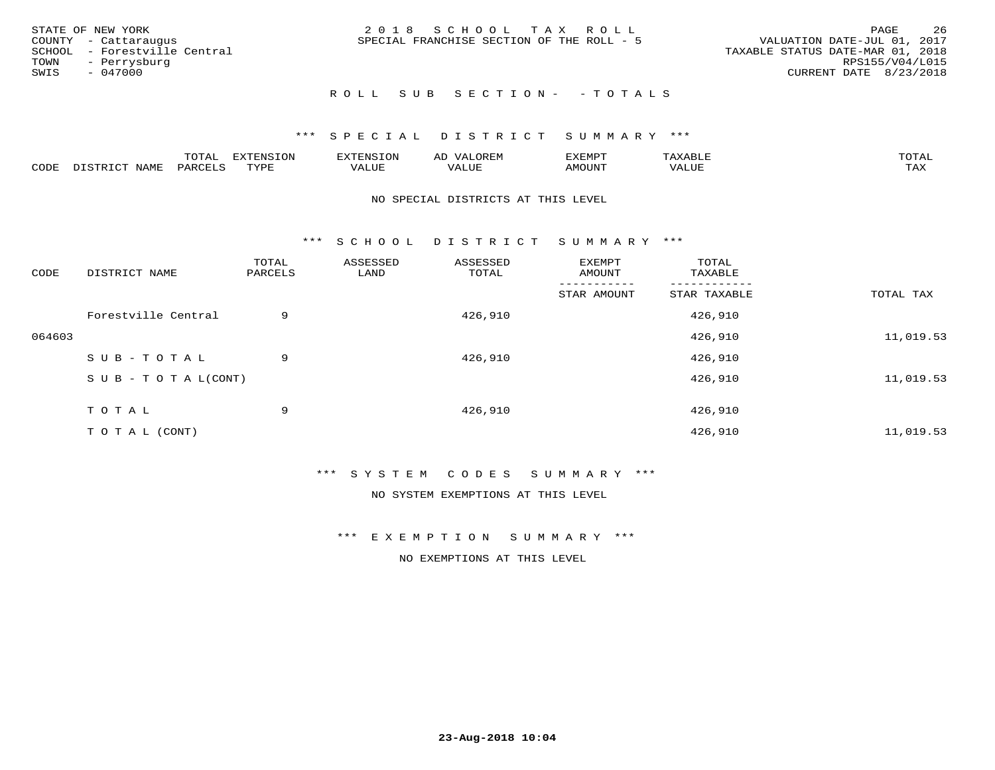|      | STATE OF NEW YORK            | 2018 SCHOOL TAX ROLL                                                     | PAGE                   | 26 |
|------|------------------------------|--------------------------------------------------------------------------|------------------------|----|
|      | COUNTY - Cattaraugus         | VALUATION DATE-JUL 01, 2017<br>SPECIAL FRANCHISE SECTION OF THE ROLL - 5 |                        |    |
|      | SCHOOL - Forestville Central | TAXABLE STATUS DATE-MAR 01, 2018                                         |                        |    |
| TOWN | - Perrysburg                 |                                                                          | RPS155/V04/L015        |    |
| SWIS | - 047000                     |                                                                          | CURRENT DATE 8/23/2018 |    |
|      |                              |                                                                          |                        |    |

# ROLL SUB SECTION - - TOTALS

### \*\*\* S P E C I A L D I S T R I C T S U M M A R Y \*\*\*

|      |         | ----                | $\cdots$ | <b>ENS</b> | ₩    | דסMדצי        |                   | $m \wedge m \wedge n$ |
|------|---------|---------------------|----------|------------|------|---------------|-------------------|-----------------------|
| CODE | ៶៲៳៲៴៲៷ | <b>ACTIVE</b><br>ΆR | TVDF     | ALUE       | ALUE | <b>IMOUNT</b> | <b>TTT</b><br>⊐∪∟ | ГAX                   |

#### NO SPECIAL DISTRICTS AT THIS LEVEL

\*\*\* S C H O O L D I S T R I C T S U M M A R Y \*\*\*

| CODE   | DISTRICT NAME                    | TOTAL<br>PARCELS | ASSESSED<br>LAND | ASSESSED<br>TOTAL | EXEMPT<br>AMOUNT | TOTAL<br>TAXABLE |           |
|--------|----------------------------------|------------------|------------------|-------------------|------------------|------------------|-----------|
|        |                                  |                  |                  |                   | STAR AMOUNT      | STAR TAXABLE     | TOTAL TAX |
|        | Forestville Central              | 9                |                  | 426,910           |                  | 426,910          |           |
| 064603 |                                  |                  |                  |                   |                  | 426,910          | 11,019.53 |
|        | SUB-TOTAL                        | 9                |                  | 426,910           |                  | 426,910          |           |
|        | $S \cup B - T \cup T A L (CONT)$ |                  |                  |                   |                  | 426,910          | 11,019.53 |
|        | TOTAL                            | 9                |                  | 426,910           |                  | 426,910          |           |
|        | T O T A L (CONT)                 |                  |                  |                   |                  | 426,910          | 11,019.53 |

\*\*\* S Y S T E M C O D E S S U M M A R Y \*\*\*

NO SYSTEM EXEMPTIONS AT THIS LEVEL

\*\*\* E X E M P T I O N S U M M A R Y \*\*\*

NO EXEMPTIONS AT THIS LEVEL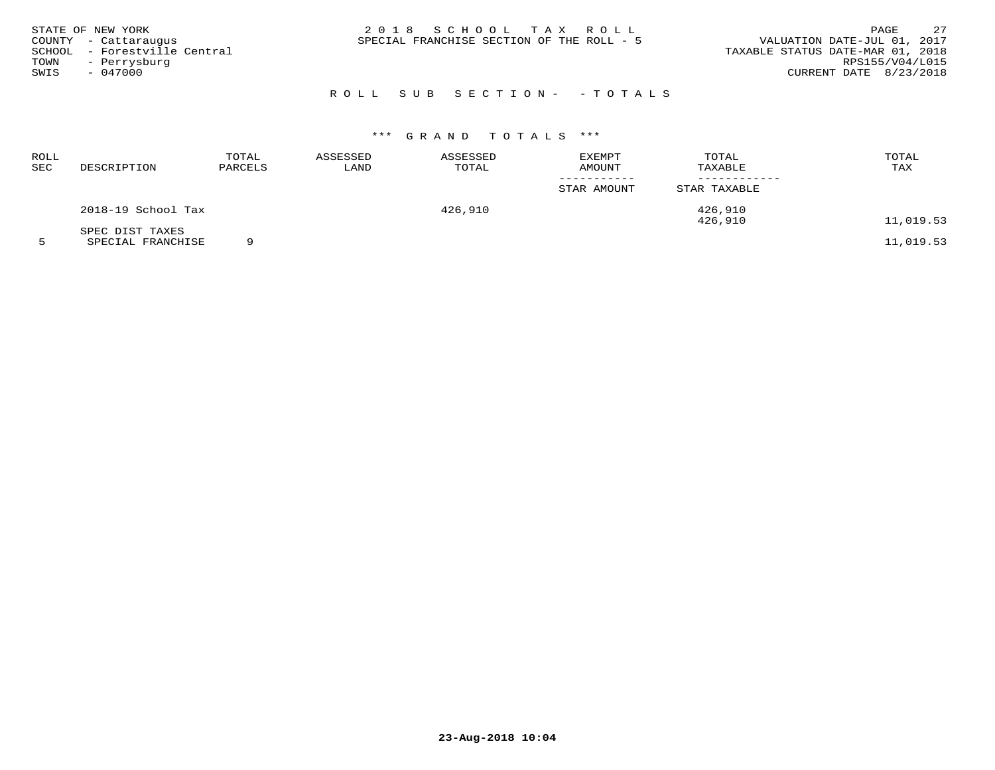|      | STATE OF NEW YORK            | 2018 SCHOOL TAX ROLL                                                     | PAGE            | 2.7 |
|------|------------------------------|--------------------------------------------------------------------------|-----------------|-----|
|      | COUNTY - Cattaraugus         | VALUATION DATE-JUL 01, 2017<br>SPECIAL FRANCHISE SECTION OF THE ROLL - 5 |                 |     |
|      | SCHOOL - Forestville Central | TAXABLE STATUS DATE-MAR 01, 2018                                         |                 |     |
| TOWN | - Perrysburg                 |                                                                          | RPS155/V04/L015 |     |
| SWIS | - 047000                     | CURRENT DATE 8/23/2018                                                   |                 |     |
|      |                              |                                                                          |                 |     |

# ROLL SUB SECTION- - TOTALS

# \*\*\* G R A N D T O T A L S \*\*\*

| ROLL<br>SEC | DESCRIPTION                                                                                                                        | TOTAL<br>PARCELS | ASSESSED<br>LAND | ASSESSED<br>TOTAL | EXEMPT<br>AMOUNT | TOTAL<br>TAXABLE | TOTAL<br>TAX   |
|-------------|------------------------------------------------------------------------------------------------------------------------------------|------------------|------------------|-------------------|------------------|------------------|----------------|
|             |                                                                                                                                    |                  |                  |                   | STAR AMOUNT      | STAR TAXABLE     |                |
|             | 2018-19 School Tax                                                                                                                 |                  |                  | 426,910           |                  | 426,910          |                |
|             | SPEC DIST TAXES<br>the contract of the contract of the contract of the contract of the contract of the contract of the contract of | $\sim$           |                  |                   |                  | 426,910          | 11,019.53<br>. |

5 SPECIAL FRANCHISE 9 11,019.53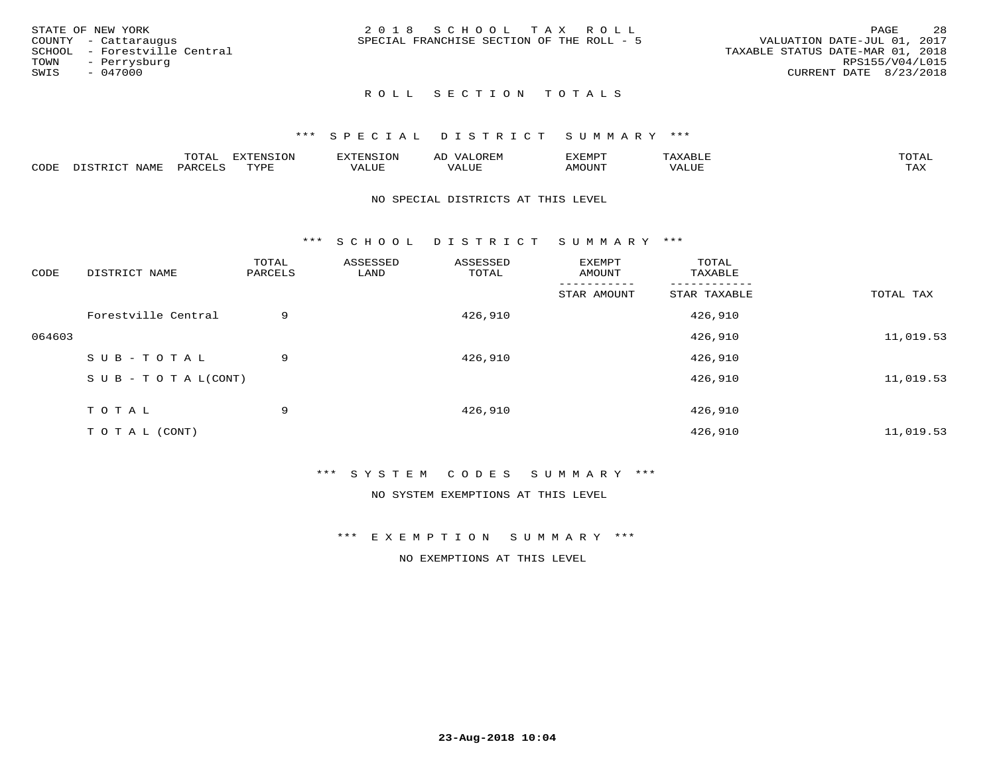| STATE OF NEW YORK            | 2018 SCHOOL TAX ROLL                      | -28<br><b>PAGE</b>               |
|------------------------------|-------------------------------------------|----------------------------------|
| COUNTY - Cattaraugus         | SPECIAL FRANCHISE SECTION OF THE ROLL - 5 | VALUATION DATE-JUL 01, 2017      |
| SCHOOL - Forestville Central |                                           | TAXABLE STATUS DATE-MAR 01, 2018 |
| TOWN<br>- Perrysburg         |                                           | RPS155/V04/L015                  |
| SWIS<br>$-047000$            |                                           | CURRENT DATE 8/23/2018           |
|                              |                                           |                                  |

#### \*\*\* S P E C I A L D I S T R I C T S U M M A R Y \*\*\*

|      |                           | m∧m⊼ | <b>DVERMOTOM</b><br>LUI | TENSION       | ΑL<br>$\cdots$      | EXEMPT | $\Delta \times \Delta$<br>9 D.L | $m \wedge m \wedge n$<br>$\overline{a}$ |
|------|---------------------------|------|-------------------------|---------------|---------------------|--------|---------------------------------|-----------------------------------------|
| CODE | NTAM <sup>T</sup><br>⊥∙⊥⊥ | PARC | <b>TVDL</b>             | T T T<br>ALUF | <b>TTT</b><br>'ALUE | MOUNT  | VALUE                           | $m \times r$<br>$+$ $  +$ $-$           |

#### NO SPECIAL DISTRICTS AT THIS LEVEL

\*\*\* S C H O O L D I S T R I C T S U M M A R Y \*\*\*

| CODE   | DISTRICT NAME                    | TOTAL<br>PARCELS | ASSESSED<br>LAND | ASSESSED<br>TOTAL | EXEMPT<br>AMOUNT | TOTAL<br>TAXABLE |           |
|--------|----------------------------------|------------------|------------------|-------------------|------------------|------------------|-----------|
|        |                                  |                  |                  |                   | STAR AMOUNT      | STAR TAXABLE     | TOTAL TAX |
|        | Forestville Central              | 9                |                  | 426,910           |                  | 426,910          |           |
| 064603 |                                  |                  |                  |                   |                  | 426,910          | 11,019.53 |
|        | SUB-TOTAL                        | 9                |                  | 426,910           |                  | 426,910          |           |
|        | $S \cup B - T \cup T A L (CONT)$ |                  |                  |                   |                  | 426,910          | 11,019.53 |
|        | TOTAL                            | 9                |                  | 426,910           |                  | 426,910          |           |
|        | T O T A L (CONT)                 |                  |                  |                   |                  | 426,910          | 11,019.53 |

#### \*\*\* S Y S T E M C O D E S S U M M A R Y \*\*\*

NO SYSTEM EXEMPTIONS AT THIS LEVEL

\*\*\* E X E M P T I O N S U M M A R Y \*\*\*

NO EXEMPTIONS AT THIS LEVEL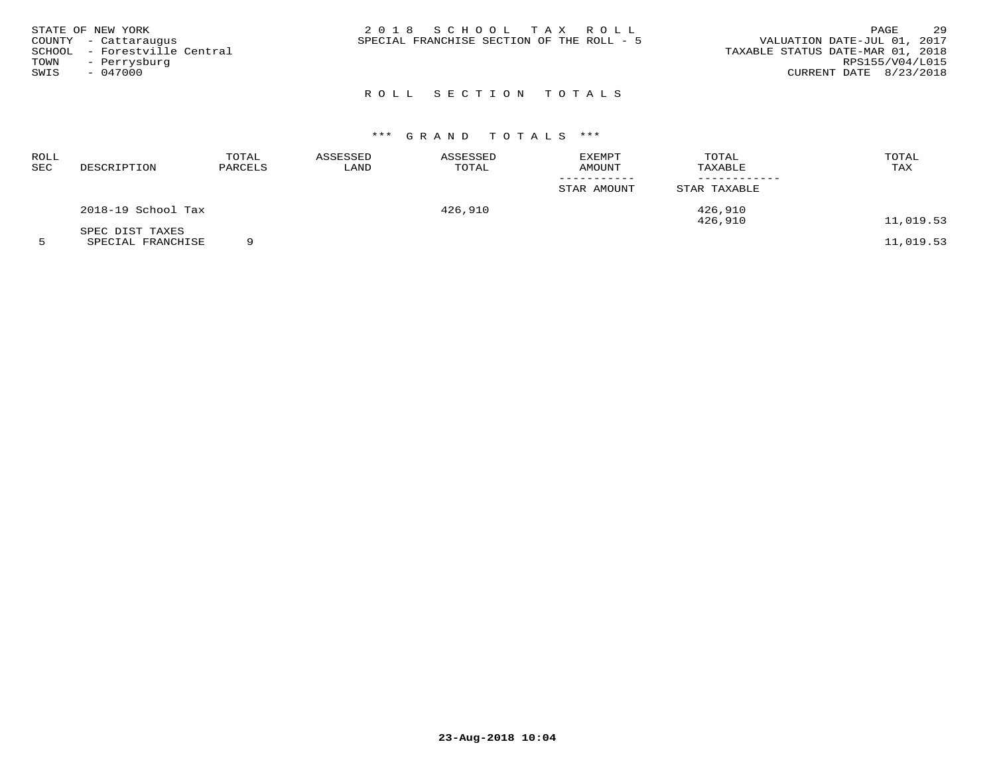|        | STATE OF NEW YORK     | 2018 SCHOOL TAX ROLL                                                     | PAGE            | 29 |
|--------|-----------------------|--------------------------------------------------------------------------|-----------------|----|
|        | COUNTY - Cattaraugus  | VALUATION DATE-JUL 01, 2017<br>SPECIAL FRANCHISE SECTION OF THE ROLL - 5 |                 |    |
| SCHOOL | - Forestville Central | TAXABLE STATUS DATE-MAR 01, 2018                                         |                 |    |
| TOWN   | - Perrysburg          |                                                                          | RPS155/V04/L015 |    |
| SWIS   | - 047000              | CURRENT DATE 8/23/2018                                                   |                 |    |
|        |                       |                                                                          |                 |    |

# \*\*\* G R A N D T O T A L S \*\*\*

| ROLL<br>SEC | DESCRIPTION        | TOTAL<br>PARCELS | ASSESSED<br>LAND | ASSESSED<br>TOTAL | EXEMPT<br>AMOUNT | TOTAL<br>TAXABLE | TOTAL<br>TAX |
|-------------|--------------------|------------------|------------------|-------------------|------------------|------------------|--------------|
|             |                    |                  |                  |                   | STAR AMOUNT      | STAR TAXABLE     |              |
|             | 2018-19 School Tax |                  |                  | 426,910           |                  | 426,910          |              |
|             | SPEC DIST TAXES    |                  |                  |                   |                  | 426,910          | 11,019.53    |

5 SPECIAL FRANCHISE 9 11,019.53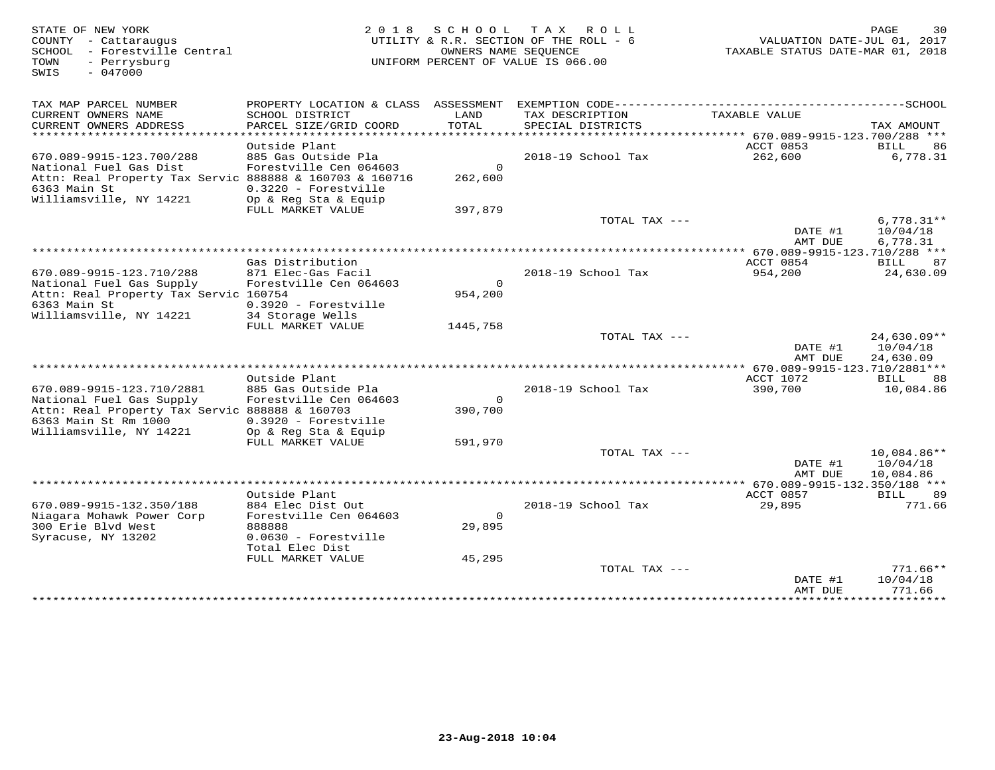| PROPERTY LOCATION & CLASS ASSESSMENT EXEMPTION CODE-----------------------------------SCHOOL<br>TAX MAP PARCEL NUMBER<br>CURRENT OWNERS NAME<br>LAND<br>TAX DESCRIPTION<br>TAXABLE VALUE<br>SCHOOL DISTRICT<br>CURRENT OWNERS ADDRESS<br>PARCEL SIZE/GRID COORD<br>TOTAL<br>SPECIAL DISTRICTS<br>TAX AMOUNT<br>*******************<br>***********************<br>************<br>****** 670.089-9915-123.700/288 ***<br>ACCT 0853<br>Outside Plant<br>BILL<br>86<br>670.089-9915-123.700/288<br>885 Gas Outside Pla<br>2018-19 School Tax<br>262,600<br>6,778.31<br>Forestville Cen 064603<br>$\mathbf{0}$<br>National Fuel Gas Dist<br>Attn: Real Property Tax Servic 888888 & 160703 & 160716<br>262,600<br>6363 Main St<br>0.3220 - Forestville<br>Williamsville, NY 14221<br>Op & Reg Sta & Equip<br>FULL MARKET VALUE<br>397,879<br>$6,778.31**$<br>TOTAL TAX ---<br>DATE #1<br>10/04/18<br>6,778.31<br>AMT DUE<br>**** 670.089-9915-123.710/288 ***<br>Gas Distribution<br>ACCT 0854<br>BILL<br>87<br>670.089-9915-123.710/288<br>871 Elec-Gas Facil<br>2018-19 School Tax<br>954,200<br>24,630.09<br>Forestville Cen 064603<br>$\mathbf{0}$<br>National Fuel Gas Supply<br>Attn: Real Property Tax Servic 160754<br>954,200<br>6363 Main St<br>0.3920 - Forestville<br>Williamsville, NY 14221<br>34 Storage Wells<br>FULL MARKET VALUE<br>1445,758<br>24,630.09**<br>TOTAL TAX ---<br>DATE #1<br>10/04/18<br>24,630.09<br>AMT DUE<br>*************** 670.089-9915-123.710/2881***<br>Outside Plant<br>ACCT 1072<br>88<br>BILL<br>670.089-9915-123.710/2881<br>885 Gas Outside Pla<br>2018-19 School Tax<br>390,700<br>10,084.86<br>National Fuel Gas Supply<br>Forestville Cen 064603<br>$\Omega$<br>Attn: Real Property Tax Servic 888888 & 160703<br>390,700<br>6363 Main St Rm 1000<br>$0.3920$ - Forestville<br>Williamsville, NY 14221<br>Op & Reg Sta & Equip<br>FULL MARKET VALUE<br>591,970<br>TOTAL TAX ---<br>10,084.86**<br>10/04/18<br>DATE #1<br>AMT DUE<br>10,084.86<br>*** 670.089-9915-132.350/188 ***<br>Outside Plant<br>ACCT 0857<br>BILL<br>89<br>670.089-9915-132.350/188<br>884 Elec Dist Out<br>2018-19 School Tax<br>29,895<br>771.66<br>Forestville Cen 064603<br>$\Omega$<br>Niagara Mohawk Power Corp<br>300 Erie Blvd West<br>888888<br>29,895<br>Syracuse, NY 13202<br>0.0630 - Forestville<br>Total Elec Dist<br>45,295<br>FULL MARKET VALUE<br>TOTAL TAX ---<br>$771.66**$<br>10/04/18<br>DATE #1<br>771.66<br>AMT DUE<br>* * * * * * * * * *<br>· * * * * * * * * * * * * * | STATE OF NEW YORK<br>COUNTY - Cattaraugus<br>SCHOOL - Forestville Central<br>TOWN<br>- Perrysburg<br>$-047000$<br>SWIS | OWNERS NAME SEOUENCE | 2018 SCHOOL TAX ROLL<br>UTILITY & R.R. SECTION OF THE ROLL - 6<br>UNIFORM PERCENT OF VALUE IS 066.00 | VALUATION DATE-JUL 01, 2017<br>TAXABLE STATUS DATE-MAR 01, 2018 | 30<br>PAGE |
|---------------------------------------------------------------------------------------------------------------------------------------------------------------------------------------------------------------------------------------------------------------------------------------------------------------------------------------------------------------------------------------------------------------------------------------------------------------------------------------------------------------------------------------------------------------------------------------------------------------------------------------------------------------------------------------------------------------------------------------------------------------------------------------------------------------------------------------------------------------------------------------------------------------------------------------------------------------------------------------------------------------------------------------------------------------------------------------------------------------------------------------------------------------------------------------------------------------------------------------------------------------------------------------------------------------------------------------------------------------------------------------------------------------------------------------------------------------------------------------------------------------------------------------------------------------------------------------------------------------------------------------------------------------------------------------------------------------------------------------------------------------------------------------------------------------------------------------------------------------------------------------------------------------------------------------------------------------------------------------------------------------------------------------------------------------------------------------------------------------------------------------------------------------------------------------------------------------------------------------------------------------------------------------------------------------------------------------------------------------------------------------------------------------------------------------------------------------------------------------------------------------------|------------------------------------------------------------------------------------------------------------------------|----------------------|------------------------------------------------------------------------------------------------------|-----------------------------------------------------------------|------------|
|                                                                                                                                                                                                                                                                                                                                                                                                                                                                                                                                                                                                                                                                                                                                                                                                                                                                                                                                                                                                                                                                                                                                                                                                                                                                                                                                                                                                                                                                                                                                                                                                                                                                                                                                                                                                                                                                                                                                                                                                                                                                                                                                                                                                                                                                                                                                                                                                                                                                                                                     |                                                                                                                        |                      |                                                                                                      |                                                                 |            |
|                                                                                                                                                                                                                                                                                                                                                                                                                                                                                                                                                                                                                                                                                                                                                                                                                                                                                                                                                                                                                                                                                                                                                                                                                                                                                                                                                                                                                                                                                                                                                                                                                                                                                                                                                                                                                                                                                                                                                                                                                                                                                                                                                                                                                                                                                                                                                                                                                                                                                                                     |                                                                                                                        |                      |                                                                                                      |                                                                 |            |
|                                                                                                                                                                                                                                                                                                                                                                                                                                                                                                                                                                                                                                                                                                                                                                                                                                                                                                                                                                                                                                                                                                                                                                                                                                                                                                                                                                                                                                                                                                                                                                                                                                                                                                                                                                                                                                                                                                                                                                                                                                                                                                                                                                                                                                                                                                                                                                                                                                                                                                                     |                                                                                                                        |                      |                                                                                                      |                                                                 |            |
|                                                                                                                                                                                                                                                                                                                                                                                                                                                                                                                                                                                                                                                                                                                                                                                                                                                                                                                                                                                                                                                                                                                                                                                                                                                                                                                                                                                                                                                                                                                                                                                                                                                                                                                                                                                                                                                                                                                                                                                                                                                                                                                                                                                                                                                                                                                                                                                                                                                                                                                     |                                                                                                                        |                      |                                                                                                      |                                                                 |            |
|                                                                                                                                                                                                                                                                                                                                                                                                                                                                                                                                                                                                                                                                                                                                                                                                                                                                                                                                                                                                                                                                                                                                                                                                                                                                                                                                                                                                                                                                                                                                                                                                                                                                                                                                                                                                                                                                                                                                                                                                                                                                                                                                                                                                                                                                                                                                                                                                                                                                                                                     |                                                                                                                        |                      |                                                                                                      |                                                                 |            |
|                                                                                                                                                                                                                                                                                                                                                                                                                                                                                                                                                                                                                                                                                                                                                                                                                                                                                                                                                                                                                                                                                                                                                                                                                                                                                                                                                                                                                                                                                                                                                                                                                                                                                                                                                                                                                                                                                                                                                                                                                                                                                                                                                                                                                                                                                                                                                                                                                                                                                                                     |                                                                                                                        |                      |                                                                                                      |                                                                 |            |
|                                                                                                                                                                                                                                                                                                                                                                                                                                                                                                                                                                                                                                                                                                                                                                                                                                                                                                                                                                                                                                                                                                                                                                                                                                                                                                                                                                                                                                                                                                                                                                                                                                                                                                                                                                                                                                                                                                                                                                                                                                                                                                                                                                                                                                                                                                                                                                                                                                                                                                                     |                                                                                                                        |                      |                                                                                                      |                                                                 |            |
|                                                                                                                                                                                                                                                                                                                                                                                                                                                                                                                                                                                                                                                                                                                                                                                                                                                                                                                                                                                                                                                                                                                                                                                                                                                                                                                                                                                                                                                                                                                                                                                                                                                                                                                                                                                                                                                                                                                                                                                                                                                                                                                                                                                                                                                                                                                                                                                                                                                                                                                     |                                                                                                                        |                      |                                                                                                      |                                                                 |            |
|                                                                                                                                                                                                                                                                                                                                                                                                                                                                                                                                                                                                                                                                                                                                                                                                                                                                                                                                                                                                                                                                                                                                                                                                                                                                                                                                                                                                                                                                                                                                                                                                                                                                                                                                                                                                                                                                                                                                                                                                                                                                                                                                                                                                                                                                                                                                                                                                                                                                                                                     |                                                                                                                        |                      |                                                                                                      |                                                                 |            |
|                                                                                                                                                                                                                                                                                                                                                                                                                                                                                                                                                                                                                                                                                                                                                                                                                                                                                                                                                                                                                                                                                                                                                                                                                                                                                                                                                                                                                                                                                                                                                                                                                                                                                                                                                                                                                                                                                                                                                                                                                                                                                                                                                                                                                                                                                                                                                                                                                                                                                                                     |                                                                                                                        |                      |                                                                                                      |                                                                 |            |
|                                                                                                                                                                                                                                                                                                                                                                                                                                                                                                                                                                                                                                                                                                                                                                                                                                                                                                                                                                                                                                                                                                                                                                                                                                                                                                                                                                                                                                                                                                                                                                                                                                                                                                                                                                                                                                                                                                                                                                                                                                                                                                                                                                                                                                                                                                                                                                                                                                                                                                                     |                                                                                                                        |                      |                                                                                                      |                                                                 |            |
|                                                                                                                                                                                                                                                                                                                                                                                                                                                                                                                                                                                                                                                                                                                                                                                                                                                                                                                                                                                                                                                                                                                                                                                                                                                                                                                                                                                                                                                                                                                                                                                                                                                                                                                                                                                                                                                                                                                                                                                                                                                                                                                                                                                                                                                                                                                                                                                                                                                                                                                     |                                                                                                                        |                      |                                                                                                      |                                                                 |            |
|                                                                                                                                                                                                                                                                                                                                                                                                                                                                                                                                                                                                                                                                                                                                                                                                                                                                                                                                                                                                                                                                                                                                                                                                                                                                                                                                                                                                                                                                                                                                                                                                                                                                                                                                                                                                                                                                                                                                                                                                                                                                                                                                                                                                                                                                                                                                                                                                                                                                                                                     |                                                                                                                        |                      |                                                                                                      |                                                                 |            |
|                                                                                                                                                                                                                                                                                                                                                                                                                                                                                                                                                                                                                                                                                                                                                                                                                                                                                                                                                                                                                                                                                                                                                                                                                                                                                                                                                                                                                                                                                                                                                                                                                                                                                                                                                                                                                                                                                                                                                                                                                                                                                                                                                                                                                                                                                                                                                                                                                                                                                                                     |                                                                                                                        |                      |                                                                                                      |                                                                 |            |
|                                                                                                                                                                                                                                                                                                                                                                                                                                                                                                                                                                                                                                                                                                                                                                                                                                                                                                                                                                                                                                                                                                                                                                                                                                                                                                                                                                                                                                                                                                                                                                                                                                                                                                                                                                                                                                                                                                                                                                                                                                                                                                                                                                                                                                                                                                                                                                                                                                                                                                                     |                                                                                                                        |                      |                                                                                                      |                                                                 |            |
|                                                                                                                                                                                                                                                                                                                                                                                                                                                                                                                                                                                                                                                                                                                                                                                                                                                                                                                                                                                                                                                                                                                                                                                                                                                                                                                                                                                                                                                                                                                                                                                                                                                                                                                                                                                                                                                                                                                                                                                                                                                                                                                                                                                                                                                                                                                                                                                                                                                                                                                     |                                                                                                                        |                      |                                                                                                      |                                                                 |            |
|                                                                                                                                                                                                                                                                                                                                                                                                                                                                                                                                                                                                                                                                                                                                                                                                                                                                                                                                                                                                                                                                                                                                                                                                                                                                                                                                                                                                                                                                                                                                                                                                                                                                                                                                                                                                                                                                                                                                                                                                                                                                                                                                                                                                                                                                                                                                                                                                                                                                                                                     |                                                                                                                        |                      |                                                                                                      |                                                                 |            |
|                                                                                                                                                                                                                                                                                                                                                                                                                                                                                                                                                                                                                                                                                                                                                                                                                                                                                                                                                                                                                                                                                                                                                                                                                                                                                                                                                                                                                                                                                                                                                                                                                                                                                                                                                                                                                                                                                                                                                                                                                                                                                                                                                                                                                                                                                                                                                                                                                                                                                                                     |                                                                                                                        |                      |                                                                                                      |                                                                 |            |
|                                                                                                                                                                                                                                                                                                                                                                                                                                                                                                                                                                                                                                                                                                                                                                                                                                                                                                                                                                                                                                                                                                                                                                                                                                                                                                                                                                                                                                                                                                                                                                                                                                                                                                                                                                                                                                                                                                                                                                                                                                                                                                                                                                                                                                                                                                                                                                                                                                                                                                                     |                                                                                                                        |                      |                                                                                                      |                                                                 |            |
|                                                                                                                                                                                                                                                                                                                                                                                                                                                                                                                                                                                                                                                                                                                                                                                                                                                                                                                                                                                                                                                                                                                                                                                                                                                                                                                                                                                                                                                                                                                                                                                                                                                                                                                                                                                                                                                                                                                                                                                                                                                                                                                                                                                                                                                                                                                                                                                                                                                                                                                     |                                                                                                                        |                      |                                                                                                      |                                                                 |            |
|                                                                                                                                                                                                                                                                                                                                                                                                                                                                                                                                                                                                                                                                                                                                                                                                                                                                                                                                                                                                                                                                                                                                                                                                                                                                                                                                                                                                                                                                                                                                                                                                                                                                                                                                                                                                                                                                                                                                                                                                                                                                                                                                                                                                                                                                                                                                                                                                                                                                                                                     |                                                                                                                        |                      |                                                                                                      |                                                                 |            |
|                                                                                                                                                                                                                                                                                                                                                                                                                                                                                                                                                                                                                                                                                                                                                                                                                                                                                                                                                                                                                                                                                                                                                                                                                                                                                                                                                                                                                                                                                                                                                                                                                                                                                                                                                                                                                                                                                                                                                                                                                                                                                                                                                                                                                                                                                                                                                                                                                                                                                                                     |                                                                                                                        |                      |                                                                                                      |                                                                 |            |
|                                                                                                                                                                                                                                                                                                                                                                                                                                                                                                                                                                                                                                                                                                                                                                                                                                                                                                                                                                                                                                                                                                                                                                                                                                                                                                                                                                                                                                                                                                                                                                                                                                                                                                                                                                                                                                                                                                                                                                                                                                                                                                                                                                                                                                                                                                                                                                                                                                                                                                                     |                                                                                                                        |                      |                                                                                                      |                                                                 |            |
|                                                                                                                                                                                                                                                                                                                                                                                                                                                                                                                                                                                                                                                                                                                                                                                                                                                                                                                                                                                                                                                                                                                                                                                                                                                                                                                                                                                                                                                                                                                                                                                                                                                                                                                                                                                                                                                                                                                                                                                                                                                                                                                                                                                                                                                                                                                                                                                                                                                                                                                     |                                                                                                                        |                      |                                                                                                      |                                                                 |            |
|                                                                                                                                                                                                                                                                                                                                                                                                                                                                                                                                                                                                                                                                                                                                                                                                                                                                                                                                                                                                                                                                                                                                                                                                                                                                                                                                                                                                                                                                                                                                                                                                                                                                                                                                                                                                                                                                                                                                                                                                                                                                                                                                                                                                                                                                                                                                                                                                                                                                                                                     |                                                                                                                        |                      |                                                                                                      |                                                                 |            |
|                                                                                                                                                                                                                                                                                                                                                                                                                                                                                                                                                                                                                                                                                                                                                                                                                                                                                                                                                                                                                                                                                                                                                                                                                                                                                                                                                                                                                                                                                                                                                                                                                                                                                                                                                                                                                                                                                                                                                                                                                                                                                                                                                                                                                                                                                                                                                                                                                                                                                                                     |                                                                                                                        |                      |                                                                                                      |                                                                 |            |
|                                                                                                                                                                                                                                                                                                                                                                                                                                                                                                                                                                                                                                                                                                                                                                                                                                                                                                                                                                                                                                                                                                                                                                                                                                                                                                                                                                                                                                                                                                                                                                                                                                                                                                                                                                                                                                                                                                                                                                                                                                                                                                                                                                                                                                                                                                                                                                                                                                                                                                                     |                                                                                                                        |                      |                                                                                                      |                                                                 |            |
|                                                                                                                                                                                                                                                                                                                                                                                                                                                                                                                                                                                                                                                                                                                                                                                                                                                                                                                                                                                                                                                                                                                                                                                                                                                                                                                                                                                                                                                                                                                                                                                                                                                                                                                                                                                                                                                                                                                                                                                                                                                                                                                                                                                                                                                                                                                                                                                                                                                                                                                     |                                                                                                                        |                      |                                                                                                      |                                                                 |            |
|                                                                                                                                                                                                                                                                                                                                                                                                                                                                                                                                                                                                                                                                                                                                                                                                                                                                                                                                                                                                                                                                                                                                                                                                                                                                                                                                                                                                                                                                                                                                                                                                                                                                                                                                                                                                                                                                                                                                                                                                                                                                                                                                                                                                                                                                                                                                                                                                                                                                                                                     |                                                                                                                        |                      |                                                                                                      |                                                                 |            |
|                                                                                                                                                                                                                                                                                                                                                                                                                                                                                                                                                                                                                                                                                                                                                                                                                                                                                                                                                                                                                                                                                                                                                                                                                                                                                                                                                                                                                                                                                                                                                                                                                                                                                                                                                                                                                                                                                                                                                                                                                                                                                                                                                                                                                                                                                                                                                                                                                                                                                                                     |                                                                                                                        |                      |                                                                                                      |                                                                 |            |
|                                                                                                                                                                                                                                                                                                                                                                                                                                                                                                                                                                                                                                                                                                                                                                                                                                                                                                                                                                                                                                                                                                                                                                                                                                                                                                                                                                                                                                                                                                                                                                                                                                                                                                                                                                                                                                                                                                                                                                                                                                                                                                                                                                                                                                                                                                                                                                                                                                                                                                                     |                                                                                                                        |                      |                                                                                                      |                                                                 |            |
|                                                                                                                                                                                                                                                                                                                                                                                                                                                                                                                                                                                                                                                                                                                                                                                                                                                                                                                                                                                                                                                                                                                                                                                                                                                                                                                                                                                                                                                                                                                                                                                                                                                                                                                                                                                                                                                                                                                                                                                                                                                                                                                                                                                                                                                                                                                                                                                                                                                                                                                     |                                                                                                                        |                      |                                                                                                      |                                                                 |            |
|                                                                                                                                                                                                                                                                                                                                                                                                                                                                                                                                                                                                                                                                                                                                                                                                                                                                                                                                                                                                                                                                                                                                                                                                                                                                                                                                                                                                                                                                                                                                                                                                                                                                                                                                                                                                                                                                                                                                                                                                                                                                                                                                                                                                                                                                                                                                                                                                                                                                                                                     |                                                                                                                        |                      |                                                                                                      |                                                                 |            |
|                                                                                                                                                                                                                                                                                                                                                                                                                                                                                                                                                                                                                                                                                                                                                                                                                                                                                                                                                                                                                                                                                                                                                                                                                                                                                                                                                                                                                                                                                                                                                                                                                                                                                                                                                                                                                                                                                                                                                                                                                                                                                                                                                                                                                                                                                                                                                                                                                                                                                                                     |                                                                                                                        |                      |                                                                                                      |                                                                 |            |
|                                                                                                                                                                                                                                                                                                                                                                                                                                                                                                                                                                                                                                                                                                                                                                                                                                                                                                                                                                                                                                                                                                                                                                                                                                                                                                                                                                                                                                                                                                                                                                                                                                                                                                                                                                                                                                                                                                                                                                                                                                                                                                                                                                                                                                                                                                                                                                                                                                                                                                                     |                                                                                                                        |                      |                                                                                                      |                                                                 |            |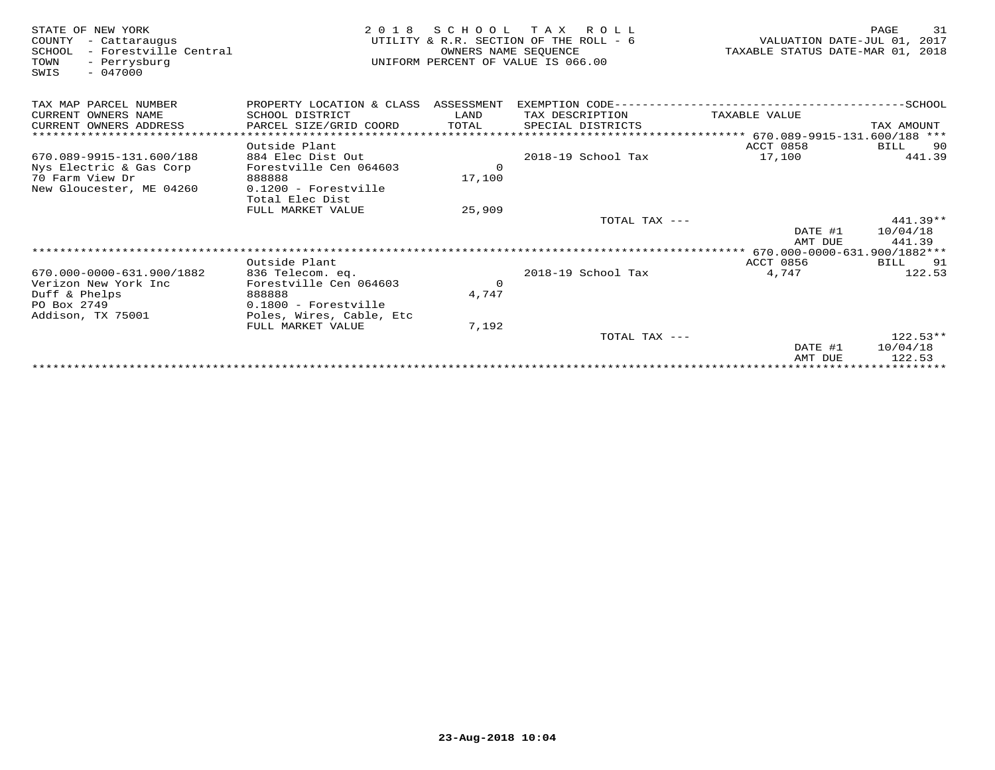| STATE OF NEW YORK<br>- Cattaraugus<br>COUNTY<br>- Forestville Central<br>SCHOOL<br>- Perrysburg<br>TOWN<br>$-047000$<br>SWIS | 2 0 1 8                              | SCHOOL<br>OWNERS NAME SEOUENCE | TAX ROLL<br>UTILITY & R.R. SECTION OF THE ROLL - 6<br>UNIFORM PERCENT OF VALUE IS 066.00 | VALUATION DATE-JUL 01, 2017<br>TAXABLE STATUS DATE-MAR 01, 2018 | 31<br>PAGE             |
|------------------------------------------------------------------------------------------------------------------------------|--------------------------------------|--------------------------------|------------------------------------------------------------------------------------------|-----------------------------------------------------------------|------------------------|
| TAX MAP PARCEL NUMBER                                                                                                        | PROPERTY LOCATION & CLASS ASSESSMENT |                                |                                                                                          |                                                                 |                        |
| CURRENT OWNERS NAME                                                                                                          | SCHOOL DISTRICT                      | LAND                           | TAX DESCRIPTION                                                                          | TAXABLE VALUE                                                   |                        |
| CURRENT OWNERS ADDRESS                                                                                                       | PARCEL SIZE/GRID COORD               | TOTAL                          | SPECIAL DISTRICTS                                                                        |                                                                 | TAX AMOUNT             |
| *************************                                                                                                    |                                      |                                |                                                                                          | **************************** 670.089-9915-131.600/188 ***       |                        |
|                                                                                                                              | Outside Plant                        |                                |                                                                                          | ACCT 0858                                                       | BILL 90                |
| 670.089-9915-131.600/188                                                                                                     | 884 Elec Dist Out                    |                                | 2018-19 School Tax                                                                       | 17,100                                                          | 441.39                 |
| Nys Electric & Gas Corp                                                                                                      | Forestville Cen 064603               | $\Omega$                       |                                                                                          |                                                                 |                        |
| 70 Farm View Dr                                                                                                              | 888888                               | 17,100                         |                                                                                          |                                                                 |                        |
| New Gloucester, ME 04260                                                                                                     | $0.1200$ - Forestville               |                                |                                                                                          |                                                                 |                        |
|                                                                                                                              | Total Elec Dist<br>FULL MARKET VALUE | 25,909                         |                                                                                          |                                                                 |                        |
|                                                                                                                              |                                      |                                | TOTAL TAX ---                                                                            |                                                                 | $441.39**$             |
|                                                                                                                              |                                      |                                |                                                                                          | DATE #1                                                         | 10/04/18               |
|                                                                                                                              |                                      |                                |                                                                                          | AMT DUE                                                         | 441.39                 |
|                                                                                                                              |                                      |                                |                                                                                          | ********** 670.000-0000-631.900/1882***                         |                        |
|                                                                                                                              | Outside Plant                        |                                |                                                                                          | <b>ACCT 0856</b>                                                | BILL 91                |
| 670.000-0000-631.900/1882                                                                                                    | 836 Telecom. eq.                     |                                | $2018-19$ School Tax                                                                     | 4,747                                                           | 122.53                 |
| Verizon New York Inc                                                                                                         | Forestville Cen 064603               | $\Omega$                       |                                                                                          |                                                                 |                        |
| Duff & Phelps                                                                                                                | 888888                               | 4,747                          |                                                                                          |                                                                 |                        |
| PO Box 2749                                                                                                                  | 0.1800 - Forestville                 |                                |                                                                                          |                                                                 |                        |
| Addison, TX 75001                                                                                                            | Poles, Wires, Cable, Etc             |                                |                                                                                          |                                                                 |                        |
|                                                                                                                              | FULL MARKET VALUE                    | 7,192                          |                                                                                          |                                                                 |                        |
|                                                                                                                              |                                      |                                | TOTAL TAX ---                                                                            | DATE #1                                                         | $122.53**$<br>10/04/18 |
|                                                                                                                              |                                      |                                |                                                                                          | AMT DUE                                                         | 122.53                 |
|                                                                                                                              |                                      |                                |                                                                                          |                                                                 |                        |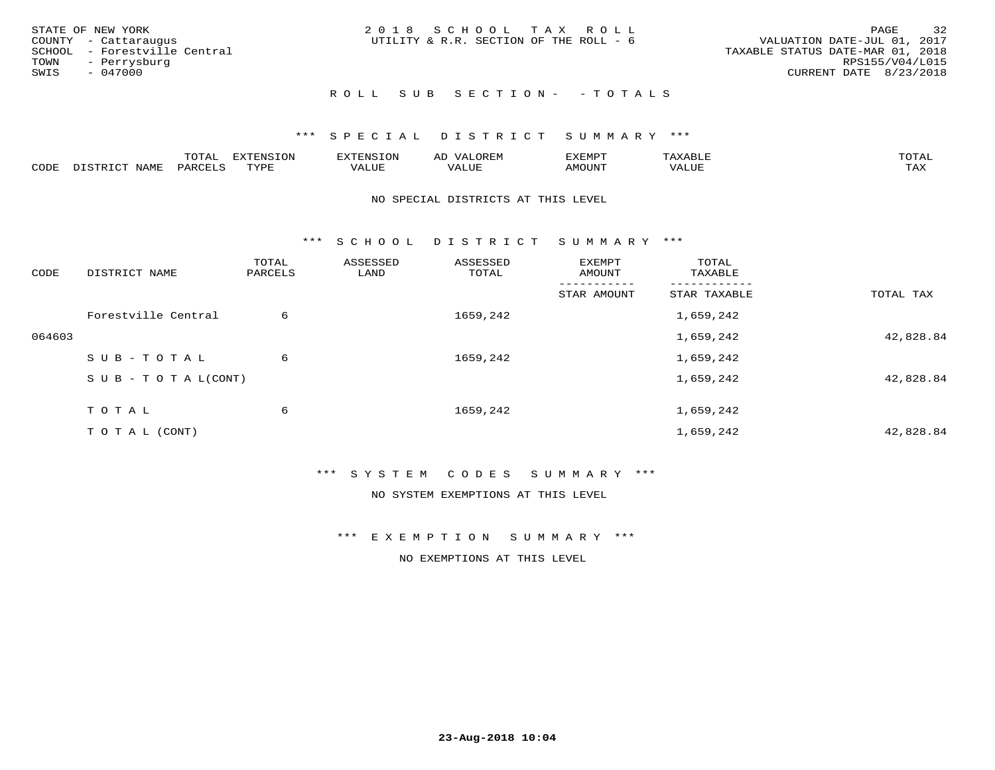| STATE OF NEW YORK<br>COUNTY - Cattaraugus<br>SCHOOL - Forestville Central<br>TOWN - Perrysburg<br>SWIS<br>- 047000 | 2018 SCHOOL TAX ROLL<br>UTILITY & R.R. SECTION OF THE ROLL - 6 | 32<br>PAGE<br>VALUATION DATE-JUL 01, 2017<br>TAXABLE STATUS DATE-MAR 01, 2018<br>RPS155/V04/L015<br>CURRENT DATE 8/23/2018 |
|--------------------------------------------------------------------------------------------------------------------|----------------------------------------------------------------|----------------------------------------------------------------------------------------------------------------------------|
|                                                                                                                    | ROLL SUB SECTION- - TOTALS                                     |                                                                                                                            |

|      |       | UIAI     | <b>EXTENSION</b> | XTENSION: | י | "YEMPT" |                     |
|------|-------|----------|------------------|-----------|---|---------|---------------------|
| CODE | NT∆MF | OARCTT.C | $\pi$            | VALUE     |   | AMOUNT  | <b>TAY</b><br>⊥ ∠∡∡ |

#### NO SPECIAL DISTRICTS AT THIS LEVEL

\*\*\* S C H O O L D I S T R I C T S U M M A R Y \*\*\*

| CODE   | DISTRICT NAME                    | TOTAL<br>PARCELS | ASSESSED<br>LAND | ASSESSED<br>TOTAL | EXEMPT<br>AMOUNT | TOTAL<br>TAXABLE |           |
|--------|----------------------------------|------------------|------------------|-------------------|------------------|------------------|-----------|
|        |                                  |                  |                  |                   | STAR AMOUNT      | STAR TAXABLE     | TOTAL TAX |
|        | Forestville Central              | 6                |                  | 1659,242          |                  | 1,659,242        |           |
| 064603 |                                  |                  |                  |                   |                  | 1,659,242        | 42,828.84 |
|        | SUB-TOTAL                        | 6                |                  | 1659,242          |                  | 1,659,242        |           |
|        | $S \cup B - T \cup T A L (CONT)$ |                  |                  |                   |                  | 1,659,242        | 42,828.84 |
|        | TOTAL                            | 6                |                  | 1659,242          |                  | 1,659,242        |           |
|        | T O T A L (CONT)                 |                  |                  |                   |                  | 1,659,242        | 42,828.84 |

### \*\*\* S Y S T E M C O D E S S U M M A R Y \*\*\*

NO SYSTEM EXEMPTIONS AT THIS LEVEL

\*\*\* E X E M P T I O N S U M M A R Y \*\*\*

NO EXEMPTIONS AT THIS LEVEL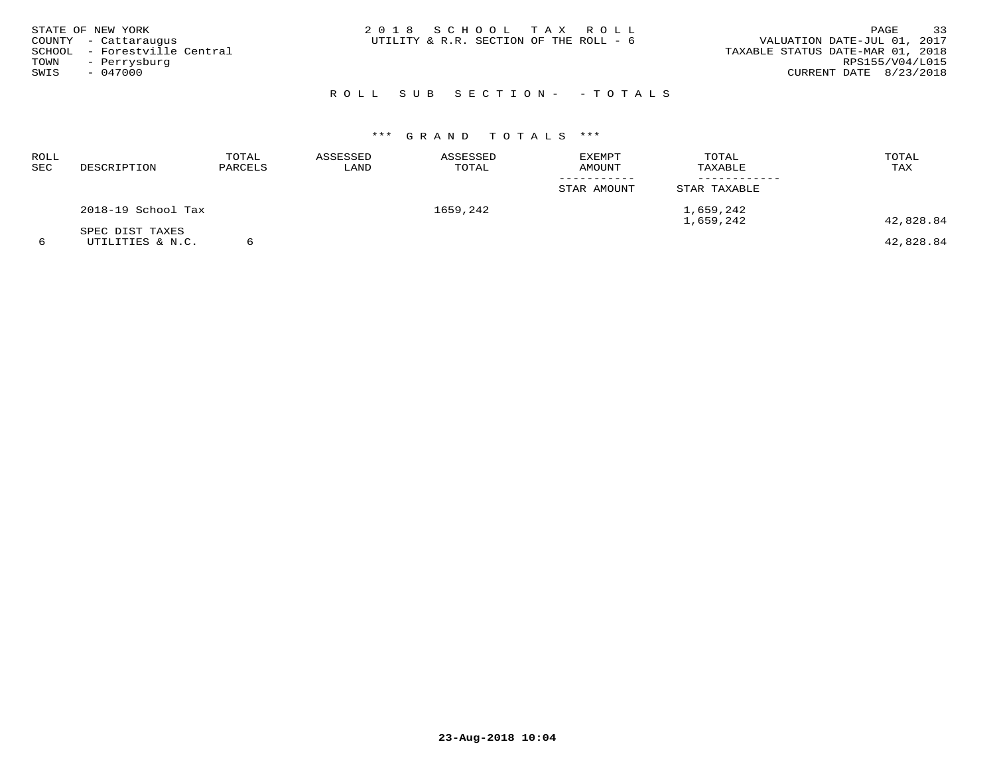| SWIS | STATE OF NEW YORK<br>COUNTY - Cattaraugus<br>SCHOOL - Forestville Central<br>TOWN - Perrysburg<br>$-047000$ | 2018 SCHOOL TAX ROLL<br>UTILITY & R.R. SECTION OF THE ROLL - 6 |  |                            | VALUATION DATE-JUL 01, 2017<br>TAXABLE STATUS DATE-MAR 01, 2018<br>CURRENT DATE 8/23/2018 | PAGE<br>RPS155/V04/L015 | 33 |
|------|-------------------------------------------------------------------------------------------------------------|----------------------------------------------------------------|--|----------------------------|-------------------------------------------------------------------------------------------|-------------------------|----|
|      |                                                                                                             |                                                                |  | ROLL SUB SECTION- - TOTALS |                                                                                           |                         |    |

| ROLL<br>SEC | DESCRIPTION                         | TOTAL<br>PARCELS | ASSESSED<br>LAND | ASSESSED<br>TOTAL | <b>EXEMPT</b><br>AMOUNT<br>_ _ _ _ _ _ _ _ _ _ _ | TOTAL<br>TAXABLE       | TOTAL<br>TAX |
|-------------|-------------------------------------|------------------|------------------|-------------------|--------------------------------------------------|------------------------|--------------|
|             |                                     |                  |                  |                   | STAR AMOUNT                                      | STAR TAXABLE           |              |
|             | 2018-19 School Tax                  |                  |                  | 1659,242          |                                                  | 1,659,242<br>1,659,242 | 42,828.84    |
|             | SPEC DIST TAXES<br>UTILITIES & N.C. |                  |                  |                   |                                                  |                        | 42,828.84    |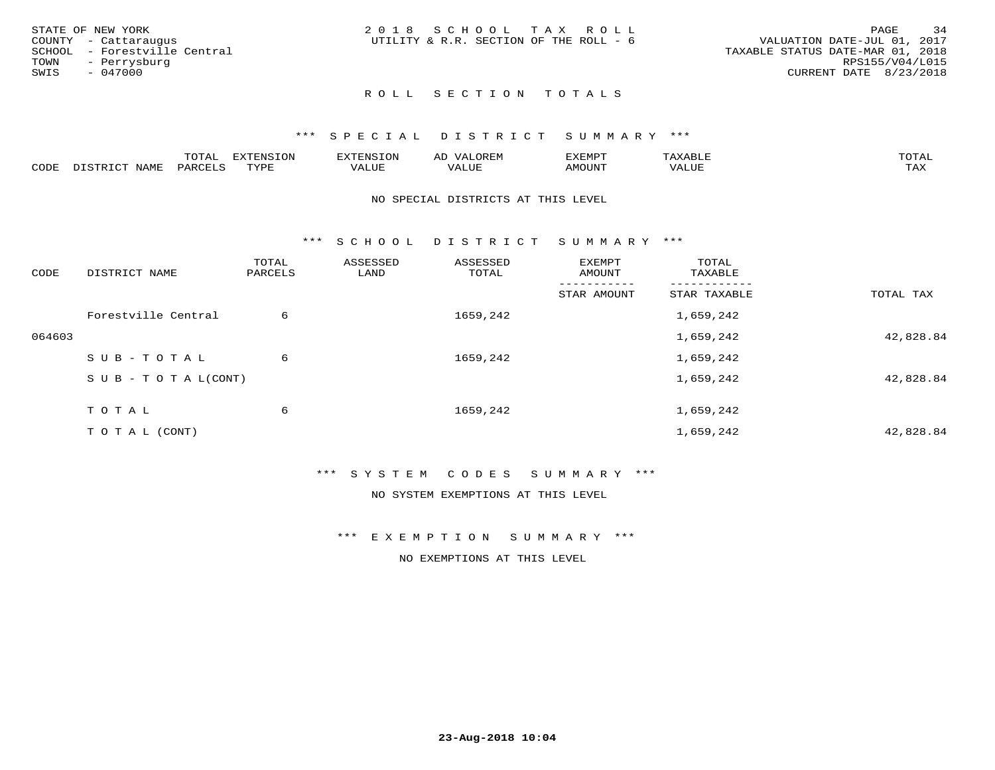|      | STATE OF NEW YORK            | 2018 SCHOOL TAX ROLL                   | PAGE                             | 34              |
|------|------------------------------|----------------------------------------|----------------------------------|-----------------|
|      | COUNTY - Cattaraugus         | UTILITY & R.R. SECTION OF THE ROLL - 6 | VALUATION DATE-JUL 01, 2017      |                 |
|      | SCHOOL - Forestville Central |                                        | TAXABLE STATUS DATE-MAR 01, 2018 |                 |
|      | TOWN - Perrysburg            |                                        |                                  | RPS155/V04/L015 |
| SWIS | - 047000                     |                                        | CURRENT DATE 8/23/2018           |                 |
|      |                              |                                        |                                  |                 |

### \*\*\* S P E C I A L D I S T R I C T S U M M A R Y \*\*\*

|      |                          | <b>TOTA</b><br>.utal | <b>EXTENSION</b> | TENSION                 | $\sim$ $\sim$ $\sim$<br>AD<br>URLIY | <i>E</i> XEMPT | ΆΧΔ<br>AAABDLL | $m \wedge m \wedge n$<br>T. AT |
|------|--------------------------|----------------------|------------------|-------------------------|-------------------------------------|----------------|----------------|--------------------------------|
| CODE | <b>NAMF</b><br>רימים דרו | <b>PARCFT</b>        | TVDF<br>.        | . <del>.</del><br>VALUI | <b>TTT</b><br>VALUE                 | AMOUNT         | VALUE          | .<br>⊥ ∠עב                     |

#### NO SPECIAL DISTRICTS AT THIS LEVEL

\*\*\* S C H O O L D I S T R I C T S U M M A R Y \*\*\*

| CODE   | DISTRICT NAME                    | TOTAL<br>PARCELS | ASSESSED<br>LAND | ASSESSED<br>TOTAL | EXEMPT<br>AMOUNT | TOTAL<br>TAXABLE |           |
|--------|----------------------------------|------------------|------------------|-------------------|------------------|------------------|-----------|
|        |                                  |                  |                  |                   | STAR AMOUNT      | STAR TAXABLE     | TOTAL TAX |
|        | Forestville Central              | 6                |                  | 1659,242          |                  | 1,659,242        |           |
| 064603 |                                  |                  |                  |                   |                  | 1,659,242        | 42,828.84 |
|        | SUB-TOTAL                        | 6                |                  | 1659,242          |                  | 1,659,242        |           |
|        | $S \cup B - T \cup T A L (CONT)$ |                  |                  |                   |                  | 1,659,242        | 42,828.84 |
|        | TOTAL                            | 6                |                  | 1659,242          |                  | 1,659,242        |           |
|        | T O T A L (CONT)                 |                  |                  |                   |                  | 1,659,242        | 42,828.84 |

### \*\*\* S Y S T E M C O D E S S U M M A R Y \*\*\*

NO SYSTEM EXEMPTIONS AT THIS LEVEL

\*\*\* E X E M P T I O N S U M M A R Y \*\*\*

NO EXEMPTIONS AT THIS LEVEL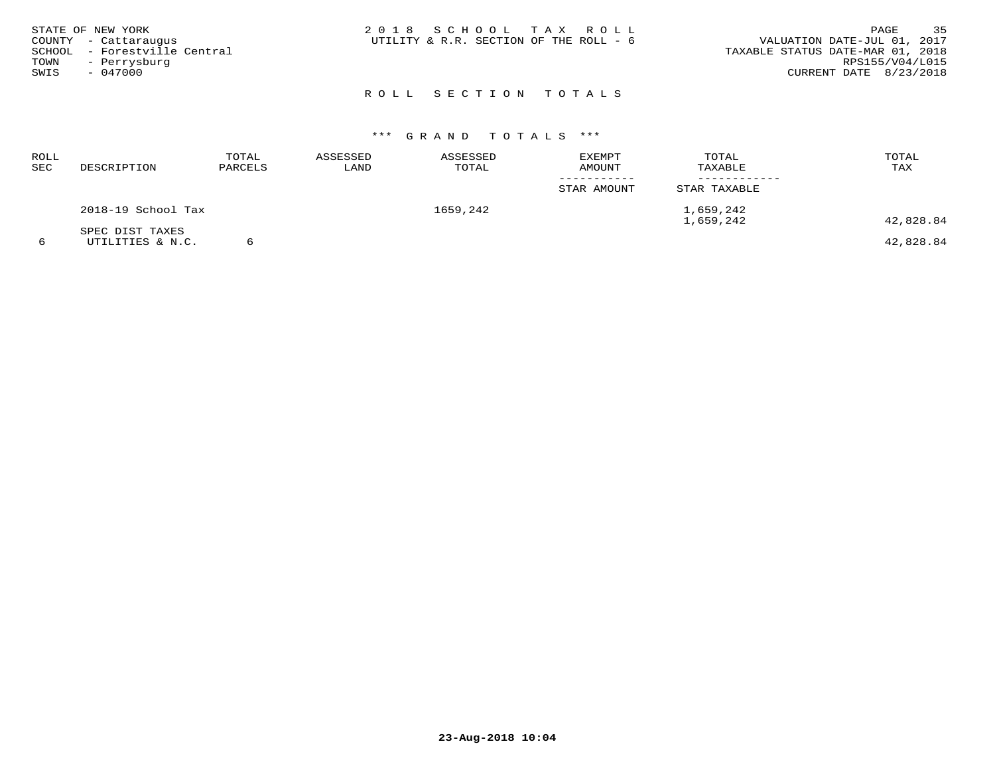| STATE OF NEW YORK<br>COUNTY - Cattaraugus<br>SCHOOL - Forestville Central<br>TOWN - Perrysburg<br>SWIS<br>$-047000$ | 2018 SCHOOL TAX ROLL<br>UTILITY & R.R. SECTION OF THE ROLL - 6 | 35<br>PAGE<br>VALUATION DATE-JUL 01, 2017<br>TAXABLE STATUS DATE-MAR 01, 2018<br>RPS155/V04/L015<br>CURRENT DATE 8/23/2018 |
|---------------------------------------------------------------------------------------------------------------------|----------------------------------------------------------------|----------------------------------------------------------------------------------------------------------------------------|
|                                                                                                                     | ROLL SECTION TOTALS                                            |                                                                                                                            |

| ROLL<br>SEC | DESCRIPTION                         | TOTAL<br>PARCELS | ASSESSED<br>LAND | ASSESSED<br>TOTAL | EXEMPT<br>AMOUNT | TOTAL<br>TAXABLE       | TOTAL<br>TAX |
|-------------|-------------------------------------|------------------|------------------|-------------------|------------------|------------------------|--------------|
|             |                                     |                  |                  |                   | STAR AMOUNT      | STAR TAXABLE           |              |
|             | 2018-19 School Tax                  |                  |                  | 1659,242          |                  | 1,659,242<br>1,659,242 | 42,828.84    |
|             | SPEC DIST TAXES<br>UTILITIES & N.C. |                  |                  |                   |                  |                        | 42,828.84    |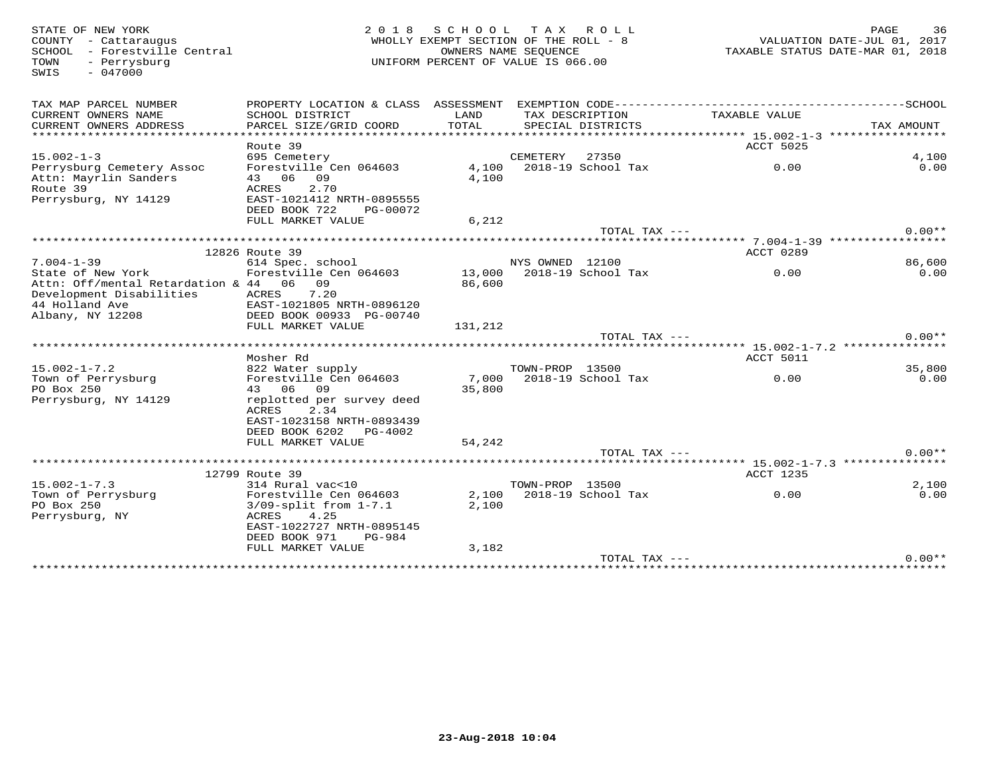STATE OF NEW YORK MORE RAGE 36<br>COUNTY - Cattaraugus (Altra 1991) WHOLLY EXEMPT SECTION OF THE ROLL - 8 (MORTH 1997) VALUATION DATE-JUL 01, 2017<br>SCHOOL - Forestville Central (Altra 1997) OWNERS NAME SEQUENCE<br>TOWN - Perrysbu SWIS - 047000TAX MAP PARCEL NUMBER PROPERTY LOCATION & CLASS ASSESSMENT EXEMPTION CODE------------------------------------------SCHOOL CURRENT OWNERS NAME SCHOOL DISTRICT LAND TAX DESCRIPTION TAXABLE VALUE CURRENT OWNERS ADDRESS PARCEL SIZE/GRID COORD TOTAL SPECIAL DISTRICTS TAX AMOUNT \*\*\*\*\*\*\*\*\*\*\*\*\*\*\*\*\*\*\*\*\*\*\*\*\*\*\*\*\*\*\*\*\*\*\*\*\*\*\*\*\*\*\*\*\*\*\*\*\*\*\*\*\*\*\*\*\*\*\*\*\*\*\*\*\*\*\*\*\*\*\*\*\*\*\*\*\*\*\*\*\*\*\*\*\*\*\*\*\*\*\*\*\*\*\*\*\*\*\*\*\*\*\* 15.002-1-3 \*\*\*\*\*\*\*\*\*\*\*\*\*\*\*\*\* Route 39 ACCT 5025 15.002-1-3 695 Cemetery CEMETERY 27350 4,100 $0.00$ Perrysburg Cemetery Assoc Forestville Cen 064603 4,100 2018-19 School Tax 0.00 0.00Attn: Mayrlin Sanders 43 06 09 4,100 Route 39 ACRES 2.70 Perrysburg, NY 14129 EAST-1021412 NRTH-0895555 DEED BOOK 722 PG-00072FULL MARKET VALUE 6,212 TOTAL TAX  $---$  0.00\*\* \*\*\*\*\*\*\*\*\*\*\*\*\*\*\*\*\*\*\*\*\*\*\*\*\*\*\*\*\*\*\*\*\*\*\*\*\*\*\*\*\*\*\*\*\*\*\*\*\*\*\*\*\*\*\*\*\*\*\*\*\*\*\*\*\*\*\*\*\*\*\*\*\*\*\*\*\*\*\*\*\*\*\*\*\*\*\*\*\*\*\*\*\*\*\*\*\*\*\*\*\*\*\* 7.004-1-39 \*\*\*\*\*\*\*\*\*\*\*\*\*\*\*\*\* 12826 Route 39 ACCT 0289 7.004-1-39 614 Spec. school NYS OWNED 12100 86,600 $0.00$ State of New York Forestville Cen 064603 13,000 2018-19 School Tax 0.00 0.00Attn: Off/mental Retardation & 44 06 09 86,600 Development Disabilities ACRES 7.20 44 Holland Ave EAST-1021805 NRTH-0896120 Albany, NY 12208 DEED BOOK 00933 PG-00740 FULL MARKET VALUE 131,212 TOTAL TAX --- 0.00\*\* \*\*\*\*\*\*\*\*\*\*\*\*\*\*\*\*\*\*\*\*\*\*\*\*\*\*\*\*\*\*\*\*\*\*\*\*\*\*\*\*\*\*\*\*\*\*\*\*\*\*\*\*\*\*\*\*\*\*\*\*\*\*\*\*\*\*\*\*\*\*\*\*\*\*\*\*\*\*\*\*\*\*\*\*\*\*\*\*\*\*\*\*\*\*\*\*\*\*\*\*\*\*\* 15.002-1-7.2 \*\*\*\*\*\*\*\*\*\*\*\*\*\*\* Mosher Rd ACCT 5011 $0.00$ 15.002-1-7.2 822 Water supply TOWN-PROP 13500 35,800 $0.00$ Town of Perrysburg Forestville Cen 064603 7,000 2018-19 School Tax 0.00 0.00PO Box 250 43 06 09 35,800 Perrysburg, NY 14129 replotted per survey deed ACRES 2.34 EAST-1023158 NRTH-0893439 DEED BOOK 6202 PG-4002FULL MARKET VALUE 54,242 TOTAL TAX --- 0.00\*\* \*\*\*\*\*\*\*\*\*\*\*\*\*\*\*\*\*\*\*\*\*\*\*\*\*\*\*\*\*\*\*\*\*\*\*\*\*\*\*\*\*\*\*\*\*\*\*\*\*\*\*\*\*\*\*\*\*\*\*\*\*\*\*\*\*\*\*\*\*\*\*\*\*\*\*\*\*\*\*\*\*\*\*\*\*\*\*\*\*\*\*\*\*\*\*\*\*\*\*\*\*\*\* 15.002-1-7.3 \*\*\*\*\*\*\*\*\*\*\*\*\*\*\*12799 Route 39 (12799 Route 39 ) (12799 Route 39 ) (1285 ) (1285 ) (1285 ) (1286 ) (1287 ) (1286 ) (1287 ) (1<br>15.002-1-7.3 (1287 ) (1288 ) (1288 ) (1288 ) (1288 ) (1288 ) (1288 ) (1288 ) (1288 ) (1288 ) (1288 ) (1288 ) (  $0.00$ Town of Perrysburg Forestville Cen 064603 2,100 2018-19 School Tax 0.00 0.00PO Box 250 3/09-split from 1-7.1 2,100 Perrysburg, NY ACRES 4.25 EAST-1022727 NRTH-0895145 DEED BOOK 971 PG-984FULL MARKET VALUE 3,182 TOTAL TAX --- 0.00\*\*\*\*\*\*\*\*\*\*\*\*\*\*\*\*\*\*\*\*\*\*\*\*\*\*\*\*\*\*\*\*\*\*\*\*\*\*\*\*\*\*\*\*\*\*\*\*\*\*\*\*\*\*\*\*\*\*\*\*\*\*\*\*\*\*\*\*\*\*\*\*\*\*\*\*\*\*\*\*\*\*\*\*\*\*\*\*\*\*\*\*\*\*\*\*\*\*\*\*\*\*\*\*\*\*\*\*\*\*\*\*\*\*\*\*\*\*\*\*\*\*\*\*\*\*\*\*\*\*\*\*\*\*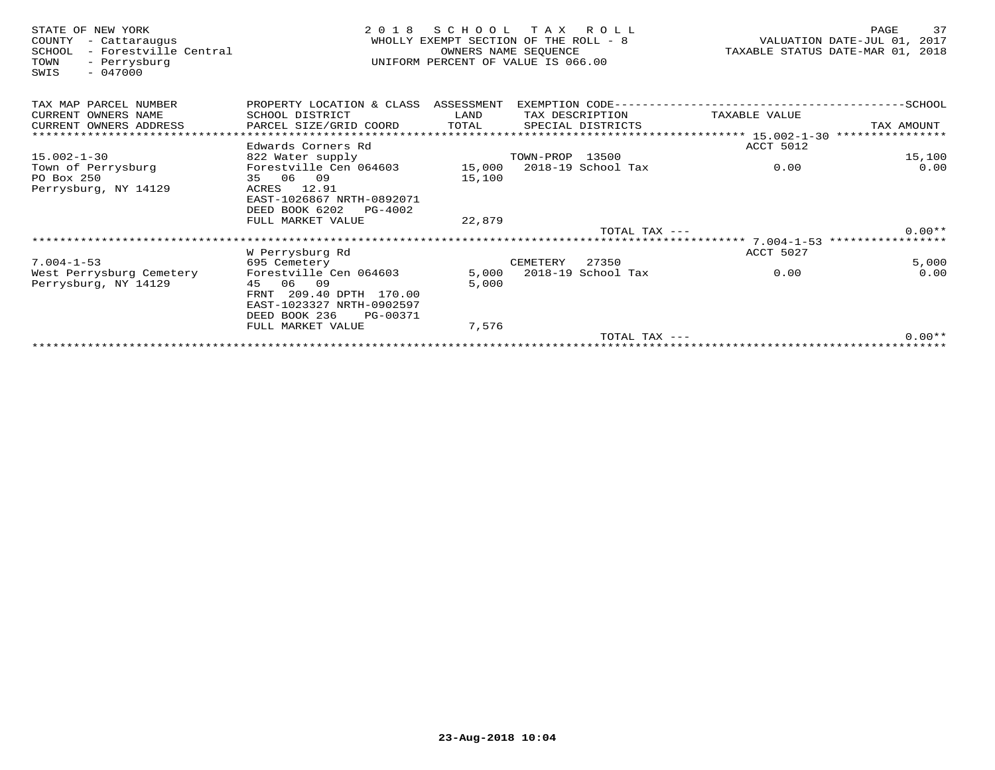| STATE OF NEW YORK<br>COUNTY<br>- Cattaraugus<br>- Forestville Central<br>SCHOOL<br>- Perrysburg<br>TOWN<br>$-047000$<br>SWIS | 2 0 1 8                         | SCHOOL<br>WHOLLY EXEMPT SECTION OF THE ROLL - 8<br>UNIFORM PERCENT OF VALUE IS 066.00 | T A X<br>OWNERS NAME SEQUENCE | R O L L            |                                                 | PAGE<br>37<br>VALUATION DATE-JUL 01, 2017<br>TAXABLE STATUS DATE-MAR 01, 2018 |
|------------------------------------------------------------------------------------------------------------------------------|---------------------------------|---------------------------------------------------------------------------------------|-------------------------------|--------------------|-------------------------------------------------|-------------------------------------------------------------------------------|
| TAX MAP PARCEL NUMBER                                                                                                        | PROPERTY LOCATION & CLASS       | ASSESSMENT                                                                            |                               | EXEMPTION CODE---- |                                                 | --------------SCHOOL                                                          |
| CURRENT OWNERS NAME                                                                                                          | SCHOOL DISTRICT                 | LAND                                                                                  |                               | TAX DESCRIPTION    | TAXABLE VALUE                                   |                                                                               |
| CURRENT OWNERS ADDRESS                                                                                                       | PARCEL SIZE/GRID COORD          | TOTAL                                                                                 |                               | SPECIAL DISTRICTS  |                                                 | TAX AMOUNT                                                                    |
|                                                                                                                              |                                 |                                                                                       |                               |                    | ******************** 15.002-1-30                | ****************                                                              |
|                                                                                                                              | Edwards Corners Rd              |                                                                                       |                               |                    | ACCT 5012                                       |                                                                               |
| $15.002 - 1 - 30$                                                                                                            | 822 Water supply                |                                                                                       | TOWN-PROP 13500               |                    |                                                 | 15,100                                                                        |
| Town of Perrysburg                                                                                                           | Forestville Cen 064603          | 15,000                                                                                |                               | 2018-19 School Tax | 0.00                                            | 0.00                                                                          |
| PO Box 250                                                                                                                   | 35 06 09                        | 15,100                                                                                |                               |                    |                                                 |                                                                               |
| Perrysburg, NY 14129                                                                                                         | 12.91<br>ACRES                  |                                                                                       |                               |                    |                                                 |                                                                               |
|                                                                                                                              | EAST-1026867 NRTH-0892071       |                                                                                       |                               |                    |                                                 |                                                                               |
|                                                                                                                              | DEED BOOK 6202 PG-4002          |                                                                                       |                               |                    |                                                 |                                                                               |
|                                                                                                                              | FULL MARKET VALUE               | 22,879                                                                                |                               |                    |                                                 |                                                                               |
|                                                                                                                              |                                 |                                                                                       |                               | TOTAL TAX $---$    | ***************** 7.004-1-53 ****************** | $0.00**$                                                                      |
|                                                                                                                              |                                 |                                                                                       |                               |                    | ACCT 5027                                       |                                                                               |
| $7.004 - 1 - 53$                                                                                                             | W Perrysburg Rd<br>695 Cemetery |                                                                                       | CEMETERY                      | 27350              |                                                 | 5,000                                                                         |
| West Perrysburg Cemetery                                                                                                     | Forestville Cen 064603          | 5,000                                                                                 |                               | 2018-19 School Tax | 0.00                                            | 0.00                                                                          |
| Perrysburg, NY 14129                                                                                                         | 45 06<br>09                     | 5,000                                                                                 |                               |                    |                                                 |                                                                               |
|                                                                                                                              | 209.40 DPTH 170.00<br>FRNT      |                                                                                       |                               |                    |                                                 |                                                                               |
|                                                                                                                              | EAST-1023327 NRTH-0902597       |                                                                                       |                               |                    |                                                 |                                                                               |
|                                                                                                                              | DEED BOOK 236<br>PG-00371       |                                                                                       |                               |                    |                                                 |                                                                               |
|                                                                                                                              | FULL MARKET VALUE               | 7,576                                                                                 |                               |                    |                                                 |                                                                               |
|                                                                                                                              |                                 |                                                                                       |                               | TOTAL TAX $---$    |                                                 | $0.00**$                                                                      |
|                                                                                                                              |                                 |                                                                                       |                               |                    |                                                 |                                                                               |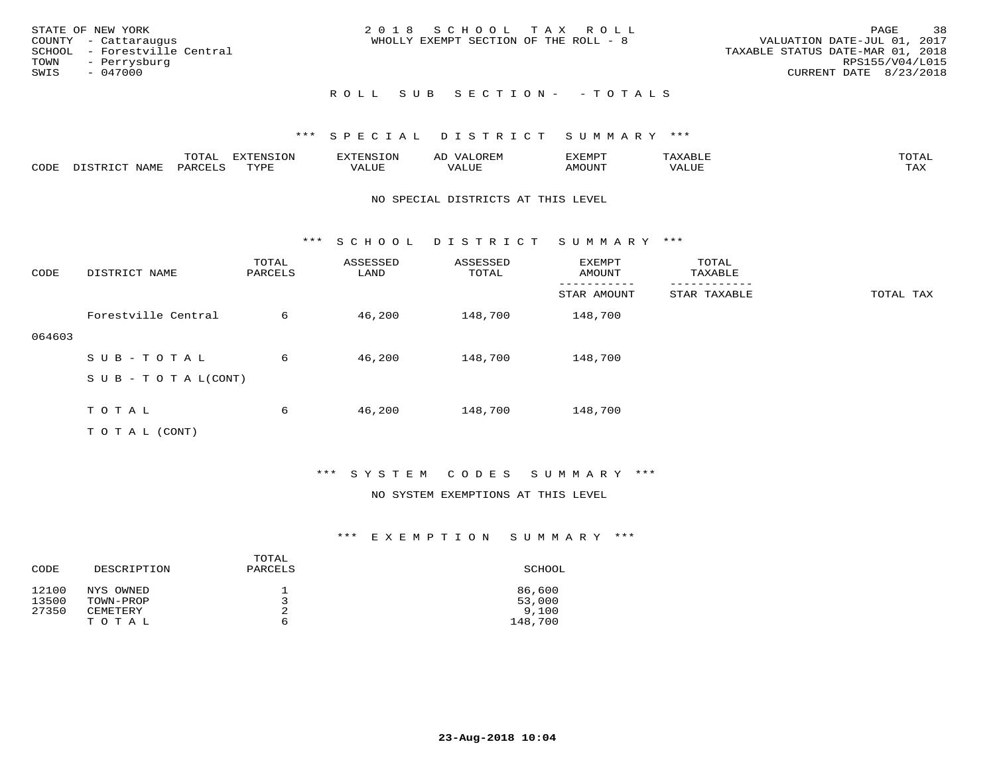| STATE OF NEW YORK<br>COUNTY - Cattaraugus<br>SCHOOL - Forestville Central<br>TOWN - Perrysburg<br>SWIS<br>- 047000 | 2018 SCHOOL TAX ROLL<br>WHOLLY EXEMPT SECTION OF THE ROLL - 8 | 38<br>PAGE<br>VALUATION DATE-JUL 01, 2017<br>TAXABLE STATUS DATE-MAR 01, 2018<br>RPS155/V04/L015<br>CURRENT DATE 8/23/2018 |
|--------------------------------------------------------------------------------------------------------------------|---------------------------------------------------------------|----------------------------------------------------------------------------------------------------------------------------|
|                                                                                                                    | ROLL SUB SECTION- - TOTALS                                    |                                                                                                                            |

|      |                                | ᠁∩ <del>™</del><br>TO THT. | mszm<br>------<br>. ب |       | AL' |        |      | $m \wedge m \wedge n$       |
|------|--------------------------------|----------------------------|-----------------------|-------|-----|--------|------|-----------------------------|
| CODE | $M^{\mathsf{T}}$<br>$\sqrt{2}$ |                            | TVDL                  | 'ALUE |     | MOTIN' | ALUE | $m \times r$<br>- - - - - - |

#### NO SPECIAL DISTRICTS AT THIS LEVEL

\*\*\* S C H O O L D I S T R I C T S U M M A R Y \*\*\*

| CODE   | DISTRICT NAME                    | TOTAL<br>PARCELS | ASSESSED<br>LAND | ASSESSED<br>TOTAL | <b>EXEMPT</b><br>AMOUNT | TOTAL<br>TAXABLE |           |
|--------|----------------------------------|------------------|------------------|-------------------|-------------------------|------------------|-----------|
|        |                                  |                  |                  |                   | STAR AMOUNT             | STAR TAXABLE     | TOTAL TAX |
|        | Forestville Central              | 6                | 46,200           | 148,700           | 148,700                 |                  |           |
| 064603 |                                  |                  |                  |                   |                         |                  |           |
|        | SUB-TOTAL                        | 6                | 46,200           | 148,700           | 148,700                 |                  |           |
|        | $S \cup B - T \cup T A L (CONT)$ |                  |                  |                   |                         |                  |           |
|        |                                  |                  |                  |                   |                         |                  |           |
|        | TOTAL                            | 6                | 46,200           | 148,700           | 148,700                 |                  |           |
|        | T O T A L (CONT)                 |                  |                  |                   |                         |                  |           |

### \*\*\* S Y S T E M C O D E S S U M M A R Y \*\*\*

#### NO SYSTEM EXEMPTIONS AT THIS LEVEL

|             | TOTAL   |         |
|-------------|---------|---------|
| DESCRIPTION | PARCELS | SCHOOL  |
|             |         |         |
| NYS OWNED   |         | 86,600  |
| TOWN-PROP   | ر       | 53,000  |
| CEMETERY    | 2       | 9,100   |
| TOTAL       | ь       | 148,700 |
|             |         |         |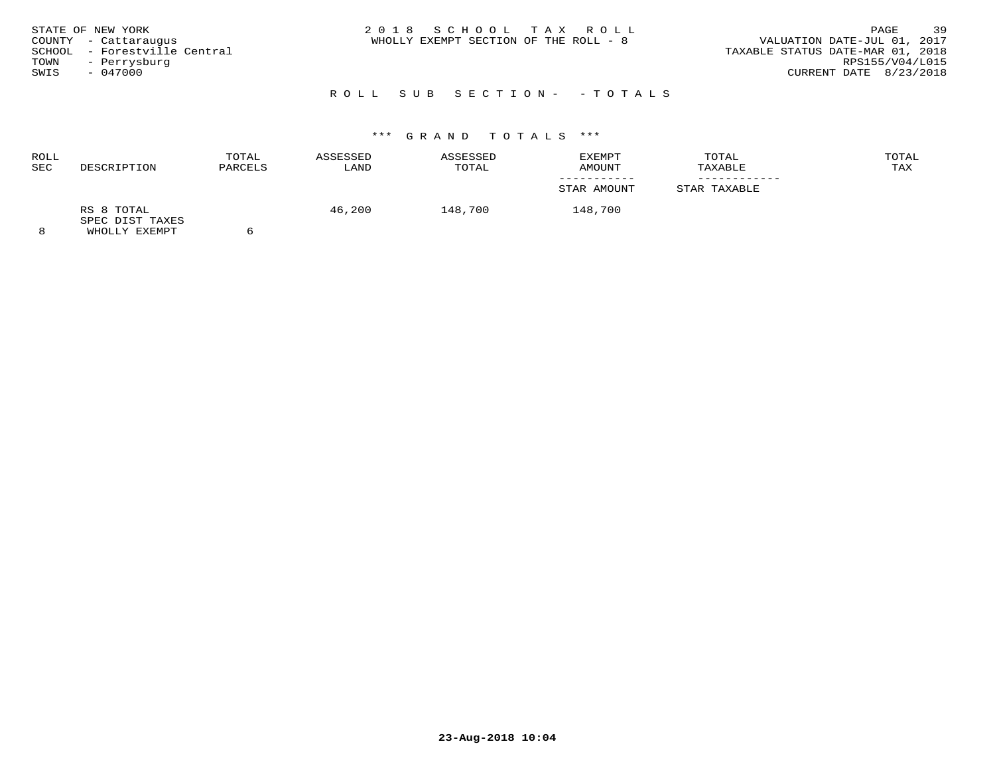| 39<br>2018 SCHOOL TAX ROLL<br>STATE OF NEW YORK<br>PAGE<br>VALUATION DATE-JUL 01, 2017<br>WHOLLY EXEMPT SECTION OF THE ROLL - 8<br>COUNTY - Cattaraugus<br>- Forestville Central<br>SCHOOL<br>TAXABLE STATUS DATE-MAR 01, 2018<br>RPS155/V04/L015<br>TOWN<br>- Perrysburg<br>CURRENT DATE 8/23/2018<br>$-047000$<br>SWIS |
|--------------------------------------------------------------------------------------------------------------------------------------------------------------------------------------------------------------------------------------------------------------------------------------------------------------------------|
|--------------------------------------------------------------------------------------------------------------------------------------------------------------------------------------------------------------------------------------------------------------------------------------------------------------------------|

# R O L L S U B S E C T I O N - - T O T A L S

# \*\*\* G R A N D T O T A L S \*\*\*

| ROLL<br>SEC | DESCRIPTION                                    | TOTAL<br>PARCELS | ASSESSED<br>LAND | ASSESSED<br>TOTAL | <b>EXEMPT</b><br>AMOUNT | TOTAL<br>TAXABLE | TOTAL<br>TAX |
|-------------|------------------------------------------------|------------------|------------------|-------------------|-------------------------|------------------|--------------|
|             |                                                |                  |                  |                   | STAR AMOUNT             | STAR TAXABLE     |              |
|             | RS 8 TOTAL<br>SPEC DIST TAXES<br>WUOTIV EVEMOT |                  | 46,200           | 148,700           | 148,700                 |                  |              |

8 WHOLLY EXEMPT 6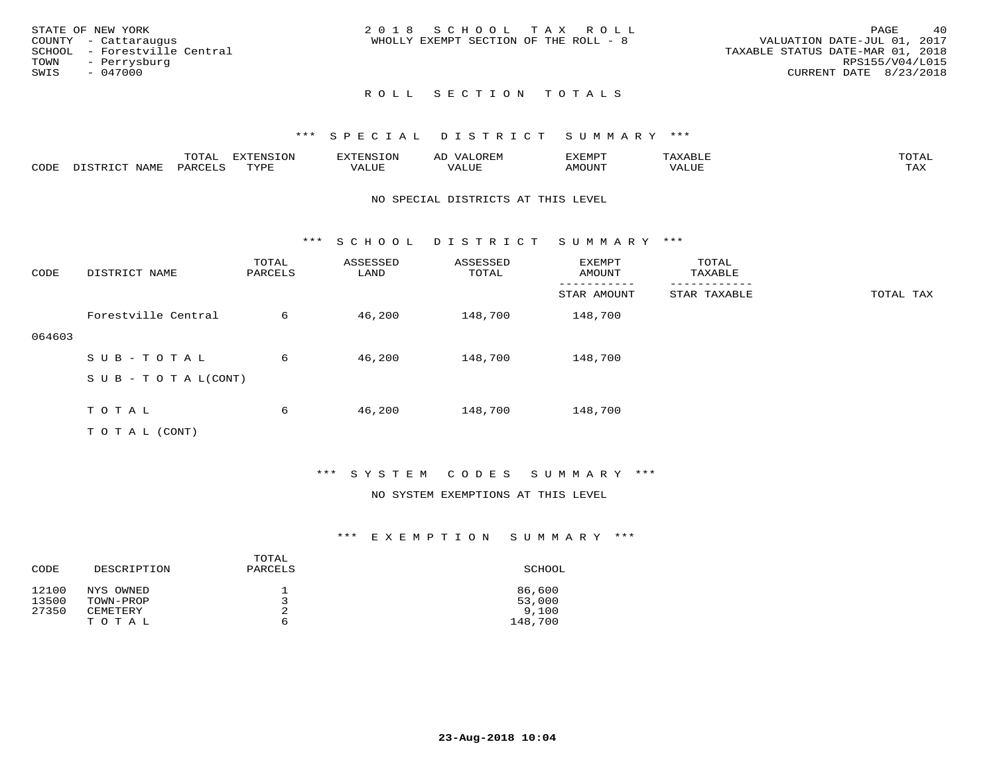|      | STATE OF NEW YORK            | 2018 SCHOOL TAX ROLL                  |                                  | 40<br>PAGE      |
|------|------------------------------|---------------------------------------|----------------------------------|-----------------|
|      | COUNTY - Cattaraugus         | WHOLLY EXEMPT SECTION OF THE ROLL - 8 | VALUATION DATE-JUL 01, 2017      |                 |
|      | SCHOOL - Forestville Central |                                       | TAXABLE STATUS DATE-MAR 01, 2018 |                 |
|      | TOWN - Perrysburg            |                                       |                                  | RPS155/V04/L015 |
| SWIS | - 047000                     |                                       | CURRENT DATE 8/23/2018           |                 |
|      |                              |                                       |                                  |                 |

### \*\*\* S P E C I A L D I S T R I C T S U M M A R Y \*\*\*

|      | ----<br>◡∸ғ | ---<br>ENSION         |                            | AL'<br>∵⊔ت⊥د⊥ر |       | $m \wedge m$       |
|------|-------------|-----------------------|----------------------------|----------------|-------|--------------------|
| CODE |             | $m \times r \times r$ | , <del>,</del> , , , , , , |                | MOUN. | $- - - -$<br>. ris |

#### NO SPECIAL DISTRICTS AT THIS LEVEL

\*\*\* S C H O O L D I S T R I C T S U M M A R Y \*\*\*

| CODE   | DISTRICT NAME                    | TOTAL<br>PARCELS | ASSESSED<br>LAND | ASSESSED<br>TOTAL | EXEMPT<br>AMOUNT | TOTAL<br>TAXABLE |           |
|--------|----------------------------------|------------------|------------------|-------------------|------------------|------------------|-----------|
|        |                                  |                  |                  |                   | STAR AMOUNT      | STAR TAXABLE     | TOTAL TAX |
|        | Forestville Central              | 6                | 46,200           | 148,700           | 148,700          |                  |           |
| 064603 |                                  |                  |                  |                   |                  |                  |           |
|        | SUB-TOTAL                        | 6                | 46,200           | 148,700           | 148,700          |                  |           |
|        | $S \cup B - T \cup T A L (CONT)$ |                  |                  |                   |                  |                  |           |
|        |                                  |                  |                  |                   |                  |                  |           |
|        | TOTAL                            | 6                | 46,200           | 148,700           | 148,700          |                  |           |
|        | T O T A L (CONT)                 |                  |                  |                   |                  |                  |           |

### \*\*\* S Y S T E M C O D E S S U M M A R Y \*\*\*

#### NO SYSTEM EXEMPTIONS AT THIS LEVEL

|       |             | TOTAL   |         |
|-------|-------------|---------|---------|
| CODE  | DESCRIPTION | PARCELS | SCHOOL  |
| 12100 | NYS OWNED   |         | 86,600  |
| 13500 | TOWN-PROP   | ิว      | 53,000  |
| 27350 | CEMETERY    | 2       | 9.100   |
|       | TOTAL       | ь       | 148,700 |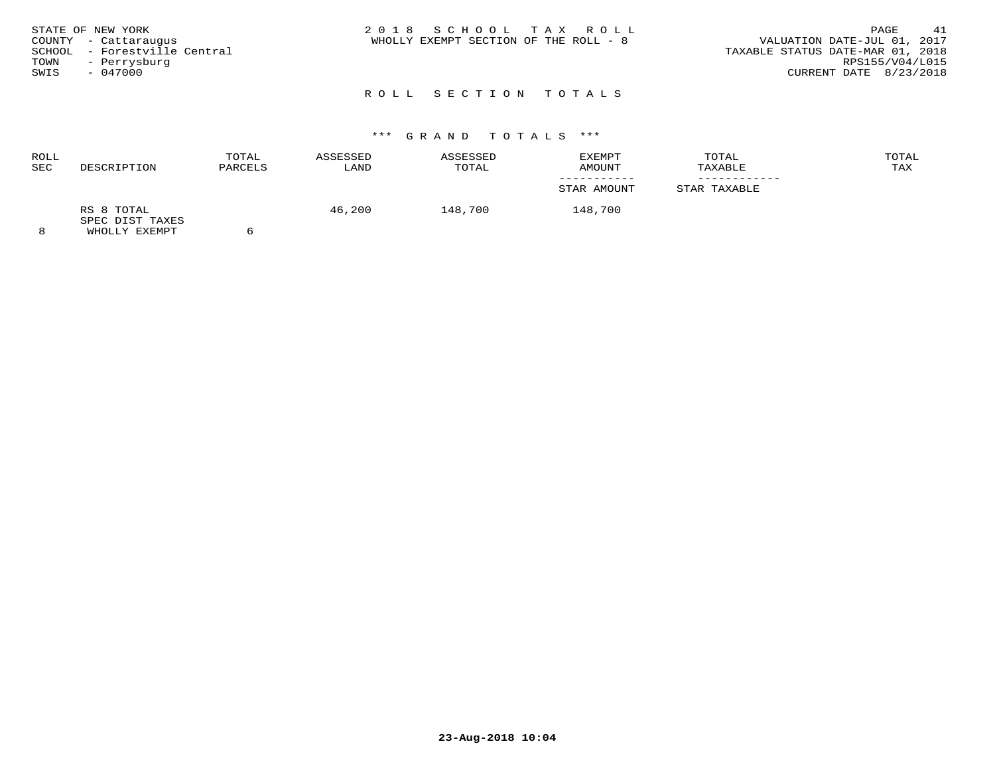| 2018 SCHOOL TAX ROLL<br>STATE OF NEW YORK<br>VALUATION DATE-JUL 01, 2017<br>WHOLLY EXEMPT SECTION OF THE ROLL - 8<br>COUNTY - Cattaraugus<br>SCHOOL - Forestville Central<br>TAXABLE STATUS DATE-MAR 01, 2018<br>TOWN<br>- Perrysburg<br>CURRENT DATE 8/23/2018<br>$-047000$<br>SWIS | 41<br>PAGE<br>RPS155/V04/L015 |
|--------------------------------------------------------------------------------------------------------------------------------------------------------------------------------------------------------------------------------------------------------------------------------------|-------------------------------|
|--------------------------------------------------------------------------------------------------------------------------------------------------------------------------------------------------------------------------------------------------------------------------------------|-------------------------------|

# \*\*\* G R A N D T O T A L S \*\*\*

| ROLL<br>SEC | DESCRIPTION                                           | TOTAL<br>PARCELS | ASSESSED<br>LAND | ASSESSED<br>TOTAL | EXEMPT<br>AMOUNT | TOTAL<br>TAXABLE | TOTAL<br>TAX |
|-------------|-------------------------------------------------------|------------------|------------------|-------------------|------------------|------------------|--------------|
|             |                                                       |                  |                  |                   | STAR AMOUNT      | STAR TAXABLE     |              |
| $\circ$     | RS 8 TOTAL<br>SPEC DIST TAXES<br><b>WUOTIV EVEMBT</b> |                  | 46,200           | 148,700           | 148,700          |                  |              |

8 WHOLLY EXEMPT 6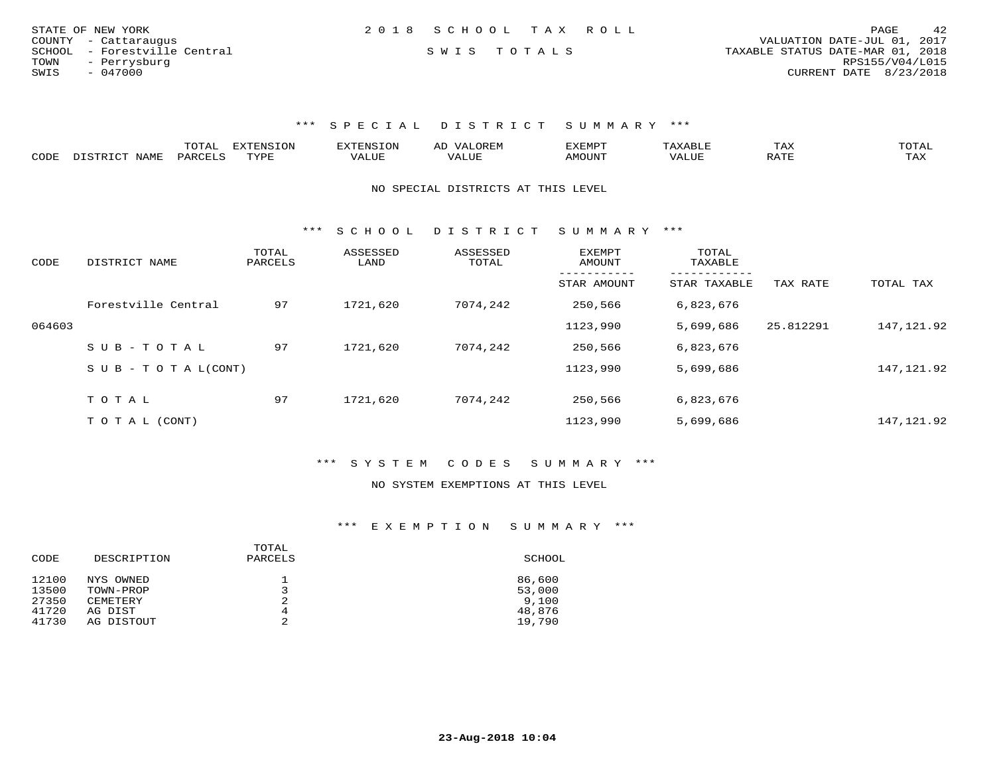| STATE OF NEW YORK            |  | 2018 SCHOOL TAX ROLL |                                  | PAGE                     | 42 |
|------------------------------|--|----------------------|----------------------------------|--------------------------|----|
| COUNTY - Cattaraugus         |  |                      | VALUATION DATE-JUL 01, 2017      |                          |    |
| SCHOOL - Forestville Central |  | SWIS TOTALS          | TAXABLE STATUS DATE-MAR 01, 2018 |                          |    |
| TOWN<br>- Perrysburg         |  |                      |                                  | RPS155/V04/L015          |    |
| SWIS<br>- 047000             |  |                      |                                  | CURRENT DATE $8/23/2018$ |    |

|                                    |              | ---- | <b>TYTTNCTON</b>           |   | $\rightarrow$ | כ <b>דו</b> הר<br>ם ועו                                                              | ⊥⇔∧        |                      |
|------------------------------------|--------------|------|----------------------------|---|---------------|--------------------------------------------------------------------------------------|------------|----------------------|
| $\sim$ $\sim$ $\sim$ $\sim$ $\sim$ | $\mathbf{1}$ |      | $\overline{x}\overline{r}$ | . |               | $\Lambda$ $\Lambda$ $\Lambda$ $\Lambda$ $\Gamma$ $\Lambda$ <sup><math>-</math></sup> | $\sqrt{2}$ | $m \times r$<br>---- |

NO SPECIAL DISTRICTS AT THIS LEVEL

\*\*\* S C H O O L D I S T R I C T S U M M A R Y \*\*\*

| CODE   | DISTRICT NAME              | TOTAL<br>PARCELS | ASSESSED<br>LAND | ASSESSED<br>TOTAL | <b>EXEMPT</b><br>AMOUNT | TOTAL<br>TAXABLE         |           |            |
|--------|----------------------------|------------------|------------------|-------------------|-------------------------|--------------------------|-----------|------------|
|        |                            |                  |                  |                   | STAR AMOUNT             | --------<br>STAR TAXABLE | TAX RATE  | TOTAL TAX  |
|        | Forestville Central        | 97               | 1721,620         | 7074,242          | 250,566                 | 6,823,676                |           |            |
| 064603 |                            |                  |                  |                   | 1123,990                | 5,699,686                | 25.812291 | 147,121.92 |
|        | SUB-TOTAL                  | 97               | 1721,620         | 7074,242          | 250,566                 | 6,823,676                |           |            |
|        | S U B - T O T A $L$ (CONT) |                  |                  |                   | 1123,990                | 5,699,686                |           | 147,121.92 |
|        |                            |                  |                  | 7074,242          |                         |                          |           |            |
|        | TOTAL                      | 97               | 1721,620         |                   | 250,566                 | 6,823,676                |           |            |
|        | T O T A L (CONT)           |                  |                  |                   | 1123,990                | 5,699,686                |           | 147,121.92 |

\*\*\* S Y S T E M C O D E S S U M M A R Y \*\*\*

#### NO SYSTEM EXEMPTIONS AT THIS LEVEL

| CODE  | DESCRIPTION | TOTAL<br>PARCELS | SCHOOL |
|-------|-------------|------------------|--------|
| 12100 | NYS OWNED   | ᅩ                | 86,600 |
| 13500 | TOWN-PROP   |                  | 53,000 |
| 27350 | CEMETERY    | 2                | 9,100  |
| 41720 | AG DIST     | 4                | 48,876 |
| 41730 | AG DISTOUT  | ⌒<br>৴           | 19,790 |
|       |             |                  |        |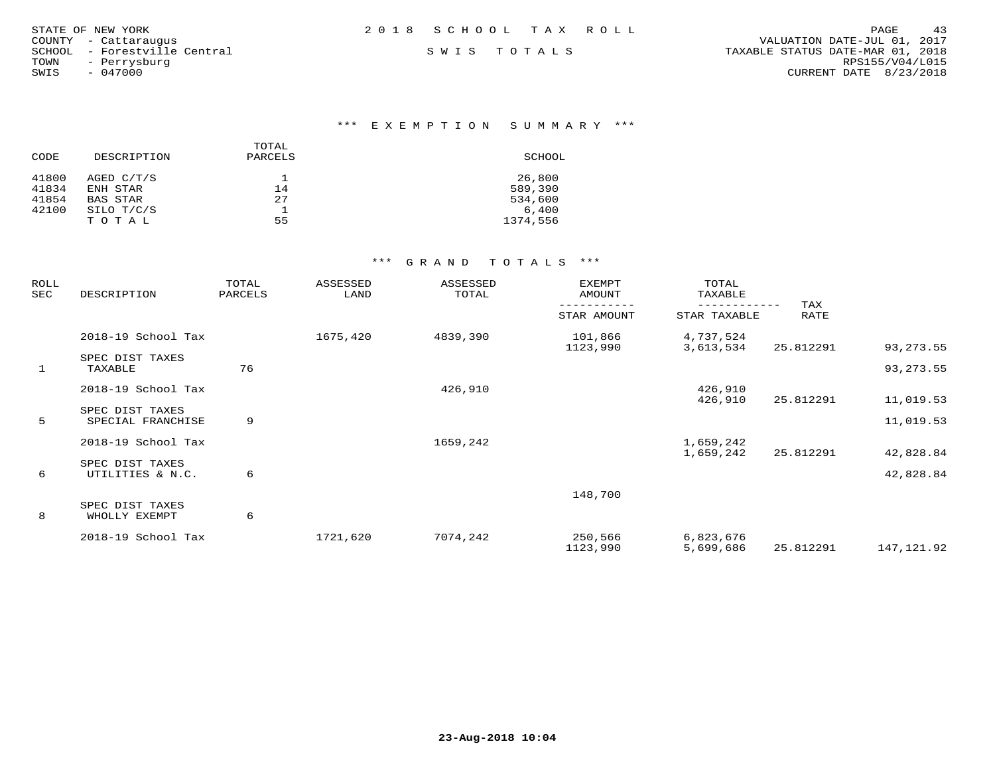|             | 43<br>PAGE                       |
|-------------|----------------------------------|
|             | VALUATION DATE-JUL 01, 2017      |
| SWIS TOTALS | TAXABLE STATUS DATE-MAR 01, 2018 |
|             | RPS155/V04/L015                  |
|             | CURRENT DATE 8/23/2018           |
|             |                                  |
|             | 2018 SCHOOL TAX ROLL             |

# \*\*\* E X E M P T I O N S U M M A R Y \*\*\*

| CODE  | DESCRIPTION | TOTAL<br>PARCELS | SCHOOL   |
|-------|-------------|------------------|----------|
| 41800 | AGED C/T/S  |                  | 26,800   |
| 41834 | ENH STAR    | 14               | 589,390  |
| 41854 | BAS STAR    | 27               | 534,600  |
| 42100 | SILO T/C/S  |                  | 6.400    |
|       | TOTAL       | 55               | 1374,556 |

| ROLL<br>SEC  | DESCRIPTION                          | TOTAL<br>PARCELS | ASSESSED<br>LAND | ASSESSED<br>TOTAL | EXEMPT<br>AMOUNT    | TOTAL<br>TAXABLE       |             |             |
|--------------|--------------------------------------|------------------|------------------|-------------------|---------------------|------------------------|-------------|-------------|
|              |                                      |                  |                  |                   | STAR AMOUNT         | STAR TAXABLE           | TAX<br>RATE |             |
|              | 2018-19 School Tax                   |                  | 1675,420         | 4839,390          | 101,866<br>1123,990 | 4,737,524<br>3,613,534 | 25.812291   | 93, 273.55  |
| $\mathbf{1}$ | SPEC DIST TAXES<br>TAXABLE           | 76               |                  |                   |                     |                        |             | 93, 273.55  |
|              | 2018-19 School Tax                   |                  |                  | 426,910           |                     | 426,910<br>426,910     | 25.812291   | 11,019.53   |
| 5            | SPEC DIST TAXES<br>SPECIAL FRANCHISE | 9                |                  |                   |                     |                        |             | 11,019.53   |
|              | 2018-19 School Tax                   |                  |                  | 1659,242          |                     | 1,659,242<br>1,659,242 | 25.812291   | 42,828.84   |
| 6            | SPEC DIST TAXES<br>UTILITIES & N.C.  | 6                |                  |                   |                     |                        |             | 42,828.84   |
|              | SPEC DIST TAXES                      |                  |                  |                   | 148,700             |                        |             |             |
| 8            | WHOLLY EXEMPT<br>2018-19 School Tax  | 6                | 1721,620         | 7074,242          | 250,566<br>1123,990 | 6,823,676<br>5,699,686 | 25.812291   | 147, 121.92 |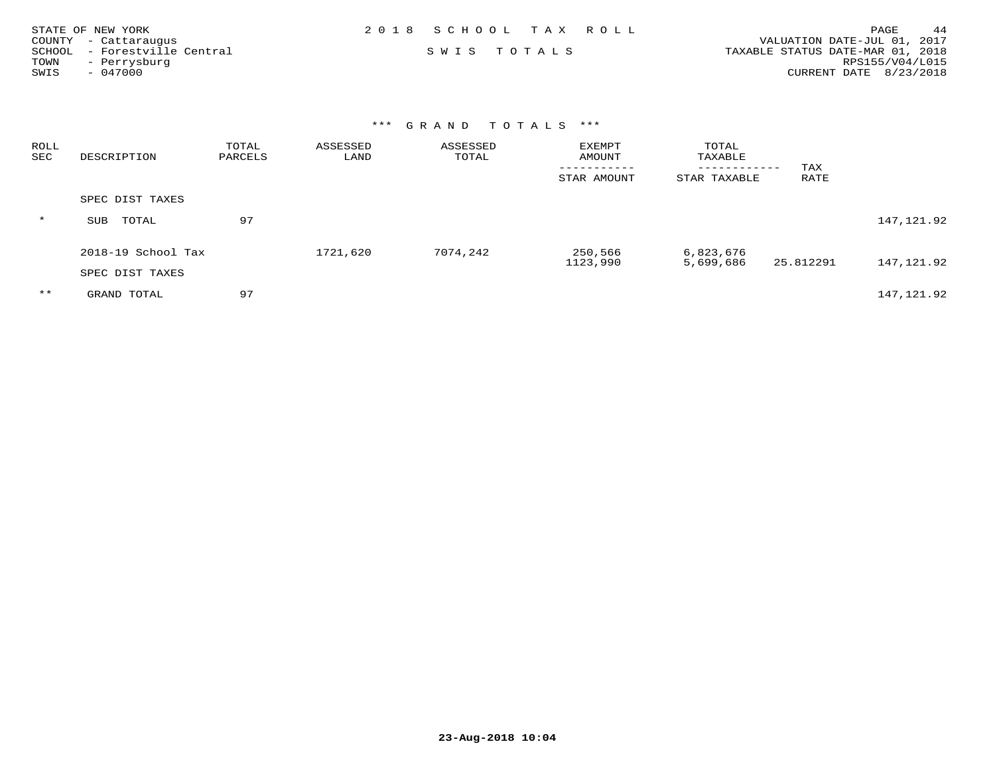| STATE OF NEW YORK            | 2018 SCHOOL TAX ROLL | 44<br>PAGE                       |
|------------------------------|----------------------|----------------------------------|
| COUNTY - Cattaraugus         |                      | VALUATION DATE-JUL 01, 2017      |
| SCHOOL - Forestville Central | SWIS TOTALS          | TAXABLE STATUS DATE-MAR 01, 2018 |
| TOWN<br>- Perrysburg         |                      | RPS155/V04/L015                  |
| SWIS<br>- 047000             |                      | CURRENT DATE 8/23/2018           |

| ROLL<br>SEC | DESCRIPTION        | TOTAL<br>PARCELS | ASSESSED<br>LAND | ASSESSED<br>TOTAL | <b>EXEMPT</b><br>AMOUNT<br>----------- | TOTAL<br>TAXABLE<br>------------ | TAX       |            |
|-------------|--------------------|------------------|------------------|-------------------|----------------------------------------|----------------------------------|-----------|------------|
|             |                    |                  |                  |                   | STAR AMOUNT                            | STAR TAXABLE                     | RATE      |            |
|             | SPEC DIST TAXES    |                  |                  |                   |                                        |                                  |           |            |
| $\star$     | TOTAL<br>SUB       | 97               |                  |                   |                                        |                                  |           | 147,121.92 |
|             | 2018-19 School Tax |                  | 1721,620         | 7074,242          | 250,566<br>1123,990                    | 6,823,676<br>5,699,686           | 25.812291 | 147,121.92 |
|             | SPEC DIST TAXES    |                  |                  |                   |                                        |                                  |           |            |
| $***$       | GRAND TOTAL        | 97               |                  |                   |                                        |                                  |           | 147,121.92 |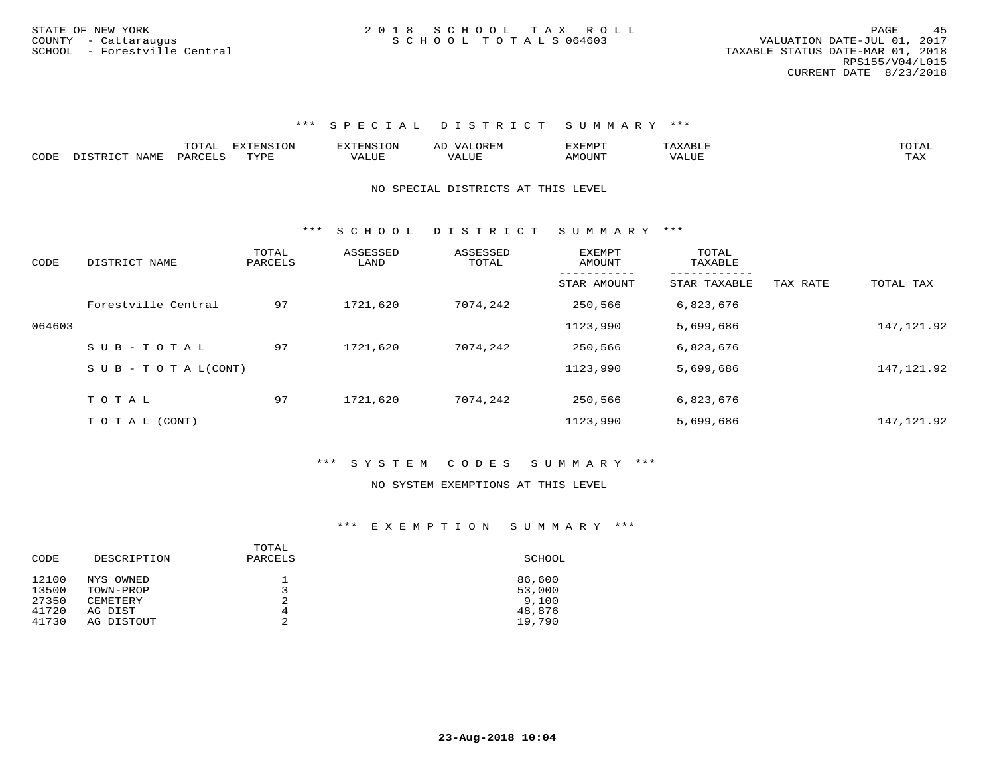|      |      | 10m   | m    |                                | $\sim$ | <b>ISLEMADO</b><br>IVI H |         | ፐ∩ͲΔ<br>◡∸∸ |
|------|------|-------|------|--------------------------------|--------|--------------------------|---------|-------------|
| CODE | IAMF | ے صدر | TVDI | $\triangle$ LUE $\blacksquare$ |        | <b>AMOTIN'</b>           | $V_{A}$ |             |

#### NO SPECIAL DISTRICTS AT THIS LEVEL

\*\*\* S C H O O L D I S T R I C T S U M M A R Y \*\*\*

| CODE   | DISTRICT NAME                    | TOTAL<br>PARCELS | ASSESSED<br>LAND | ASSESSED<br>TOTAL | EXEMPT<br>AMOUNT        | TOTAL<br>TAXABLE         |          |             |
|--------|----------------------------------|------------------|------------------|-------------------|-------------------------|--------------------------|----------|-------------|
|        |                                  |                  |                  |                   | --------<br>STAR AMOUNT | --------<br>STAR TAXABLE | TAX RATE | TOTAL TAX   |
|        | Forestville Central              | 97               | 1721,620         | 7074,242          | 250,566                 | 6,823,676                |          |             |
| 064603 |                                  |                  |                  |                   | 1123,990                | 5,699,686                |          | 147, 121.92 |
|        | $SUB - TO TAL$                   | 97               | 1721,620         | 7074,242          | 250,566                 | 6,823,676                |          |             |
|        | $S \cup B - T \cup T A L (CONT)$ |                  |                  |                   | 1123,990                | 5,699,686                |          | 147, 121.92 |
|        | TOTAL                            | 97               | 1721,620         | 7074,242          | 250,566                 | 6,823,676                |          |             |
|        |                                  |                  |                  |                   |                         |                          |          |             |
|        | T O T A L (CONT)                 |                  |                  |                   | 1123,990                | 5,699,686                |          | 147, 121.92 |

#### \*\*\* S Y S T E M C O D E S S U M M A R Y \*\*\*

#### NO SYSTEM EXEMPTIONS AT THIS LEVEL

| CODE  | DESCRIPTION | TOTAL<br>PARCELS | SCHOOL |
|-------|-------------|------------------|--------|
| 12100 | NYS OWNED   |                  | 86,600 |
| 13500 | TOWN-PROP   |                  | 53,000 |
| 27350 | CEMETERY    | 2                | 9,100  |
| 41720 | AG DIST     | 4                | 48,876 |
| 41730 | AG DISTOUT  | っ<br>৴           | 19,790 |
|       |             |                  |        |